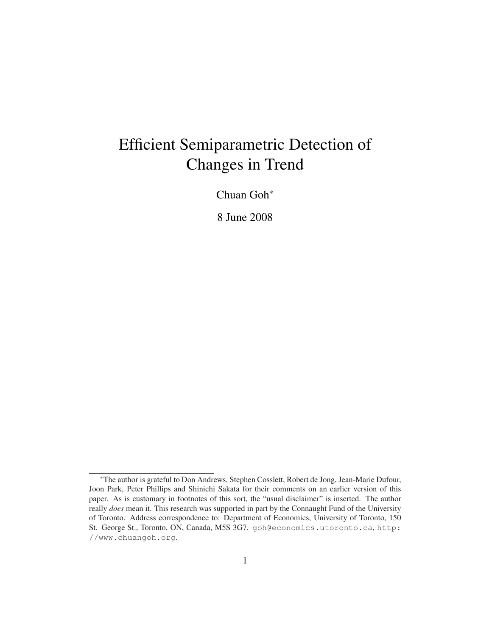# Efficient Semiparametric Detection of Changes in Trend

Chuan Goh<sup>∗</sup>

8 June 2008

<sup>∗</sup>The author is grateful to Don Andrews, Stephen Cosslett, Robert de Jong, Jean-Marie Dufour, Joon Park, Peter Phillips and Shinichi Sakata for their comments on an earlier version of this paper. As is customary in footnotes of this sort, the "usual disclaimer" is inserted. The author really *does* mean it. This research was supported in part by the Connaught Fund of the University of Toronto. Address correspondence to: Department of Economics, University of Toronto, 150 St. George St., Toronto, ON, Canada, M5S 3G7. goh@economics.utoronto.ca, http: //www.chuangoh.org.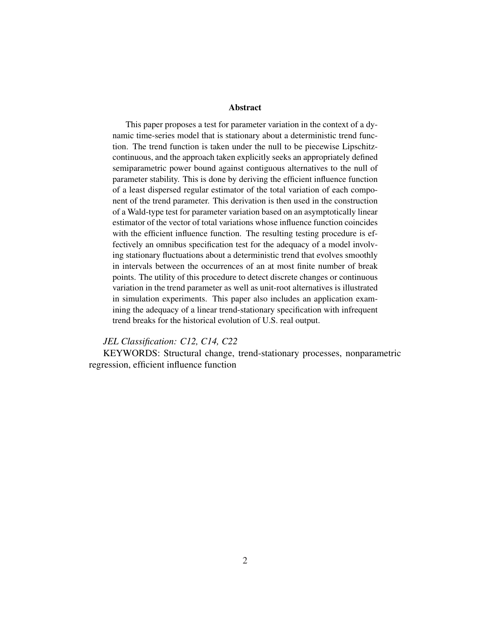#### Abstract

This paper proposes a test for parameter variation in the context of a dynamic time-series model that is stationary about a deterministic trend function. The trend function is taken under the null to be piecewise Lipschitzcontinuous, and the approach taken explicitly seeks an appropriately defined semiparametric power bound against contiguous alternatives to the null of parameter stability. This is done by deriving the efficient influence function of a least dispersed regular estimator of the total variation of each component of the trend parameter. This derivation is then used in the construction of a Wald-type test for parameter variation based on an asymptotically linear estimator of the vector of total variations whose influence function coincides with the efficient influence function. The resulting testing procedure is effectively an omnibus specification test for the adequacy of a model involving stationary fluctuations about a deterministic trend that evolves smoothly in intervals between the occurrences of an at most finite number of break points. The utility of this procedure to detect discrete changes or continuous variation in the trend parameter as well as unit-root alternatives is illustrated in simulation experiments. This paper also includes an application examining the adequacy of a linear trend-stationary specification with infrequent trend breaks for the historical evolution of U.S. real output.

#### *JEL Classification: C12, C14, C22*

KEYWORDS: Structural change, trend-stationary processes, nonparametric regression, efficient influence function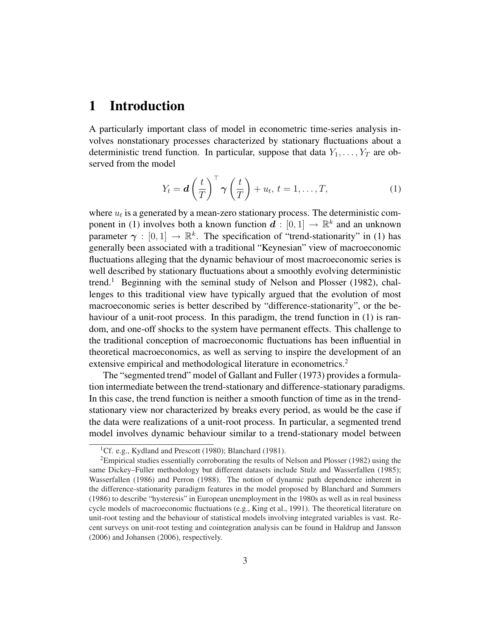# 1 Introduction

A particularly important class of model in econometric time-series analysis involves nonstationary processes characterized by stationary fluctuations about a deterministic trend function. In particular, suppose that data  $Y_1, \ldots, Y_T$  are observed from the model

$$
Y_t = \boldsymbol{d} \left(\frac{t}{T}\right)^{\top} \boldsymbol{\gamma} \left(\frac{t}{T}\right) + u_t, t = 1, \dots, T,
$$
 (1)

where  $u_t$  is a generated by a mean-zero stationary process. The deterministic component in (1) involves both a known function  $d : [0,1] \to \mathbb{R}^k$  and an unknown parameter  $\gamma : [0, 1] \to \mathbb{R}^k$ . The specification of "trend-stationarity" in (1) has generally been associated with a traditional "Keynesian" view of macroeconomic fluctuations alleging that the dynamic behaviour of most macroeconomic series is well described by stationary fluctuations about a smoothly evolving deterministic trend.<sup>1</sup> Beginning with the seminal study of Nelson and Plosser (1982), challenges to this traditional view have typically argued that the evolution of most macroeconomic series is better described by "difference-stationarity", or the behaviour of a unit-root process. In this paradigm, the trend function in (1) is random, and one-off shocks to the system have permanent effects. This challenge to the traditional conception of macroeconomic fluctuations has been influential in theoretical macroeconomics, as well as serving to inspire the development of an extensive empirical and methodological literature in econometrics.<sup>2</sup>

The "segmented trend" model of Gallant and Fuller (1973) provides a formulation intermediate between the trend-stationary and difference-stationary paradigms. In this case, the trend function is neither a smooth function of time as in the trendstationary view nor characterized by breaks every period, as would be the case if the data were realizations of a unit-root process. In particular, a segmented trend model involves dynamic behaviour similar to a trend-stationary model between

<sup>&</sup>lt;sup>1</sup>Cf. e.g., Kydland and Prescott (1980); Blanchard (1981).

<sup>&</sup>lt;sup>2</sup>Empirical studies essentially corroborating the results of Nelson and Plosser (1982) using the same Dickey–Fuller methodology but different datasets include Stulz and Wasserfallen (1985); Wasserfallen (1986) and Perron (1988). The notion of dynamic path dependence inherent in the difference-stationarity paradigm features in the model proposed by Blanchard and Summers (1986) to describe "hysteresis" in European unemployment in the 1980s as well as in real business cycle models of macroeconomic fluctuations (e.g., King et al., 1991). The theoretical literature on unit-root testing and the behaviour of statistical models involving integrated variables is vast. Recent surveys on unit-root testing and cointegration analysis can be found in Haldrup and Jansson (2006) and Johansen (2006), respectively.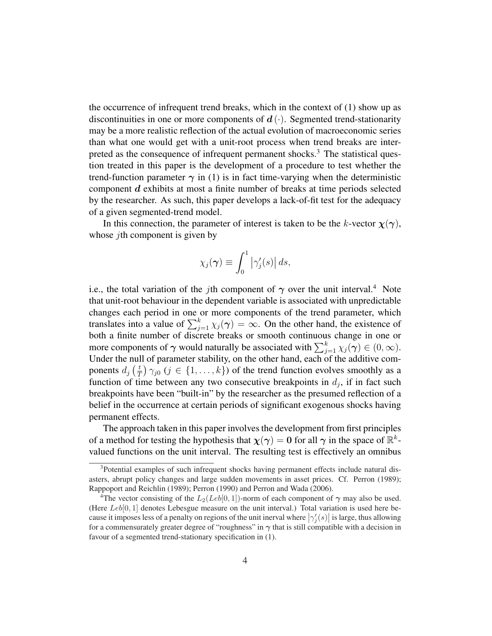the occurrence of infrequent trend breaks, which in the context of (1) show up as discontinuities in one or more components of  $d(\cdot)$ . Segmented trend-stationarity may be a more realistic reflection of the actual evolution of macroeconomic series than what one would get with a unit-root process when trend breaks are interpreted as the consequence of infrequent permanent shocks.<sup>3</sup> The statistical question treated in this paper is the development of a procedure to test whether the trend-function parameter  $\gamma$  in (1) is in fact time-varying when the deterministic component d exhibits at most a finite number of breaks at time periods selected by the researcher. As such, this paper develops a lack-of-fit test for the adequacy of a given segmented-trend model.

In this connection, the parameter of interest is taken to be the k-vector  $\chi(\gamma)$ , whose *j*th component is given by

$$
\chi_j(\boldsymbol{\gamma}) \equiv \int_0^1 \left| \gamma_j'(s) \right| ds,
$$

i.e., the total variation of the *j*th component of  $\gamma$  over the unit interval.<sup>4</sup> Note that unit-root behaviour in the dependent variable is associated with unpredictable changes each period in one or more components of the trend parameter, which translates into a value of  $\sum_{j=1}^{k} \chi_j(\gamma) = \infty$ . On the other hand, the existence of both a finite number of discrete breaks or smooth continuous change in one or both a linne number of discrete breaks or smooth continuous change in one or<br>more components of  $\gamma$  would naturally be associated with  $\sum_{j=1}^{k} \chi_j(\gamma) \in (0, \infty)$ . Under the null of parameter stability, on the other hand, each of the additive components  $d_j$   $\left(\frac{t}{7}\right)$  $(\frac{t}{T}) \gamma_{j0}$   $(j \in \{1, ..., k\})$  of the trend function evolves smoothly as a function of time between any two consecutive breakpoints in  $d_j$ , if in fact such breakpoints have been "built-in" by the researcher as the presumed reflection of a belief in the occurrence at certain periods of significant exogenous shocks having permanent effects.

The approach taken in this paper involves the development from first principles of a method for testing the hypothesis that  $\chi(\gamma) = 0$  for all  $\gamma$  in the space of  $\mathbb{R}^k$ valued functions on the unit interval. The resulting test is effectively an omnibus

<sup>&</sup>lt;sup>3</sup>Potential examples of such infrequent shocks having permanent effects include natural disasters, abrupt policy changes and large sudden movements in asset prices. Cf. Perron (1989); Rappoport and Reichlin (1989); Perron (1990) and Perron and Wada (2006).

<sup>&</sup>lt;sup>4</sup>The vector consisting of the  $L_2(Leb[0, 1])$ -norm of each component of  $\gamma$  may also be used. (Here  $Leb[0, 1]$  denotes Lebesgue measure on the unit interval.) Total variation is used here because it imposes less of a penalty on regions of the unit inerval where  $|\gamma_j'(s)|$  is large, thus allowing for a commensurately greater degree of "roughness" in  $\gamma$  that is still compatible with a decision in favour of a segmented trend-stationary specification in (1).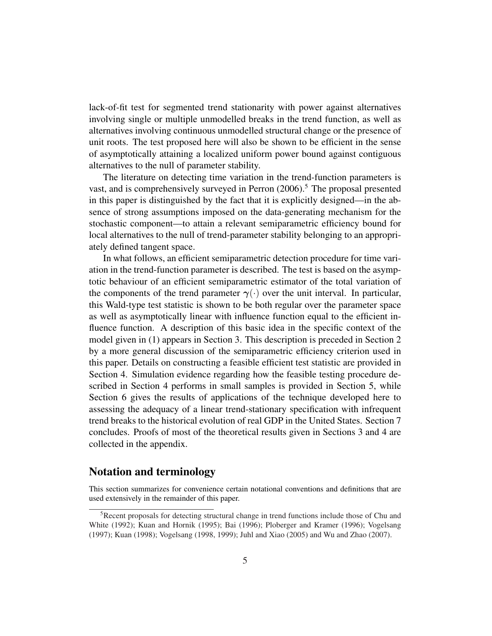lack-of-fit test for segmented trend stationarity with power against alternatives involving single or multiple unmodelled breaks in the trend function, as well as alternatives involving continuous unmodelled structural change or the presence of unit roots. The test proposed here will also be shown to be efficient in the sense of asymptotically attaining a localized uniform power bound against contiguous alternatives to the null of parameter stability.

The literature on detecting time variation in the trend-function parameters is vast, and is comprehensively surveyed in Perron  $(2006)$ .<sup>5</sup> The proposal presented in this paper is distinguished by the fact that it is explicitly designed—in the absence of strong assumptions imposed on the data-generating mechanism for the stochastic component—to attain a relevant semiparametric efficiency bound for local alternatives to the null of trend-parameter stability belonging to an appropriately defined tangent space.

In what follows, an efficient semiparametric detection procedure for time variation in the trend-function parameter is described. The test is based on the asymptotic behaviour of an efficient semiparametric estimator of the total variation of the components of the trend parameter  $\gamma(\cdot)$  over the unit interval. In particular, this Wald-type test statistic is shown to be both regular over the parameter space as well as asymptotically linear with influence function equal to the efficient influence function. A description of this basic idea in the specific context of the model given in (1) appears in Section 3. This description is preceded in Section 2 by a more general discussion of the semiparametric efficiency criterion used in this paper. Details on constructing a feasible efficient test statistic are provided in Section 4. Simulation evidence regarding how the feasible testing procedure described in Section 4 performs in small samples is provided in Section 5, while Section 6 gives the results of applications of the technique developed here to assessing the adequacy of a linear trend-stationary specification with infrequent trend breaks to the historical evolution of real GDP in the United States. Section 7 concludes. Proofs of most of the theoretical results given in Sections 3 and 4 are collected in the appendix.

#### Notation and terminology

This section summarizes for convenience certain notational conventions and definitions that are used extensively in the remainder of this paper.

<sup>&</sup>lt;sup>5</sup>Recent proposals for detecting structural change in trend functions include those of Chu and White (1992); Kuan and Hornik (1995); Bai (1996); Ploberger and Kramer (1996); Vogelsang (1997); Kuan (1998); Vogelsang (1998, 1999); Juhl and Xiao (2005) and Wu and Zhao (2007).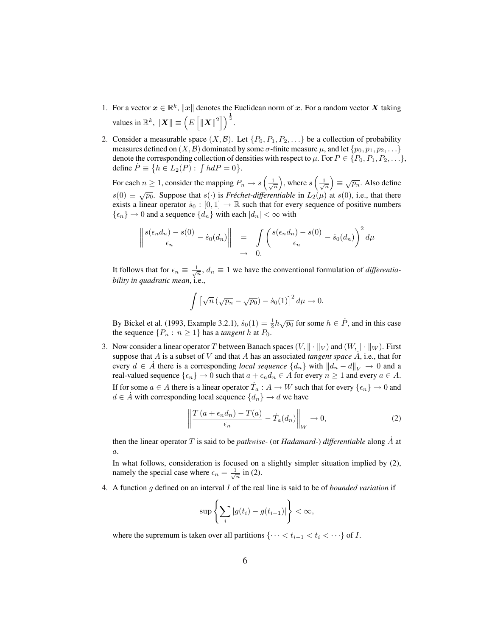- 1. For a vector  $x \in \mathbb{R}^k$ ,  $||x||$  denotes the Euclidean norm of x. For a random vector X taking values in  $\mathbb{R}^k$ ,  $\|\boldsymbol{X}\| \equiv \left(E\right)$ ب<br>- $\left\| \boldsymbol{X} \right\|^2 \bigg] \Big)^{\frac{1}{2}}.$
- 2. Consider a measurable space  $(X, \mathcal{B})$ . Let  $\{P_0, P_1, P_2, \ldots\}$  be a collection of probability measures defined on  $(X, \mathcal{B})$  dominated by some  $\sigma$ -finite measure  $\mu$ , and let  $\{p_0, p_1, p_2, \ldots\}$ denote the corresponding collection of densities with respect to  $\mu$ . For  $P \in \{P_0, P_1, P_2, \ldots\}$ , define  $\dot{P} \equiv \{h \in L_2(P) : \int h dP = 0\}.$  $\overline{a}$ ´  $\overline{a}$ ´

For each  $n \geq 1$ , consider the mapping  $P_n \to s$  $\frac{1}{\sqrt{n}}$ , where s  $\frac{1}{\sqrt{n}}$  $\equiv \sqrt{p_n}$ . Also define  $s(0) \equiv \sqrt{p_0}$ . Suppose that  $s(\cdot)$  is *Fréchet-differentiable* in  $L_2(\mu)$  at  $s(0)$ , i.e., that there exists a linear operator  $\dot{s}_0 : [0, 1] \rightarrow \mathbb{R}$  such that for every sequence of positive numbers  $\{\epsilon_n\} \to 0$  and a sequence  $\{d_n\}$  with each  $|d_n| < \infty$  with

$$
\left\| \frac{s(\epsilon_n d_n) - s(0)}{\epsilon_n} - \dot{s}_0(d_n) \right\| = \int \left( \frac{s(\epsilon_n d_n) - s(0)}{\epsilon_n} - \dot{s}_0(d_n) \right)^2 d\mu
$$
  

$$
\to 0.
$$

It follows that for  $\epsilon_n \equiv \frac{1}{\sqrt{n}}$ ,  $d_n \equiv 1$  we have the conventional formulation of *differentiability in quadratic mean*, i.e.,

$$
\int \left[ \sqrt{n} \left( \sqrt{p_n} - \sqrt{p_0} \right) - \dot{s}_0(1) \right]^2 d\mu \to 0.
$$

By Bickel et al. (1993, Example 3.2.1),  $\dot{s}_0(1) = \frac{1}{2} h \sqrt{p_0}$  for some  $h \in \dot{P}$ , and in this case the sequence  $\{P_n : n \geq 1\}$  has a *tangent* h at  $P_0$ .

3. Now consider a linear operator T between Banach spaces  $(V, \|\cdot\|_V)$  and  $(W, \|\cdot\|_W)$ . First suppose that A is a subset of V and that A has an associated *tangent space*  $\overrightarrow{A}$ , i.e., that for every  $d \in \dot{A}$  there is a corresponding *local sequence*  $\{d_n\}$  with  $||d_n - d||_V \to 0$  and a real-valued sequence  $\{\epsilon_n\} \to 0$  such that  $a + \epsilon_n d_n \in A$  for every  $n \ge 1$  and every  $a \in A$ . If for some  $a \in A$  there is a linear operator  $\dot{T}_a : A \to W$  such that for every  $\{\epsilon_n\} \to 0$  and  $d \in \dot{A}$  with corresponding local sequence  $\{d_n\} \to d$  we have

$$
\left\| \frac{T\left(a + \epsilon_n d_n\right) - T(a)}{\epsilon_n} - \dot{T}_a(d_n) \right\|_W \to 0,
$$
\n(2)

then the linear operator  $T$  is said to be *pathwise*- (or *Hadamard*-) *differentiable* along  $A$  at a.

In what follows, consideration is focused on a slightly simpler situation implied by (2), namely the special case where  $\epsilon_n = \frac{1}{\sqrt{n}}$  in (2).

4. A function g defined on an interval I of the real line is said to be of *bounded variation* if

$$
\sup \left\{ \sum_{i} |g(t_i) - g(t_{i-1})| \right\} < \infty,
$$

where the supremum is taken over all partitions  $\{\cdots < t_{i-1} < t_i < \cdots\}$  of I.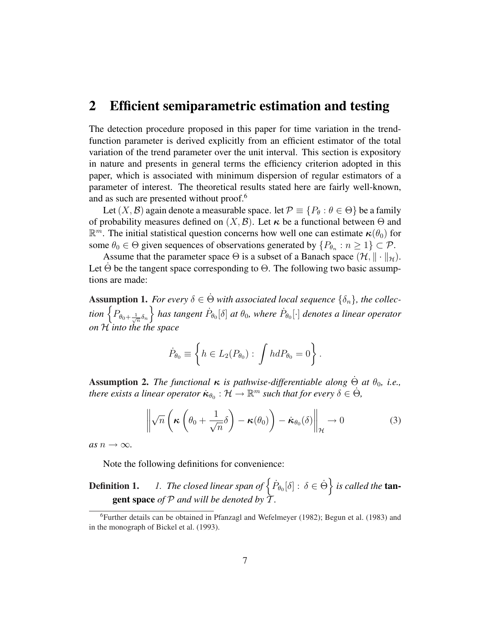# 2 Efficient semiparametric estimation and testing

The detection procedure proposed in this paper for time variation in the trendfunction parameter is derived explicitly from an efficient estimator of the total variation of the trend parameter over the unit interval. This section is expository in nature and presents in general terms the efficiency criterion adopted in this paper, which is associated with minimum dispersion of regular estimators of a parameter of interest. The theoretical results stated here are fairly well-known, and as such are presented without proof.<sup>6</sup>

Let  $(X, \mathcal{B})$  again denote a measurable space. let  $\mathcal{P} \equiv \{P_{\theta} : \theta \in \Theta\}$  be a family of probability measures defined on  $(X, \mathcal{B})$ . Let  $\kappa$  be a functional between  $\Theta$  and  $\mathbb{R}^m$ . The initial statistical question concerns how well one can estimate  $\kappa(\theta_0)$  for some  $\theta_0 \in \Theta$  given sequences of observations generated by  $\{P_{\theta_n} : n \geq 1\} \subset \mathcal{P}$ .

Assume that the parameter space  $\Theta$  is a subset of a Banach space  $(\mathcal{H}, \|\cdot\|_{\mathcal{H}})$ . Let  $\Theta$  be the tangent space corresponding to  $\Theta$ . The following two basic assumptions are made:

Assumption 1. *For every*  $\delta \in \dot{\Theta}$  *with associated local sequence*  $\{\delta_n\}$ *, the collec-***Assumption 1.** For every  $o \in \Theta$  with associated local sequence  $\{o_n\}$ , the collection  $\left\{P_{\theta_0+\frac{1}{\sqrt{n}}\delta_n}\right\}$  has tangent  $\dot{P}_{\theta_0}[\delta]$  at  $\theta_0$ , where  $\dot{P}_{\theta_0}[\cdot]$  denotes a linear operator *on* H *into the the space*

$$
\dot{P}_{\theta_0} \equiv \left\{ h \in L_2(P_{\theta_0}) : \int h dP_{\theta_0} = 0 \right\}.
$$

**Assumption 2.** *The functional*  $\kappa$  *is pathwise-differentiable along*  $\dot{\Theta}$  *at*  $\theta_0$ *, i.e., there exists a linear operator*  $\dot{\kappa}_{\theta_0} : \mathcal{H} \to \mathbb{R}^m$  *such that for every*  $\delta \in \dot{\Theta}$ ,

$$
\left\| \sqrt{n} \left( \kappa \left( \theta_0 + \frac{1}{\sqrt{n}} \delta \right) - \kappa(\theta_0) \right) - \dot{\kappa}_{\theta_0}(\delta) \right\|_{\mathcal{H}} \to 0 \tag{3}
$$

*as*  $n \to \infty$ *.* 

Note the following definitions for convenience:

**Definition 1.** *1. The closed linear span of*  $\left\{ \dot{P}_{\theta_{0}}[\delta]:\delta\in\dot{\Theta}\right\}$ o *is called the* tangent space *of* P *and will be denoted by* T *.*

<sup>6</sup>Further details can be obtained in Pfanzagl and Wefelmeyer (1982); Begun et al. (1983) and in the monograph of Bickel et al. (1993).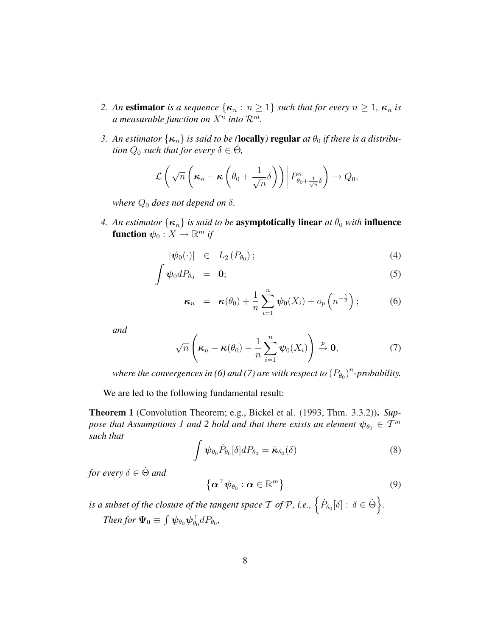- *2. An* estimator *is a sequence*  $\{\kappa_n : n \geq 1\}$  *such that for every*  $n \geq 1$ *,*  $\kappa_n$  *is a* measurable function on  $X^n$  into  $\mathcal{R}^m$ .
- *3. An estimator*  $\{\kappa_n\}$  *is said to be (locally) regular at*  $\theta_0$  *if there is a distribution*  $Q_0$  such that for every  $\delta \in \dot{\Theta}$ ,

$$
\mathcal{L}\left(\sqrt{n}\left(\kappa_n-\kappa\left(\theta_0+\frac{1}{\sqrt{n}}\delta\right)\right)\middle|P_{\theta_0+\frac{1}{\sqrt{n}}\delta}^n\right)\to Q_0,
$$

*where*  $Q_0$  *does not depend on*  $\delta$ *.* 

*4. An estimator*  $\{\kappa_n\}$  *is said to be asymptotically linear at*  $\theta_0$  *with* influence function  $\psi_0: X \to \mathbb{R}^m$  if

$$
|\psi_0(\cdot)| \in L_2(P_{\theta_0}); \tag{4}
$$

$$
\int \psi_0 dP_{\theta_0} = \mathbf{0}; \tag{5}
$$

$$
\boldsymbol{\kappa}_n = \boldsymbol{\kappa}(\theta_0) + \frac{1}{n} \sum_{i=1}^n \boldsymbol{\psi}_0(X_i) + o_p\left(n^{-\frac{1}{2}}\right); \qquad (6)
$$

*and*

$$
\sqrt{n}\left(\boldsymbol{\kappa}_n-\boldsymbol{\kappa}(\theta_0)-\frac{1}{n}\sum_{i=1}^n\boldsymbol{\psi}_0(X_i)\right)\stackrel{p}{\to}\mathbf{0},\tag{7}
$$

where the convergences in (6) and (7) are with respect to  $(P_{\theta_0})^n$ -probability.

We are led to the following fundamental result:

Theorem 1 (Convolution Theorem; e.g., Bickel et al. (1993, Thm. 3.3.2)). *Suppose that Assumptions 1 and 2 hold and that there exists an element*  $\psi_{\theta_0} \in \mathcal{T}^m$ *such that*

$$
\int \boldsymbol{\psi}_{\theta_0} \dot{P}_{\theta_0} [\delta] dP_{\theta_0} = \dot{\boldsymbol{\kappa}}_{\theta_0}(\delta) \tag{8}
$$

*for every*  $\delta \in \dot{\Theta}$  *and* 

$$
\left\{ \boldsymbol{\alpha}^{\top} \boldsymbol{\psi}_{\theta_0} : \boldsymbol{\alpha} \in \mathbb{R}^m \right\}
$$
 (9)

*is a subset of the closure of the tangent space*  $\mathcal T$  *of*  $\mathcal P$ *, i.e.,*  $\left\{ \dot{P}_{\theta_0}[\delta] : \delta \in \dot{\Theta} \right\}$ *. Then for*  $\Psi_0 \equiv \int \psi_{\theta_0} \psi_{\theta_0}^{\top} dP_{\theta_0}$ ,  $\overline{\phantom{a}}$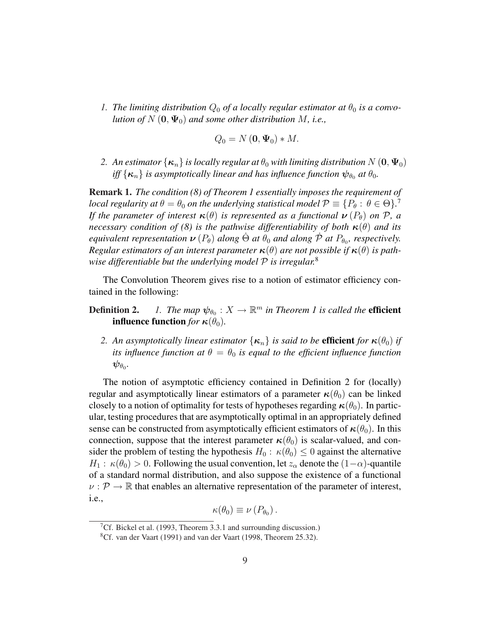*1. The limiting distribution*  $Q_0$  *of a locally regular estimator at*  $\theta_0$  *is a convolution of*  $N(\mathbf{0}, \Psi_0)$  *and some other distribution*  $M$ *, i.e.,* 

$$
Q_0 = N(\mathbf{0}, \Psi_0) * M.
$$

*2. An estimator*  $\{\kappa_n\}$  *is locally regular at*  $\theta_0$  *with limiting distribution*  $N(\mathbf{0}, \Psi_0)$ *iff*  $\{\kappa_n\}$  *is asymptotically linear and has influence function*  $\psi_{\theta_0}$  *at*  $\theta_0$ *.* 

Remark 1. *The condition (8) of Theorem 1 essentially imposes the requirement of local regularity at*  $\theta = \theta_0$  *on the underlying statistical model*  $\mathcal{P} \equiv \{P_\theta: \, \theta \in \Theta\}$ *.*<sup>7</sup> *If the parameter of interest*  $\kappa(\theta)$  *is represented as a functional*  $\nu(P_{\theta})$  *on*  $P$ *, a necessary condition of (8) is the pathwise differentiability of both*  $\kappa(\theta)$  *and its equivalent representation*  $\nu$  ( $P_{\theta}$ ) *along*  $\dot{\Theta}$  *at*  $\ddot{\theta}_0$  *and along*  $\dot{\mathcal{P}}$  *at*  $P_{\theta_0}$ , respectively. *Regular estimators of an interest parameter*  $\kappa(\theta)$  *are not possible if*  $\kappa(\theta)$  *is pathwise differentiable but the underlying model* P *is irregular.*<sup>8</sup>

The Convolution Theorem gives rise to a notion of estimator efficiency contained in the following:

- **Definition 2.** 1. The map  $\psi_{\theta_0} : X \to \mathbb{R}^m$  in Theorem 1 is called the **efficient influence function** *for*  $\kappa(\theta_0)$ *.* 
	- *2. An asymptotically linear estimator*  $\{\kappa_n\}$  *is said to be efficient for*  $\kappa(\theta_0)$  *if its influence function at*  $\theta = \theta_0$  *is equal to the efficient influence function*  $\boldsymbol \psi_{\theta_0}$ .

The notion of asymptotic efficiency contained in Definition 2 for (locally) regular and asymptotically linear estimators of a parameter  $\kappa(\theta_0)$  can be linked closely to a notion of optimality for tests of hypotheses regarding  $\kappa(\theta_0)$ . In particular, testing procedures that are asymptotically optimal in an appropriately defined sense can be constructed from asymptotically efficient estimators of  $\kappa(\theta_0)$ . In this connection, suppose that the interest parameter  $\kappa(\theta_0)$  is scalar-valued, and consider the problem of testing the hypothesis  $H_0$ :  $\kappa(\theta_0) \leq 0$  against the alternative  $H_1$ :  $\kappa(\theta_0) > 0$ . Following the usual convention, let  $z_\alpha$  denote the  $(1-\alpha)$ -quantile of a standard normal distribution, and also suppose the existence of a functional  $\nu$  :  $\mathcal{P} \rightarrow \mathbb{R}$  that enables an alternative representation of the parameter of interest, i.e.,

$$
\kappa(\theta_0) \equiv \nu(P_{\theta_0}).
$$

<sup>&</sup>lt;sup>7</sup>Cf. Bickel et al. (1993, Theorem 3.3.1 and surrounding discussion.)

<sup>8</sup>Cf. van der Vaart (1991) and van der Vaart (1998, Theorem 25.32).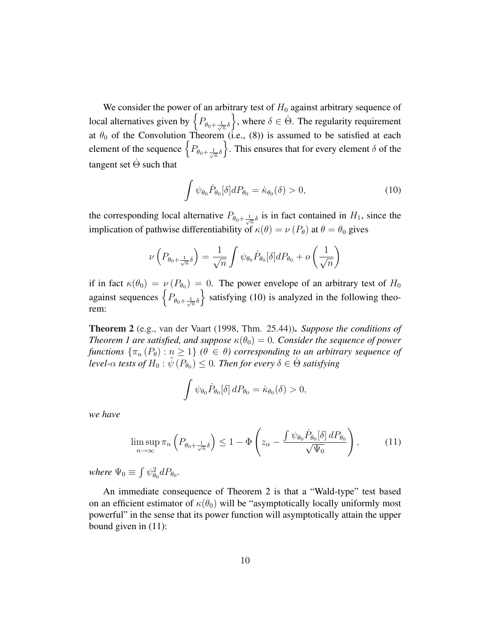We consider the power of an arbitrary test of  $H_0$  against arbitrary sequence of We consider the power of an arbitrary test of  $H_0$  against arbitrary sequence of local alternatives given by  $\left\{P_{\theta_0+\frac{1}{\sqrt{n}}\delta}\right\}$ , where  $\delta \in \Theta$ . The regularity requirement at  $\theta_0$  of the Convolution Theorem (i.e., (8)) is assumed to be satisfied at each element of the sequence  $\left\{P_{\theta_0+\frac{1}{\sqrt{n}}\delta}\right\}$ . This ensures that for every element  $\delta$  of the  $\frac{1}{2}$ . This ensures that for every element  $\delta$  of the tangent set  $\dot{\Theta}$  such that

$$
\int \psi_{\theta_0} \dot{P}_{\theta_0} [\delta] dP_{\theta_0} = \dot{\kappa}_{\theta_0}(\delta) > 0, \qquad (10)
$$

the corresponding local alternative  $P_{\theta_0 + \frac{1}{\sqrt{n}}\delta}$  is in fact contained in  $H_1$ , since the implication of pathwise differentiability of  $\kappa(\theta) = \nu(P_{\theta})$  at  $\theta = \theta_0$  gives

$$
\nu\left(P_{\theta_0 + \frac{1}{\sqrt{n}}\delta}\right) = \frac{1}{\sqrt{n}} \int \psi_{\theta_0} \dot{P}_{\theta_0}[\delta] dP_{\theta_0} + o\left(\frac{1}{\sqrt{n}}\right)
$$

if in fact  $\kappa(\theta_0) = \nu(P_{\theta_0}) = 0$ . The power envelope of an arbitrary test of  $H_0$ if in fact  $\kappa(\theta_0) = \nu(P_{\theta_0}) = 0$ . The power envelope of an arbitrary test of  $H_0$ <br>against sequences  $\left\{P_{\theta_0 + \frac{1}{\sqrt{n}}\delta}\right\}$  satisfying (10) is analyzed in the following theorem:

Theorem 2 (e.g., van der Vaart (1998, Thm. 25.44)). *Suppose the conditions of Theorem 1 are satisfied, and suppose*  $\kappa(\theta_0) = 0$ *. Consider the sequence of power functions*  $\{\pi_n(P_\theta): n \geq 1\}$  ( $\theta \in \theta$ ) corresponding to an arbitrary sequence of *level-* $\alpha$  *tests of*  $H_0 : \tilde{\psi}(P_{\theta_0}) \leq 0$ *. Then for every*  $\delta \in \dot{\Theta}$  *satisfying* 

$$
\int \psi_{\theta_0} \dot{P}_{\theta_0} [\delta] dP_{\theta_0} = \dot{\kappa}_{\theta_0}(\delta) > 0,
$$

*we have*

$$
\limsup_{n \to \infty} \pi_n \left( P_{\theta_0 + \frac{1}{\sqrt{n}} \delta} \right) \le 1 - \Phi \left( z_\alpha - \frac{\int \psi_{\theta_0} \dot{P}_{\theta_0}[\delta] \, dP_{\theta_0}}{\sqrt{\Psi_0}} \right),\tag{11}
$$

*where*  $\Psi_0 \equiv$ R  $\psi_{\theta_0}^2 dP_{\theta_0}$ .

An immediate consequence of Theorem 2 is that a "Wald-type" test based on an efficient estimator of  $\kappa(\theta_0)$  will be "asymptotically locally uniformly most powerful" in the sense that its power function will asymptotically attain the upper bound given in (11):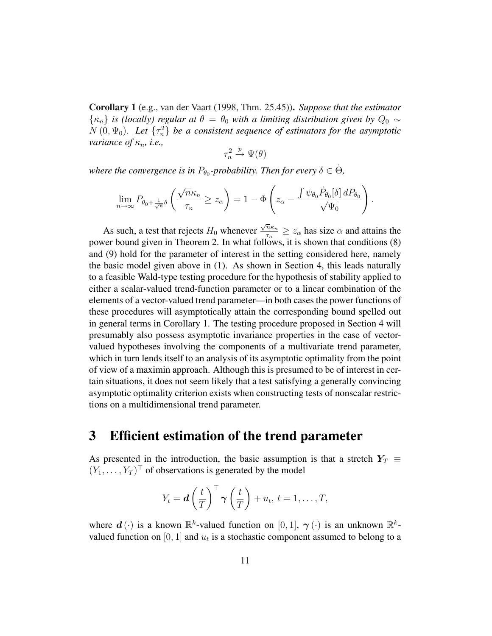Corollary 1 (e.g., van der Vaart (1998, Thm. 25.45)). *Suppose that the estimator*  $\{\kappa_n\}$  *is (locally) regular at*  $\theta = \theta_0$  *with a limiting distribution given by*  $Q_0 \sim$  $N(0, \Psi_0)$ . Let  $\{\tau_n^2\}$  be a consistent sequence of estimators for the asymptotic *variance of*  $\kappa_n$ , *i.e.*,

$$
\tau_n^2 \xrightarrow{p} \Psi(\theta)
$$

where the convergence is in  $P_{\theta_0}$ -probability. Then for every  $\delta \in \dot{\Theta}$ ,

$$
\lim_{n\to\infty} P_{\theta_0 + \frac{1}{\sqrt{n}}\delta}\left(\frac{\sqrt{n}\kappa_n}{\tau_n} \ge z_\alpha\right) = 1 - \Phi\left(z_\alpha - \frac{\int \psi_{\theta_0} \dot{P}_{\theta_0}[\delta]\,dP_{\theta_0}}{\sqrt{\Psi_0}}\right).
$$

As such, a test that rejects  $H_0$  whenever  $\sqrt{n}\kappa_n$  $rac{n\kappa_n}{\tau_n} \geq z_\alpha$  has size  $\alpha$  and attains the power bound given in Theorem 2. In what follows, it is shown that conditions (8) and (9) hold for the parameter of interest in the setting considered here, namely the basic model given above in (1). As shown in Section 4, this leads naturally to a feasible Wald-type testing procedure for the hypothesis of stability applied to either a scalar-valued trend-function parameter or to a linear combination of the elements of a vector-valued trend parameter—in both cases the power functions of these procedures will asymptotically attain the corresponding bound spelled out in general terms in Corollary 1. The testing procedure proposed in Section 4 will presumably also possess asymptotic invariance properties in the case of vectorvalued hypotheses involving the components of a multivariate trend parameter, which in turn lends itself to an analysis of its asymptotic optimality from the point of view of a maximin approach. Although this is presumed to be of interest in certain situations, it does not seem likely that a test satisfying a generally convincing asymptotic optimality criterion exists when constructing tests of nonscalar restrictions on a multidimensional trend parameter.

# 3 Efficient estimation of the trend parameter

As presented in the introduction, the basic assumption is that a stretch  $Y_T \equiv$  $(Y_1, \ldots, Y_T)^\top$  of observations is generated by the model

$$
Y_t = \boldsymbol{d} \left(\frac{t}{T}\right)^{\top} \boldsymbol{\gamma} \left(\frac{t}{T}\right) + u_t, t = 1, \ldots, T,
$$

where  $d(\cdot)$  is a known  $\mathbb{R}^k$ -valued function on [0, 1],  $\gamma(\cdot)$  is an unknown  $\mathbb{R}^k$ valued function on [0, 1] and  $u_t$  is a stochastic component assumed to belong to a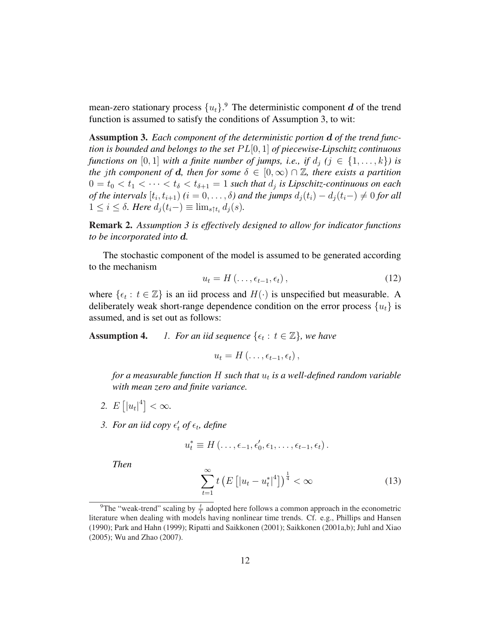mean-zero stationary process  ${u_t}$ .<sup>9</sup> The deterministic component  $d$  of the trend function is assumed to satisfy the conditions of Assumption 3, to wit:

Assumption 3. *Each component of the deterministic portion* d *of the trend function is bounded and belongs to the set* P L[0, 1] *of piecewise-Lipschitz continuous functions on* [0, 1] *with a finite number of jumps, i.e., if*  $d_i$  ( $j \in \{1, ..., k\}$ ) is *the jth component of d, then for some*  $\delta \in [0, \infty) \cap \mathbb{Z}$ *, there exists a partition*  $0 = t_0 < t_1 < \cdots < t_{\delta} < t_{\delta+1} = 1$  such that  $d_j$  is Lipschitz-continuous on each *of the intervals*  $[t_i, t_{i+1})$   $(i = 0, \ldots, \delta)$  and the jumps  $d_j(t_i) - d_j(t_i-) \neq 0$  for all  $1 \leq i \leq \delta$ *. Here*  $d_i(t_i-) \equiv \lim_{s \uparrow t_i} d_i(s)$ *.* 

Remark 2. *Assumption 3 is effectively designed to allow for indicator functions to be incorporated into* d*.*

The stochastic component of the model is assumed to be generated according to the mechanism

$$
u_t = H(\ldots, \epsilon_{t-1}, \epsilon_t), \qquad (12)
$$

where  $\{\epsilon_t : t \in \mathbb{Z}\}\$  is an iid process and  $H(\cdot)$  is unspecified but measurable. A deliberately weak short-range dependence condition on the error process  $\{u_t\}$  is assumed, and is set out as follows:

**Assumption 4.** *1. For an iid sequence*  $\{\epsilon_t : t \in \mathbb{Z}\}$ , we have

$$
u_t = H(\ldots, \epsilon_{t-1}, \epsilon_t),
$$

*for a measurable function* H *such that* u<sup>t</sup> *is a well-defined random variable with mean zero and finite variance.*

- *2.* E £  $|u_t|^4$  $< \infty$ .
- 3. For an iid copy  $\epsilon'_t$  of  $\epsilon_t$ , define

$$
u_t^* \equiv H(\ldots, \epsilon_{-1}, \epsilon'_0, \epsilon_1, \ldots, \epsilon_{t-1}, \epsilon_t).
$$

*Then*

$$
\sum_{t=1}^{\infty} t \left( E\left[ |u_t - u_t^*|^4 \right] \right)^{\frac{1}{4}} < \infty \tag{13}
$$

<sup>&</sup>lt;sup>9</sup>The "weak-trend" scaling by  $\frac{t}{T}$  adopted here follows a common approach in the econometric literature when dealing with models having nonlinear time trends. Cf. e.g., Phillips and Hansen (1990); Park and Hahn (1999); Ripatti and Saikkonen (2001); Saikkonen (2001a,b); Juhl and Xiao (2005); Wu and Zhao (2007).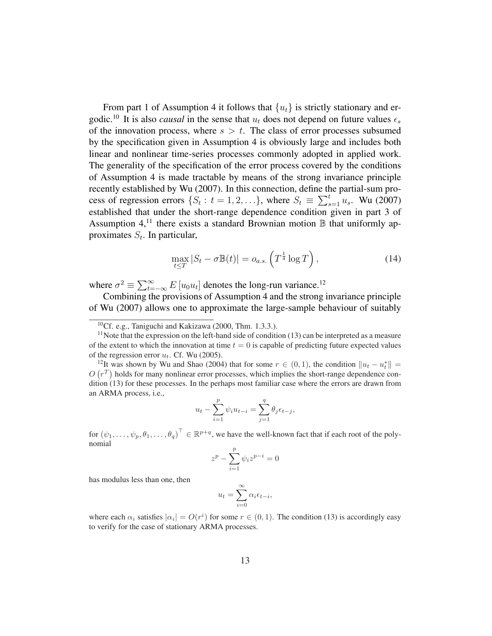From part 1 of Assumption 4 it follows that  $\{u_t\}$  is strictly stationary and ergodic.<sup>10</sup> It is also *causal* in the sense that  $u_t$  does not depend on future values  $\epsilon_s$ of the innovation process, where  $s > t$ . The class of error processes subsumed by the specification given in Assumption 4 is obviously large and includes both linear and nonlinear time-series processes commonly adopted in applied work. The generality of the specification of the error process covered by the conditions of Assumption 4 is made tractable by means of the strong invariance principle recently established by Wu (2007). In this connection, define the partial-sum prorecently established by Wu (2007). In this connection, define the cost of regression errors  $\{S_t: t = 1, 2, ...\}$ , where  $S_t \equiv \sum_s^t$  $_{s=1}^{t}$   $u_s$ . Wu (2007) established that under the short-range dependence condition given in part 3 of Assumption 4,<sup>11</sup> there exists a standard Brownian motion  $\mathbb B$  that uniformly approximates  $S_t$ . In particular,

$$
\max_{t \le T} |S_t - \sigma \mathbb{B}(t)| = o_{a.s.} \left( T^{\frac{1}{4}} \log T \right), \tag{14}
$$

where  $\sigma^2 \equiv \sum_{t=1}^{\infty}$  $\sum_{t=-\infty}^{\infty} E\left[u_0 u_t\right]$  denotes the long-run variance.<sup>12</sup>

Combining the provisions of Assumption 4 and the strong invariance principle of Wu (2007) allows one to approximate the large-sample behaviour of suitably

$$
u_{t} - \sum_{i=1}^{p} \psi_{i} u_{t-i} = \sum_{j=1}^{q} \theta_{j} \epsilon_{t-j},
$$

for  $(\psi_1,\ldots,\psi_p,\theta_1,\ldots,\theta_q)^\top\in\mathbb{R}^{p+q}$ , we have the well-known fact that if each root of the polynomial

$$
z^p - \sum_{i=1}^p \psi_i z^{p-i} = 0
$$

has modulus less than one, then

$$
u_t = \sum_{i=0}^{\infty} \alpha_i \epsilon_{t-i},
$$

where each  $\alpha_i$  satisfies  $|\alpha_i| = O(r^i)$  for some  $r \in (0, 1)$ . The condition (13) is accordingly easy to verify for the case of stationary ARMA processes.

 ${}^{10}$ Cf. e.g., Taniguchi and Kakizawa (2000, Thm. 1.3.3.).

 $<sup>11</sup>$ Note that the expression on the left-hand side of condition (13) can be interpreted as a measure</sup> of the extent to which the innovation at time  $t = 0$  is capable of predicting future expected values of the regression error  $u_t$ . Cf. Wu (2005).

<sup>&</sup>lt;sup>12</sup>It was shown by Wu and Shao (2004) that for some  $r \in (0,1)$ , the condition  $||u_t - u_t^*|| =$  $O(r^T)$  holds for many nonlinear error processes, which implies the short-range dependence condition (13) for these processes. In the perhaps most familiar case where the errors are drawn from an ARMA process, i.e.,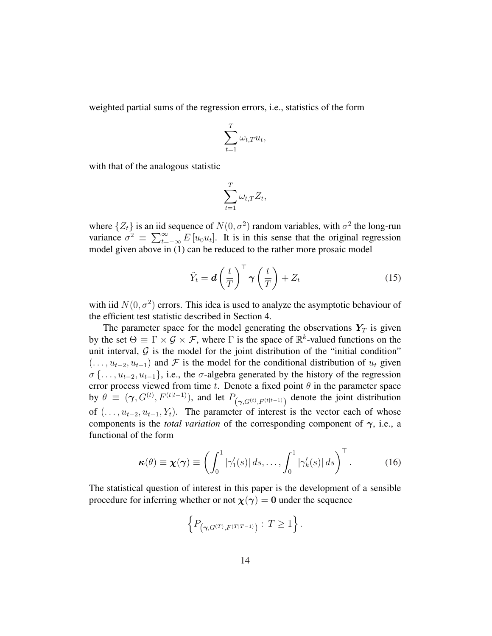weighted partial sums of the regression errors, i.e., statistics of the form

$$
\sum_{t=1}^T \omega_{t,T} u_t,
$$

with that of the analogous statistic

$$
\sum_{t=1}^T \omega_{t,T} Z_t,
$$

where  $\{Z_t\}$  is an iid sequence of  $N(0, \sigma^2)$  random variables, with  $\sigma^2$  the long-run where  $\{Z_t\}$  is an ind<br>variance  $\sigma^2 \equiv \sum_{t=1}^{\infty}$  $\sum_{t=-\infty}^{\infty} E[u_0 u_t]$ . It is in this sense that the original regression model given above in (1) can be reduced to the rather more prosaic model

$$
\tilde{Y}_t = \boldsymbol{d} \left(\frac{t}{T}\right)^{\top} \boldsymbol{\gamma} \left(\frac{t}{T}\right) + Z_t \tag{15}
$$

with iid  $N(0, \sigma^2)$  errors. This idea is used to analyze the asymptotic behaviour of the efficient test statistic described in Section 4.

The parameter space for the model generating the observations  $Y_T$  is given by the set  $\Theta \equiv \Gamma \times \mathcal{G} \times \mathcal{F}$ , where  $\Gamma$  is the space of  $\mathbb{R}^k$ -valued functions on the unit interval,  $G$  is the model for the joint distribution of the "initial condition"  $( \ldots, u_{t-2}, u_{t-1})$  and F is the model for the conditional distribution of  $u_t$  given  $\sigma \{ \ldots, u_{t-2}, u_{t-1} \}$ , i.e., the  $\sigma$ -algebra generated by the history of the regression error process viewed from time t. Denote a fixed point  $\theta$  in the parameter space by  $\theta \equiv (\gamma, G^{(t)}, F^{(t|t-1)})$ , and let  $P_{(\gamma, G^{(t)}, F^{(t|t-1)})}$  denote the joint distribution of  $(\ldots, u_{t-2}, u_{t-1}, Y_t)$ . The parameter of interest is the vector each of whose components is the *total variation* of the corresponding component of  $\gamma$ , i.e., a functional of the form

$$
\boldsymbol{\kappa}(\theta) \equiv \boldsymbol{\chi}(\boldsymbol{\gamma}) \equiv \left( \int_0^1 |\gamma_1'(s)| \, ds, \dots, \int_0^1 |\gamma_k'(s)| \, ds \right)^{\top}.
$$
 (16)

The statistical question of interest in this paper is the development of a sensible procedure for inferring whether or not  $\chi(\gamma) = 0$  under the sequence

$$
\left\{P_{\left(\gamma, G^{(T)}, F^{(T|T-1)}\right)} : T \geq 1\right\}.
$$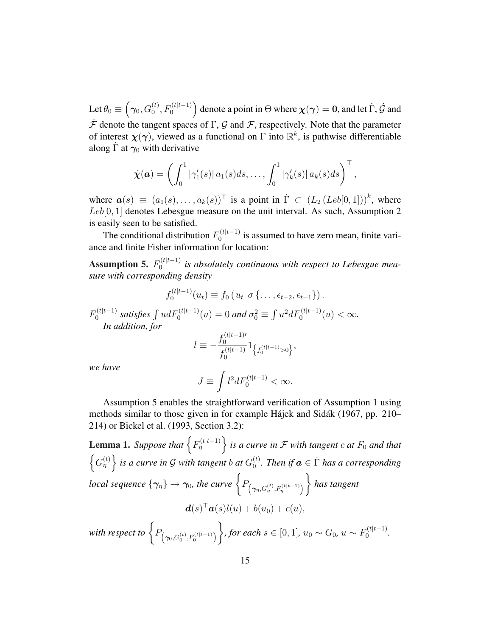Let  $\theta_0 \equiv$  $\overline{a}$  $\boldsymbol{\gamma_0}, G_0^{(t)}, F_0^{(t|t-1)}$ ´ denote a point in  $\Theta$  where  $\chi(\gamma) = 0$ , and let  $\dot{\Gamma}$ ,  $\dot{\mathcal{G}}$  and  $\hat{\mathcal{F}}$  denote the tangent spaces of  $\Gamma$ ,  $\mathcal{G}$  and  $\hat{\mathcal{F}}$ , respectively. Note that the parameter of interest  $\chi(\gamma)$ , viewed as a functional on  $\Gamma$  into  $\mathbb{R}^k$ , is pathwise differentiable along  $\Gamma$  at  $\gamma_0$  with derivative

$$
\dot{\boldsymbol{\chi}}(\boldsymbol{a}) = \left(\int_0^1 |\gamma_1'(s)| a_1(s) ds, \ldots, \int_0^1 |\gamma_k'(s)| a_k(s) ds\right)^\top
$$

,

where  $\mathbf{a}(s) \equiv (a_1(s), \ldots, a_k(s))^{\top}$  is a point in  $\dot{\Gamma} \subset (L_2 (Leb[0,1]))^k$ , where Leb[0, 1] denotes Lebesgue measure on the unit interval. As such, Assumption 2 is easily seen to be satisfied.

The conditional distribution  $F_0^{(t|t-1)}$  $\int_0^{\pi}$  is assumed to have zero mean, finite variance and finite Fisher information for location:

Assumption 5.  $F_0^{(t|t-1)}$  $\int_0^{\ln(t)}$  *is absolutely continuous with respect to Lebesgue measure with corresponding density*

$$
f_0^{(t|t-1)}(u_t) \equiv f_0(u_t|\sigma\{..., \epsilon_{t-2}, \epsilon_{t-1}\}).
$$

 $F_0^{(t|t-1)}$  $\int_0^{(t|t-1)}$  satisfies  $\int u dF_0^{(t|t-1)}(u) = 0$  and  $\sigma_0^2$  ≡  $u^2dF_0^{(t|t-1)}(u) < \infty.$ *In addition, for*  $(t|t-1)$ 

$$
l \equiv -\frac{f_0^{(t|t-1)T}}{f_0^{(t|t-1)}} 1_{\left\{f_0^{(t|t-1)} > 0\right\}},
$$

*we have*

$$
J \equiv \int l^2 dF_0^{(t|t-1)} < \infty.
$$

Assumption 5 enables the straightforward verification of Assumption 1 using methods similar to those given in for example Hajek and Sidak (1967, pp. 210– 214) or Bickel et al. (1993, Section 3.2):

**Lemma 1.** Suppose that  $\Big\{ F_{\eta}^{(t|t-1)} \Big\}$ o *is a curve in*  $\mathcal F$  *with tangent*  $c$  *at*  $F_0$  *and that* nde en de la poste de la poste de la poste de la poste de la poste de la poste de la poste de la poste de la p<br>La poste de la poste de la poste de la poste de la poste de la poste de la poste de la poste de la poste de la  $(G_n^{(t)}\}\)$  is a curve in G with tangent b at  $G_0^{(t)}$  $\binom{t}{0}$ . Then if  $a \in \dot{\Gamma}$  has a corresponding *local sequence*  $\{\gamma_{\eta}\} \rightarrow \gamma_0$ , the curve  $\left\{P_{(\gamma_{\eta},G_{\eta}^{(t)},F_{\eta}^{(t|t-1)})}\right\}$ ´ *has tangent*  $\ddot{\phantom{1}}$  $\boldsymbol{d}(s)^\top \boldsymbol{a}(s)l(u) + b(u_0) + c(u),$ with respect to  $\bigg\{P_{\left(\boldsymbol{\gamma}_0,G_0^{(t)},F_0^{(t|t-1)}\right)}$ ´  $\mathbf{A}^{\dagger}$ *, for each s* ∈ [0, 1],  $u_0 \sim G_0$ ,  $u \sim F_0^{(t|t-1)}$  $0^{(t|t-1)}$ .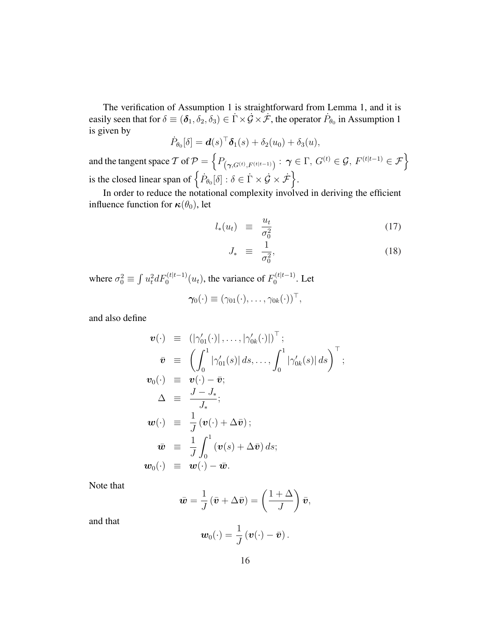The verification of Assumption 1 is straightforward from Lemma 1, and it is easily seen that for  $\delta \equiv (\delta_1, \delta_2, \delta_3) \in \dot{\Gamma} \times \dot{\mathcal{G}} \times \dot{\mathcal{F}}$ , the operator  $\dot{P}_{\theta_0}$  in Assumption 1 is given by

$$
\dot{P}_{\theta_0}[\delta] = \boldsymbol{d}(s)^\top \boldsymbol{\delta}_1(s) + \delta_2(u_0) + \delta_3(u),
$$

and the tangent space T of  $P =$  $P_{(\boldsymbol{\gamma}, G^{(t)}, F^{(t|t-1)})}: \ \boldsymbol{\gamma} \in \Gamma,\, G^{(t)} \in \mathcal{G},\, F^{(t|t-1)} \in \mathcal{F}\Big\}$ is the closed linear span of  $\left\{\dot{P}_{\theta_0}[\delta]: \delta \in \dot{\Gamma} \times \dot{\mathcal{G}} \times \dot{\mathcal{F}}\right\}$ o .

In order to reduce the notational complexity involved in deriving the efficient influence function for  $\kappa(\theta_0)$ , let

$$
l_*(u_t) \equiv \frac{u_t}{\sigma_0^2} \tag{17}
$$

$$
J_* \equiv \frac{1}{\sigma_0^2}, \tag{18}
$$

where  $\sigma_0^2 \equiv$ R  $u_t^2 dF_0^{(t|t-1)}(u_t)$ , the variance of  $F_0^{(t|t-1)}$  $10^{(t|t-1)}$ . Let

$$
\boldsymbol{\gamma_0}(\cdot) \equiv (\gamma_{01}(\cdot), \ldots, \gamma_{0k}(\cdot))^{\top},
$$

and also define

$$
\mathbf{v}(\cdot) \equiv (|\gamma'_{01}(\cdot)|, \dots, |\gamma'_{0k}(\cdot)|)^{\top};
$$
\n
$$
\bar{\mathbf{v}} \equiv \left( \int_0^1 |\gamma'_{01}(s)| ds, \dots, \int_0^1 |\gamma'_{0k}(s)| ds \right)^{\top};
$$
\n
$$
\mathbf{v}_0(\cdot) \equiv \mathbf{v}(\cdot) - \bar{\mathbf{v}};
$$
\n
$$
\Delta \equiv \frac{J - J_*}{J_*};
$$
\n
$$
\mathbf{w}(\cdot) \equiv \frac{1}{J} (\mathbf{v}(\cdot) + \Delta \bar{\mathbf{v}});
$$
\n
$$
\bar{\mathbf{w}} \equiv \frac{1}{J} \int_0^1 (\mathbf{v}(s) + \Delta \bar{\mathbf{v}}) ds;
$$
\n
$$
\mathbf{w}_0(\cdot) \equiv \mathbf{w}(\cdot) - \bar{\mathbf{w}}.
$$

Note that

$$
\bar{\boldsymbol{w}} = \frac{1}{J} \left( \bar{\boldsymbol{v}} + \Delta \bar{\boldsymbol{v}} \right) = \left( \frac{1 + \Delta}{J} \right) \bar{\boldsymbol{v}},
$$

and that

$$
\boldsymbol{w}_0(\cdot)=\frac{1}{J}\left(\boldsymbol{v}(\cdot)-\bar{\boldsymbol{v}}\right).
$$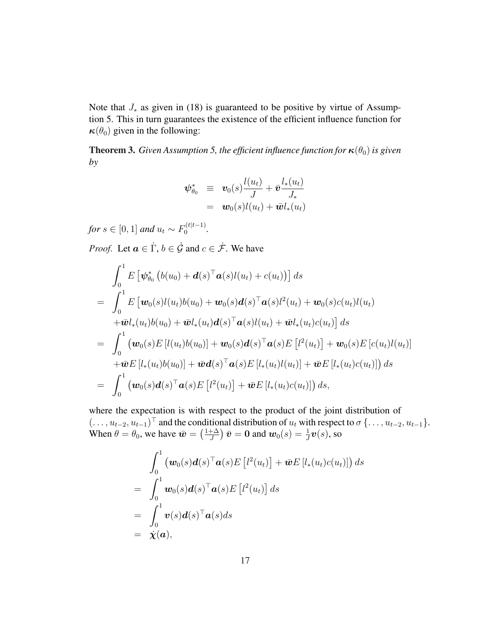Note that  $J_*$  as given in (18) is guaranteed to be positive by virtue of Assumption 5. This in turn guarantees the existence of the efficient influence function for  $\kappa(\theta_0)$  given in the following:

**Theorem 3.** *Given Assumption 5, the efficient influence function for*  $\kappa(\theta_0)$  *is given by*

$$
\begin{array}{rcl}\n\boldsymbol{\psi}_{\theta_0}^* & \equiv & \boldsymbol{v}_0(s) \frac{l(u_t)}{J} + \bar{\boldsymbol{v}} \frac{l_*(u_t)}{J_*} \\
& = & \boldsymbol{w}_0(s) l(u_t) + \bar{\boldsymbol{w}} l_*(u_t)\n\end{array}
$$

 $for s \in [0,1]$  and  $u_t \sim F_0^{(t|t-1)}$  $\frac{1}{0}$ <sup>(t|t-1)</sup>.

*Proof.* Let  $a \in \dot{\Gamma}$ ,  $b \in \dot{\mathcal{G}}$  and  $c \in \dot{\mathcal{F}}$ . We have

$$
\int_{0}^{1} E\left[\psi_{\theta_{0}}^{*} \left(b(u_{0}) + \boldsymbol{d}(s)^{\top} \boldsymbol{a}(s) l(u_{t}) + c(u_{t})\right)\right] ds
$$
\n
$$
= \int_{0}^{1} E\left[\boldsymbol{w}_{0}(s) l(u_{t}) b(u_{0}) + \boldsymbol{w}_{0}(s) \boldsymbol{d}(s)^{\top} \boldsymbol{a}(s) l^{2}(u_{t}) + \boldsymbol{w}_{0}(s) c(u_{t}) l(u_{t})\right]
$$
\n
$$
+ \bar{\boldsymbol{w}} l_{*}(u_{t}) b(u_{0}) + \bar{\boldsymbol{w}} l_{*}(u_{t}) \boldsymbol{d}(s)^{\top} \boldsymbol{a}(s) l(u_{t}) + \bar{\boldsymbol{w}} l_{*}(u_{t}) c(u_{t})\right] ds
$$
\n
$$
= \int_{0}^{1} \left(\boldsymbol{w}_{0}(s) E\left[l(u_{t}) b(u_{0})\right] + \boldsymbol{w}_{0}(s) \boldsymbol{d}(s)^{\top} \boldsymbol{a}(s) E\left[l^{2}(u_{t})\right] + \boldsymbol{w}_{0}(s) E\left[c(u_{t}) l(u_{t})\right]\right]
$$
\n
$$
+ \bar{\boldsymbol{w}} E\left[l_{*}(u_{t}) b(u_{0})\right] + \bar{\boldsymbol{w}} \boldsymbol{d}(s)^{\top} \boldsymbol{a}(s) E\left[l_{*}(u_{t}) l(u_{t})\right] + \bar{\boldsymbol{w}} E\left[l_{*}(u_{t}) c(u_{t})\right]\right) ds
$$
\n
$$
= \int_{0}^{1} \left(\boldsymbol{w}_{0}(s) \boldsymbol{d}(s)^{\top} \boldsymbol{a}(s) E\left[l^{2}(u_{t})\right] + \bar{\boldsymbol{w}} E\left[l_{*}(u_{t}) c(u_{t})\right]\right) ds,
$$

where the expectation is with respect to the product of the joint distribution of  $(\ldots, u_{t-2}, u_{t-1})^{\top}$  and the conditional distribution of  $u_t$  with respect to  $\sigma \{ \ldots, u_{t-2}, u_{t-1} \}.$ When  $\theta = \theta_0$ , we have  $\bar{\mathbf{w}} =$ 101110<br>∆+1 *(* J ¢  $\bar{\boldsymbol{v}} = \boldsymbol{0}$  and  $\boldsymbol{w}_0(s) = \frac{1}{J}\boldsymbol{v}(s)$ , so

$$
\int_0^1 \left( \boldsymbol{w}_0(s) \boldsymbol{d}(s)^\top \boldsymbol{a}(s) E\left[l^2(u_t)\right] + \bar{\boldsymbol{w}} E\left[l_*(u_t)c(u_t)\right] \right) ds
$$
\n
$$
= \int_0^1 \boldsymbol{w}_0(s) \boldsymbol{d}(s)^\top \boldsymbol{a}(s) E\left[l^2(u_t)\right] ds
$$
\n
$$
= \int_0^1 \boldsymbol{v}(s) \boldsymbol{d}(s)^\top \boldsymbol{a}(s) ds
$$
\n
$$
= \dot{\boldsymbol{\chi}}(\boldsymbol{a}),
$$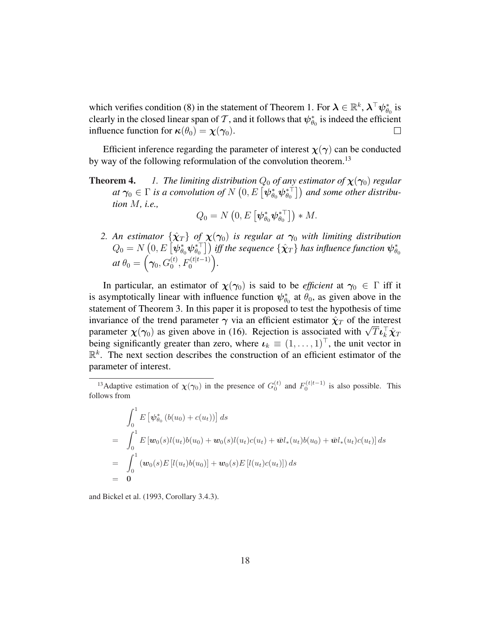which verifies condition (8) in the statement of Theorem 1. For  $\lambda \in \mathbb{R}^k$ ,  $\lambda^\top \psi_{\theta_0}^*$  is clearly in the closed linear span of  $\mathcal T,$  and it follows that  $\psi^*_{\theta_0}$  is indeed the efficient influence function for  $\kappa(\theta_0) = \chi(\gamma_0)$ .

Efficient inference regarding the parameter of interest  $\chi(\gamma)$  can be conducted by way of the following reformulation of the convolution theorem.<sup>13</sup>

**Theorem 4.** *1. The limiting distribution*  $Q_0$  *of any estimator of*  $\chi(\gamma_0)$  *regular* **and 4.** The uniting aistribution  $Q_0$  of any estimator of  $\chi(\gamma_0)$  regular at  $\gamma_0 \in \Gamma$  is a convolution of  $N(0, E[\psi_{\theta_0}^*\psi_{\theta_0}^{**}])$  and some other distribu*tion* M*, i.e.,* ¡

$$
Q_0 = N\left(0, E\left[\boldsymbol{\psi}_{\theta_0}^* \boldsymbol{\psi}_{\theta_0}^{* \top}\right]\right) * M.
$$

2. An estimator  $\{\hat{\chi}_T\}$  of  $\chi(\gamma_0)$  is regular at  $\gamma_0$  with limiting distribution An estimator  $\{\chi_T\}$  of  $\chi(\gamma_0)$  is regular at  $\gamma_0$  with limiting alstribution<br> $Q_0 = N\left(0, E\left[\psi_{\theta_0}^*\psi_{\theta_0}^{*\top}\right]\right)$  iff the sequence  $\{\hat{\chi}_T\}$  has influence function  $\psi_{\theta_0}^*$  $at \theta_0 =$  $\overline{ }$  $\boldsymbol{\gamma}_0, G_0^{(t)}, F_0^{(t|t-1)}$  $\ddot{\cdot}$ *.*

In particular, an estimator of  $\chi(\gamma_0)$  is said to be *efficient* at  $\gamma_0 \in \Gamma$  iff it is asymptotically linear with influence function  $\psi_{\theta_0}^*$  at  $\theta_0$ , as given above in the statement of Theorem 3. In this paper it is proposed to test the hypothesis of time invariance of the trend parameter  $\gamma$  via an efficient estimator  $\hat{\chi}_T$  of the interest mvariance of the trend parameter  $\gamma$  via an efficient estimator  $\chi_T$  of the interest<br>parameter  $\chi(\gamma_0)$  as given above in (16). Rejection is associated with  $\sqrt{T} \iota_k^{\top} \hat{\chi}_T$ being significantly greater than zero, where  $\boldsymbol{\iota}_k \equiv (1, \ldots, 1)^\top$ , the unit vector in  $\mathbb{R}^k$ . The next section describes the construction of an efficient estimator of the parameter of interest.

$$
\int_0^1 E\left[\psi_{\theta_0}^* (b(u_0) + c(u_t))\right] ds
$$
\n
$$
= \int_0^1 E\left[\mathbf{w}_0(s)l(u_t)b(u_0) + \mathbf{w}_0(s)l(u_t)c(u_t) + \bar{\mathbf{w}}l_*(u_t)b(u_0) + \bar{\mathbf{w}}l_*(u_t)c(u_t)\right] ds
$$
\n
$$
= \int_0^1 \left(\mathbf{w}_0(s)E\left[l(u_t)b(u_0)\right] + \mathbf{w}_0(s)E\left[l(u_t)c(u_t)\right]\right) ds
$$
\n
$$
= \mathbf{0}
$$

and Bickel et al. (1993, Corollary 3.4.3).

<sup>&</sup>lt;sup>13</sup>Adaptive estimation of  $\chi(\gamma_0)$  in the presence of  $G_0^{(t)}$  and  $F_0^{(t|t-1)}$  is also possible. This follows from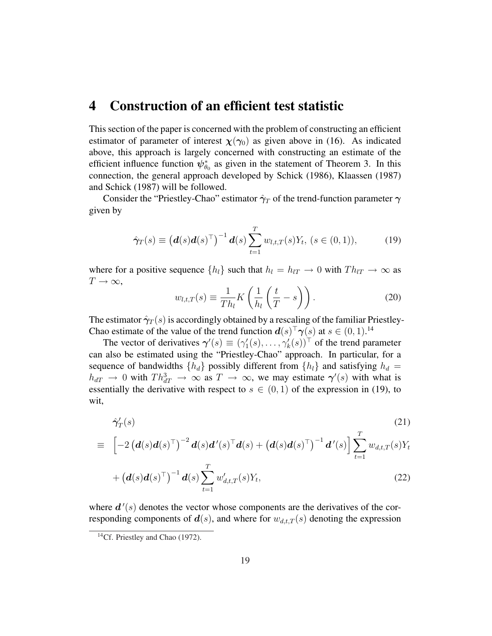# 4 Construction of an efficient test statistic

This section of the paper is concerned with the problem of constructing an efficient estimator of parameter of interest  $\chi(\gamma_0)$  as given above in (16). As indicated above, this approach is largely concerned with constructing an estimate of the efficient influence function  $\psi_{\theta_0}^*$  as given in the statement of Theorem 3. In this connection, the general approach developed by Schick (1986), Klaassen (1987) and Schick (1987) will be followed.

Consider the "Priestley-Chao" estimator  $\hat{\gamma}_T$  of the trend-function parameter  $\gamma$ given by

$$
\hat{\gamma}_T(s) \equiv \left(\mathbf{d}(s)\mathbf{d}(s)^{\top}\right)^{-1}\mathbf{d}(s)\sum_{t=1}^T w_{l,t,T}(s)Y_t, \ (s \in (0,1)), \tag{19}
$$

where for a positive sequence  $\{h_l\}$  such that  $h_l = h_{lT} \rightarrow 0$  with  $Th_{lT} \rightarrow \infty$  as  $T\rightarrow\infty$ ,  $\overline{a}$  $\overline{a}$  $\sqrt{ }$ 

$$
w_{l,t,T}(s) \equiv \frac{1}{Th_l} K\left(\frac{1}{h_l}\left(\frac{t}{T} - s\right)\right). \tag{20}
$$

The estimator  $\hat{\gamma}_T(s)$  is accordingly obtained by a rescaling of the familiar Priestley-Chao estimate of the value of the trend function  $d(s)^\top \gamma(s)$  at  $s \in (0,1)$ .<sup>14</sup>

The vector of derivatives  $\gamma'(s) \equiv (\gamma_1'(s), \dots, \gamma_k'(s))^{\top}$  of the trend parameter can also be estimated using the "Priestley-Chao" approach. In particular, for a sequence of bandwidths  $\{h_d\}$  possibly different from  $\{h_l\}$  and satisfying  $h_d =$  $h_{dT} \to 0$  with  $Th_{dT}^3 \to \infty$  as  $T \to \infty$ , we may estimate  $\gamma'(s)$  with what is essentially the derivative with respect to  $s \in (0,1)$  of the expression in (19), to wit,

$$
\hat{\gamma}'_{T}(s) \tag{21}
$$
\n
$$
\equiv \left[ -2 \left( \boldsymbol{d}(s) \boldsymbol{d}(s)^{\top} \right)^{-2} \boldsymbol{d}(s) \boldsymbol{d}'(s)^{\top} \boldsymbol{d}(s) + \left( \boldsymbol{d}(s) \boldsymbol{d}(s)^{\top} \right)^{-1} \boldsymbol{d}'(s) \right] \sum_{t=1}^{T} w_{d,t,T}(s) Y_{t}
$$

$$
+\left(\boldsymbol{d}(s)\boldsymbol{d}(s)^{\top}\right)^{-1}\boldsymbol{d}(s)\sum_{t=1}^{T}w_{d,t,T}'(s)Y_t,
$$
\n(22)

where  $d'(s)$  denotes the vector whose components are the derivatives of the corresponding components of  $d(s)$ , and where for  $w_{d,t,T}(s)$  denoting the expression

<sup>&</sup>lt;sup>14</sup>Cf. Priestley and Chao (1972).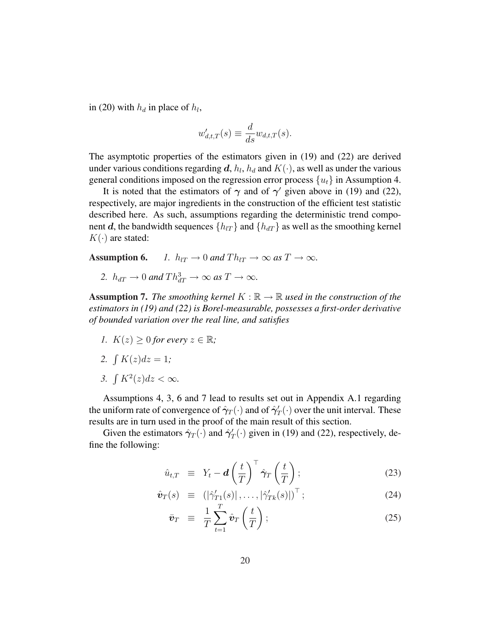in (20) with  $h_d$  in place of  $h_l$ ,

$$
w'_{d,t,T}(s) \equiv \frac{d}{ds} w_{d,t,T}(s).
$$

The asymptotic properties of the estimators given in (19) and (22) are derived under various conditions regarding  $\boldsymbol{d}$ ,  $h_l$ ,  $h_d$  and  $K(\cdot)$ , as well as under the various general conditions imposed on the regression error process  $\{u_t\}$  in Assumption 4.

It is noted that the estimators of  $\gamma$  and of  $\gamma'$  given above in (19) and (22), respectively, are major ingredients in the construction of the efficient test statistic described here. As such, assumptions regarding the deterministic trend component d, the bandwidth sequences  $\{h_{UT}\}\$  and  $\{h_{dT}\}\$  as well as the smoothing kernel  $K(\cdot)$  are stated:

Assumption 6. *1.*  $h_{IT} \rightarrow 0$  and  $Th_{IT} \rightarrow \infty$  as  $T \rightarrow \infty$ .

2.  $h_{dT} \rightarrow 0$  and  $Th_{dT}^3 \rightarrow \infty$  as  $T \rightarrow \infty$ .

**Assumption 7.** *The smoothing kernel*  $K : \mathbb{R} \to \mathbb{R}$  *used in the construction of the estimators in (19) and (22) is Borel-measurable, possesses a first-order derivative of bounded variation over the real line, and satisfies*

*1.*  $K(z) \geq 0$  for every  $z \in \mathbb{R}$ ;

$$
2. \ \int K(z)dz = 1;
$$

*3.*  $\int K^2(z) dz < \infty$ .

Assumptions 4, 3, 6 and 7 lead to results set out in Appendix A.1 regarding the uniform rate of convergence of  $\hat{\gamma}_T(\cdot)$  and of  $\hat{\gamma}'_T(\cdot)$  over the unit interval. These results are in turn used in the proof of the main result of this section.

Given the estimators  $\hat{\gamma}_T(\cdot)$  and  $\hat{\gamma}'_T(\cdot)$  given in (19) and (22), respectively, define the following:

$$
\hat{u}_{t,T} \equiv Y_t - d \left(\frac{t}{T}\right)^{\top} \hat{\gamma}_T \left(\frac{t}{T}\right); \qquad (23)
$$

$$
\hat{\boldsymbol{v}}_T(s) \equiv (|\hat{\gamma}'_{T1}(s)|, \dots, |\hat{\gamma}'_{Tk}(s)|)^\top; \tag{24}
$$

$$
\bar{\boldsymbol{v}}_T \ \equiv \ \frac{1}{T} \sum_{t=1}^T \hat{\boldsymbol{v}}_T \left(\frac{t}{T}\right); \tag{25}
$$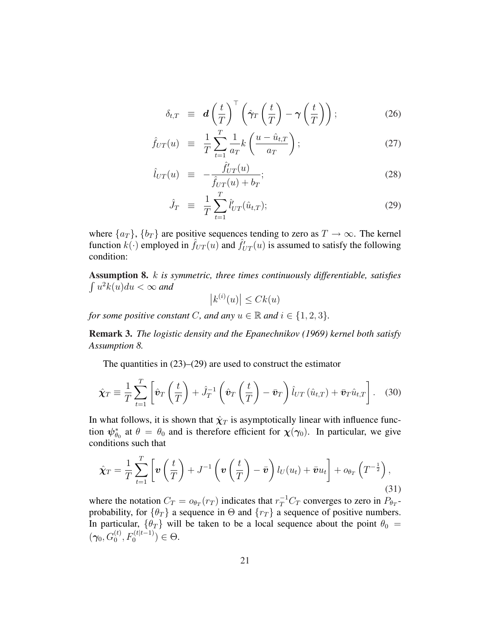$$
\delta_{t,T} \equiv d \left( \frac{t}{T} \right)^{\top} \left( \hat{\gamma}_T \left( \frac{t}{T} \right) - \gamma \left( \frac{t}{T} \right) \right); \tag{26}
$$

$$
\hat{f}_{UT}(u) \equiv \frac{1}{T} \sum_{t=1}^{T} \frac{1}{a_T} k\left(\frac{u - \hat{u}_{t,T}}{a_T}\right); \tag{27}
$$

$$
\hat{l}_{UT}(u) \equiv -\frac{\hat{f}_{UT}'(u)}{\hat{f}_{UT}(u) + b_T};
$$
\n(28)

$$
\hat{J}_T \equiv \frac{1}{T} \sum_{t=1}^T \hat{l}'_{UT}(\hat{u}_{t,T}); \tag{29}
$$

where  $\{a_T\}$ ,  $\{b_T\}$  are positive sequences tending to zero as  $T \to \infty$ . The kernel function  $k(\cdot)$  employed in  $\hat{f}_{UT}(u)$  and  $\hat{f}_{UT}'(u)$  is assumed to satisfy the following condition:

Assumption 8. k *is symmetric, three times continuously differentiable, satisfies* R  $u^2k(u)du < \infty$  and

 $\vert k^{(i)}(u) \vert$  $\vert \leq C k(u)$ 

*for some positive constant C, and any*  $u \in \mathbb{R}$  *and*  $i \in \{1, 2, 3\}$ *.* 

Remark 3. *The logistic density and the Epanechnikov (1969) kernel both satisfy Assumption 8.*

The quantities in  $(23)$ – $(29)$  are used to construct the estimator

$$
\hat{\boldsymbol{\chi}}_T \equiv \frac{1}{T} \sum_{t=1}^T \left[ \hat{\boldsymbol{v}}_T \left( \frac{t}{T} \right) + \hat{J}_T^{-1} \left( \hat{\boldsymbol{v}}_T \left( \frac{t}{T} \right) - \bar{\boldsymbol{v}}_T \right) \hat{l}_{UT} \left( \hat{u}_{t,T} \right) + \bar{\boldsymbol{v}}_T \hat{u}_{t,T} \right]. \tag{30}
$$

In what follows, it is shown that  $\hat{\chi}_T$  is asymptotically linear with influence function  $\psi_{\theta_0}^*$  at  $\theta = \theta_0$  and is therefore efficient for  $\chi(\gamma_0)$ . In particular, we give conditions such that

$$
\hat{\boldsymbol{\chi}}_T = \frac{1}{T} \sum_{t=1}^T \left[ \boldsymbol{v} \left( \frac{t}{T} \right) + J^{-1} \left( \boldsymbol{v} \left( \frac{t}{T} \right) - \bar{\boldsymbol{v}} \right) l_U(u_t) + \bar{\boldsymbol{v}} u_t \right] + o_{\theta_T} \left( T^{-\frac{1}{2}} \right), \tag{31}
$$

where the notation  $C_T = o_{\theta_T}(r_T)$  indicates that  $r_T^{-1}C_T$  converges to zero in  $P_{\theta_T}$ probability, for  $\{\theta_T\}$  a sequence in  $\Theta$  and  $\{r_T\}$  a sequence of positive numbers. In particular,  $\{\theta_T\}$  will be taken to be a local sequence about the point  $\theta_0 =$  $(\gamma_0, G_0^{(t)}, F_0^{(t|t-1)}) \in \Theta.$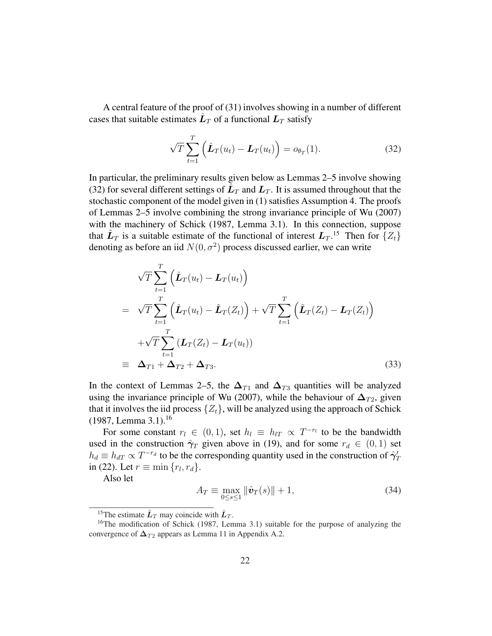A central feature of the proof of (31) involves showing in a number of different cases that suitable estimates  $\hat{L}_T$  of a functional  $L_T$  satisfy

$$
\sqrt{T} \sum_{t=1}^{T} \left( \hat{\boldsymbol{L}}_T(u_t) - \boldsymbol{L}_T(u_t) \right) = o_{\theta_T}(1). \tag{32}
$$

In particular, the preliminary results given below as Lemmas 2–5 involve showing (32) for several different settings of  $\tilde{L}_T$  and  $L_T$ . It is assumed throughout that the stochastic component of the model given in (1) satisfies Assumption 4. The proofs of Lemmas 2–5 involve combining the strong invariance principle of Wu (2007) with the machinery of Schick (1987, Lemma 3.1). In this connection, suppose that  $\tilde{L}_T$  is a suitable estimate of the functional of interest  $L_T$ .<sup>15</sup> Then for  $\{Z_t\}$ denoting as before an iid  $N(0, \sigma^2)$  process discussed earlier, we can write

$$
\sqrt{T} \sum_{t=1}^{T} \left( \hat{\mathbf{L}}_{T}(u_{t}) - \mathbf{L}_{T}(u_{t}) \right)
$$
\n
$$
= \sqrt{T} \sum_{t=1}^{T} \left( \hat{\mathbf{L}}_{T}(u_{t}) - \tilde{\mathbf{L}}_{T}(Z_{t}) \right) + \sqrt{T} \sum_{t=1}^{T} \left( \tilde{\mathbf{L}}_{T}(Z_{t}) - \mathbf{L}_{T}(Z_{t}) \right)
$$
\n
$$
+ \sqrt{T} \sum_{t=1}^{T} \left( \mathbf{L}_{T}(Z_{t}) - \mathbf{L}_{T}(u_{t}) \right)
$$
\n
$$
\equiv \Delta_{T1} + \Delta_{T2} + \Delta_{T3}.
$$
\n(33)

In the context of Lemmas 2–5, the  $\Delta_{T1}$  and  $\Delta_{T3}$  quantities will be analyzed using the invariance principle of Wu (2007), while the behaviour of  $\Delta_{T2}$ , given that it involves the iid process  $\{Z_t\}$ , will be analyzed using the approach of Schick (1987, Lemma 3.1).<sup>16</sup>

For some constant  $r_l \in (0,1)$ , set  $h_l \equiv h_{lT} \propto T^{-r_l}$  to be the bandwidth used in the construction  $\hat{\gamma}_T$  given above in (19), and for some  $r_d \in (0,1)$  set  $h_d \equiv h_{dT} \propto T^{-r_d}$  to be the corresponding quantity used in the construction of  $\hat{\gamma}'_T$ in (22). Let  $r \equiv \min \{r_l, r_d\}$ .

Also let

$$
A_T \equiv \max_{0 \le s \le 1} \|\hat{\mathbf{v}}_T(s)\| + 1,\tag{34}
$$

<sup>&</sup>lt;sup>15</sup>The estimate  $\tilde{L}_T$  may coincide with  $\hat{L}_T$ .

<sup>&</sup>lt;sup>16</sup>The modification of Schick (1987, Lemma 3.1) suitable for the purpose of analyzing the convergence of  $\Delta_{T2}$  appears as Lemma 11 in Appendix A.2.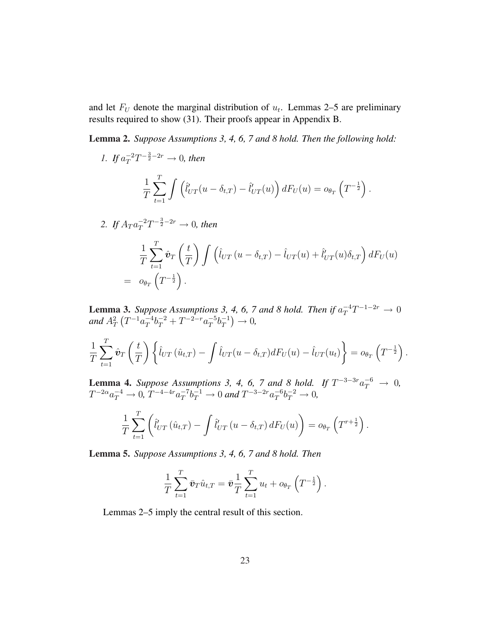and let  $F_U$  denote the marginal distribution of  $u_t$ . Lemmas 2–5 are preliminary results required to show (31). Their proofs appear in Appendix B.

Lemma 2. *Suppose Assumptions 3, 4, 6, 7 and 8 hold. Then the following hold:*

1. If 
$$
a_T^{-2}T^{-\frac{3}{2}-2r} \to 0
$$
, then  
\n
$$
\frac{1}{T}\sum_{t=1}^T \int \left(\hat{l}_{UT}^t(u-\delta_{t,T}) - \hat{l}_{UT}^t(u)\right)dF_U(u) = o_{\theta_T}\left(T^{-\frac{1}{2}}\right).
$$
\n2. If  $A_T a_T^{-2}T^{-\frac{3}{2}-2r} \to 0$ , then

$$
\frac{1}{T} \sum_{t=1}^T \hat{\boldsymbol{v}}_T \left(\frac{t}{T}\right) \int \left(\hat{l}_{UT} \left(u - \delta_{t,T}\right) - \hat{l}_{UT}(u) + \hat{l}'_{UT}(u)\delta_{t,T}\right) dF_U(u) \n= o_{\theta_T}\left(T^{-\frac{1}{2}}\right).
$$

**Lemma 3.** Suppose Assumptions 3, 4, 6, 7 and 8 hold. Then if  $a_T^{-4}T^{-1-2r} \to 0$ and  $A_T^2$ ¡  $T^{-1}a_T^{-4}$  $T^{-4}b_T^{-2} + T^{-2-r}a_T^{-5}$  $T^{-5} b_T^{-1}$ T  $\frac{4}{1}$ → 0*,*

$$
\frac{1}{T} \sum_{t=1}^T \hat{\boldsymbol{v}}_T \left(\frac{t}{T}\right) \left\{\hat{l}_{UT} \left(\hat{u}_{t,T}\right) - \int \hat{l}_{UT} \left(u - \delta_{t,T}\right) dF_U(u) - \hat{l}_{UT} \left(u_t\right) \right\} = o_{\theta_T} \left(T^{-\frac{1}{2}}\right).
$$

**Lemma 4.** Suppose Assumptions 3, 4, 6, 7 and 8 hold. If  $T^{-3-3r}a_T^{-6} \rightarrow 0$ ,  $T^{-2\alpha}a_T^{-4} \to 0$ ,  $T^{-4-4r}a_T^{-7}$  $T^{-7}b_T^{-1} \to 0$  and  $T^{-3-2r}a_T^{-6}$  $T^{-6}b_T^{-2} \to 0,$ 

$$
\frac{1}{T} \sum_{t=1}^T \left( \hat{l}'_{UT} (\hat{u}_{t,T}) - \int \hat{l}'_{UT} (u - \delta_{t,T}) dF_U(u) \right) = o_{\theta_T} \left( T^{r+\frac{1}{2}} \right).
$$

Lemma 5. *Suppose Assumptions 3, 4, 6, 7 and 8 hold. Then*

$$
\frac{1}{T} \sum_{t=1}^T \bar{\boldsymbol{v}}_T \hat{u}_{t,T} = \bar{\boldsymbol{v}} \frac{1}{T} \sum_{t=1}^T u_t + o_{\theta_T} \left( T^{-\frac{1}{2}} \right).
$$

Lemmas 2–5 imply the central result of this section.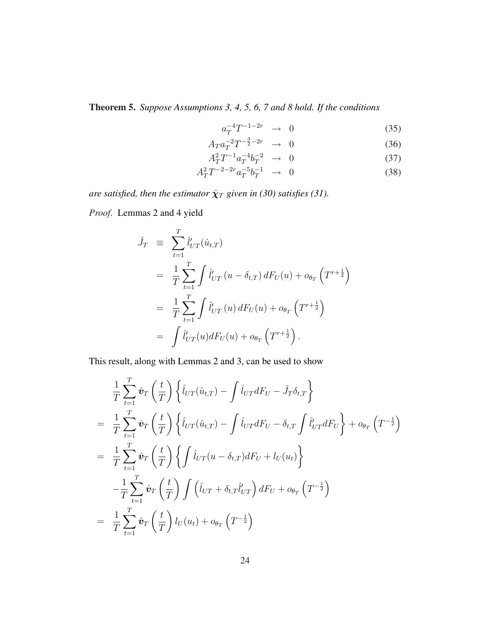Theorem 5. *Suppose Assumptions 3, 4, 5, 6, 7 and 8 hold. If the conditions*

$$
a_T^{-4}T^{-1-2r} \rightarrow 0 \tag{35}
$$

$$
A_T a_T^{-2} T^{-\frac{3}{2} - 2r} \rightarrow 0 \tag{36}
$$

$$
A_T^2 T^{-1} a_T^{-4} b_T^{-2} \to 0 \tag{37}
$$

$$
A_T^2 T^{-2-2r} a_T^{-5} b_T^{-1} \to 0 \tag{38}
$$

*are satisfied, then the estimator*  $\hat{\chi}_T$  *given in (30) satisfies (31).* 

*Proof.* Lemmas 2 and 4 yield

$$
\hat{J}_T \equiv \sum_{t=1}^T \hat{l}'_{UT}(\hat{u}_{t,T})
$$
\n
$$
= \frac{1}{T} \sum_{t=1}^T \int \hat{l}'_{UT} (u - \delta_{t,T}) dF_U(u) + o_{\theta_T} (T^{r+\frac{1}{2}})
$$
\n
$$
= \frac{1}{T} \sum_{t=1}^T \int \hat{l}'_{UT} (u) dF_U(u) + o_{\theta_T} (T^{r+\frac{1}{2}})
$$
\n
$$
= \int \hat{l}'_{UT} (u) dF_U(u) + o_{\theta_T} (T^{r+\frac{1}{2}}).
$$

This result, along with Lemmas 2 and 3, can be used to show

$$
\frac{1}{T} \sum_{t=1}^{T} \hat{\mathbf{v}}_{T} \left(\frac{t}{T}\right) \left\{ \hat{l}_{UT}(\hat{u}_{t,T}) - \int \hat{l}_{UT} dF_{U} - \hat{J}_{T}\delta_{t,T} \right\} \n= \frac{1}{T} \sum_{t=1}^{T} \hat{\mathbf{v}}_{T} \left(\frac{t}{T}\right) \left\{ \hat{l}_{UT}(\hat{u}_{t,T}) - \int \hat{l}_{UT} dF_{U} - \delta_{t,T} \int \hat{l}'_{UT} dF_{U} \right\} + o_{\theta_{T}} \left(T^{-\frac{1}{2}}\right) \n= \frac{1}{T} \sum_{t=1}^{T} \hat{\mathbf{v}}_{T} \left(\frac{t}{T}\right) \left\{ \int \hat{l}_{UT} (u - \delta_{t,T}) dF_{U} + l_{U}(u_{t}) \right\} \n- \frac{1}{T} \sum_{t=1}^{T} \hat{\mathbf{v}}_{T} \left(\frac{t}{T}\right) \int \left(\hat{l}_{UT} + \delta_{t,T} \hat{l}'_{UT}\right) dF_{U} + o_{\theta_{T}} \left(T^{-\frac{1}{2}}\right) \n= \frac{1}{T} \sum_{t=1}^{T} \hat{\mathbf{v}}_{T} \left(\frac{t}{T}\right) l_{U}(u_{t}) + o_{\theta_{T}} \left(T^{-\frac{1}{2}}\right)
$$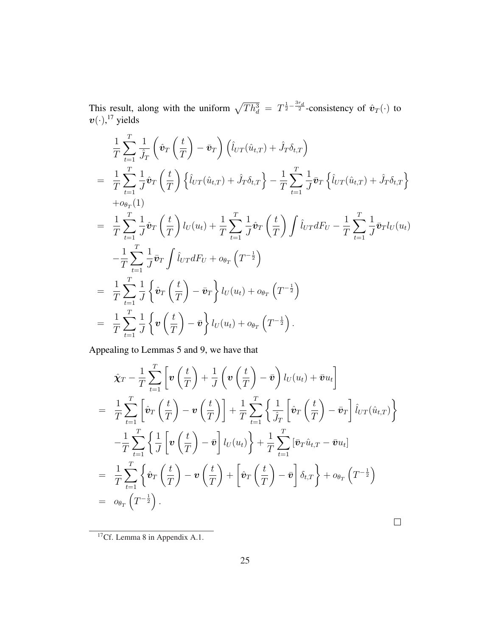This result, along with the uniform  $\sqrt{Th_d^3} = T^{\frac{1}{2} - \frac{3r_d}{2}}$ -consistency of  $\hat{v}_T(\cdot)$  to  $\boldsymbol{v}(\cdot),^{17}$  yields

$$
\frac{1}{T} \sum_{t=1}^{T} \frac{1}{\hat{J}_{T}} \left( \hat{\mathbf{v}}_{T} \left( \frac{t}{T} \right) - \bar{\mathbf{v}}_{T} \right) \left( \hat{l}_{UT} (\hat{u}_{t,T}) + \hat{J}_{T} \delta_{t,T} \right) \n= \frac{1}{T} \sum_{t=1}^{T} \frac{1}{J} \hat{\mathbf{v}}_{T} \left( \frac{t}{T} \right) \left\{ \hat{l}_{UT} (\hat{u}_{t,T}) + \hat{J}_{T} \delta_{t,T} \right\} - \frac{1}{T} \sum_{t=1}^{T} \frac{1}{J} \bar{\mathbf{v}}_{T} \left\{ \hat{l}_{UT} (\hat{u}_{t,T}) + \hat{J}_{T} \delta_{t,T} \right\} \n+ o_{\theta_{T}}(1) \n= \frac{1}{T} \sum_{t=1}^{T} \frac{1}{J} \hat{\mathbf{v}}_{T} \left( \frac{t}{T} \right) l_{U}(u_{t}) + \frac{1}{T} \sum_{t=1}^{T} \frac{1}{J} \hat{\mathbf{v}}_{T} \left( \frac{t}{T} \right) \int \hat{l}_{UT} dF_{U} - \frac{1}{T} \sum_{t=1}^{T} \frac{1}{J} \bar{\mathbf{v}}_{T} l_{U}(u_{t}) \n- \frac{1}{T} \sum_{t=1}^{T} \frac{1}{J} \bar{\mathbf{v}}_{T} \int \hat{l}_{UT} dF_{U} + o_{\theta_{T}} \left( T^{-\frac{1}{2}} \right) \n= \frac{1}{T} \sum_{t=1}^{T} \frac{1}{J} \left\{ \hat{\mathbf{v}}_{T} \left( \frac{t}{T} \right) - \bar{\mathbf{v}}_{T} \right\} l_{U}(u_{t}) + o_{\theta_{T}} \left( T^{-\frac{1}{2}} \right) \n= \frac{1}{T} \sum_{t=1}^{T} \frac{1}{J} \left\{ \mathbf{v} \left( \frac{t}{T} \right) - \bar{\mathbf{v}} \right\} l_{U}(u_{t}) + o_{\theta_{T}} \left( T^{-\frac{1}{2}} \right).
$$

Appealing to Lemmas 5 and 9, we have that

$$
\hat{\mathbf{X}}_{T} - \frac{1}{T} \sum_{t=1}^{T} \left[ \mathbf{v} \left( \frac{t}{T} \right) + \frac{1}{J} \left( \mathbf{v} \left( \frac{t}{T} \right) - \bar{\mathbf{v}} \right) l_{U}(u_{t}) + \bar{\mathbf{v}} u_{t} \right]
$$
\n
$$
= \frac{1}{T} \sum_{t=1}^{T} \left[ \hat{\mathbf{v}}_{T} \left( \frac{t}{T} \right) - \mathbf{v} \left( \frac{t}{T} \right) \right] + \frac{1}{T} \sum_{t=1}^{T} \left\{ \frac{1}{\hat{J}_{T}} \left[ \hat{\mathbf{v}}_{T} \left( \frac{t}{T} \right) - \bar{\mathbf{v}}_{T} \right] l_{UT}(\hat{u}_{t,T}) \right\}
$$
\n
$$
- \frac{1}{T} \sum_{t=1}^{T} \left\{ \frac{1}{J} \left[ \mathbf{v} \left( \frac{t}{T} \right) - \bar{\mathbf{v}} \right] l_{U}(u_{t}) \right\} + \frac{1}{T} \sum_{t=1}^{T} \left[ \bar{\mathbf{v}}_{T} \hat{u}_{t,T} - \bar{\mathbf{v}} u_{t} \right]
$$
\n
$$
= \frac{1}{T} \sum_{t=1}^{T} \left\{ \hat{\mathbf{v}}_{T} \left( \frac{t}{T} \right) - \mathbf{v} \left( \frac{t}{T} \right) + \left[ \hat{\mathbf{v}}_{T} \left( \frac{t}{T} \right) - \bar{\mathbf{v}} \right] \delta_{t,T} \right\} + o_{\theta_{T}} \left( T^{-\frac{1}{2}} \right)
$$
\n
$$
= o_{\theta_{T}} \left( T^{-\frac{1}{2}} \right).
$$

<sup>17</sup>Cf. Lemma 8 in Appendix A.1.

 $\Box$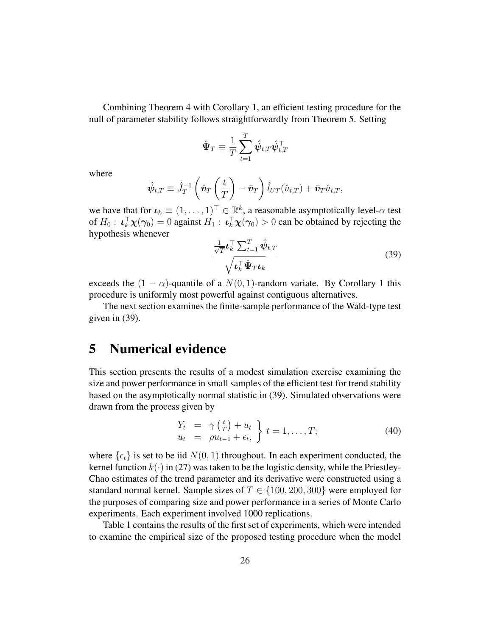Combining Theorem 4 with Corollary 1, an efficient testing procedure for the null of parameter stability follows straightforwardly from Theorem 5. Setting

$$
\hat{\Psi}_T \equiv \frac{1}{T} \sum_{t=1}^T \hat{\psi}_{t,T} \hat{\psi}_{t,T}^\top
$$

where

$$
\hat{\psi}_{t,T} \equiv \hat{J}_T^{-1} \left( \hat{\boldsymbol{v}}_T \left( \frac{t}{T} \right) - \bar{\boldsymbol{v}}_T \right) \hat{l}_{UT} (\hat{u}_{t,T}) + \bar{\boldsymbol{v}}_T \hat{u}_{t,T},
$$

we have that for  $\boldsymbol{\iota}_k \equiv (1,\ldots,1)^\top \in \mathbb{R}^k$ , a reasonable asymptotically level- $\alpha$  test of  $H_0: \iota_k^{\top} \chi(\gamma_0) = 0$  against  $H_1: \iota_k^{\top} \chi(\gamma_0) > 0$  can be obtained by rejecting the hypothesis whenever

$$
\frac{\frac{1}{\sqrt{T}}\boldsymbol{\iota}_k^{\top} \sum_{t=1}^T \hat{\boldsymbol{\psi}}_{t,T}}{\sqrt{\boldsymbol{\iota}_k^{\top} \hat{\boldsymbol{\Psi}}_T \boldsymbol{\iota}_k}}
$$
(39)

exceeds the  $(1 - \alpha)$ -quantile of a  $N(0, 1)$ -random variate. By Corollary 1 this procedure is uniformly most powerful against contiguous alternatives.

The next section examines the finite-sample performance of the Wald-type test given in (39).

# 5 Numerical evidence

This section presents the results of a modest simulation exercise examining the size and power performance in small samples of the efficient test for trend stability based on the asymptotically normal statistic in (39). Simulated observations were drawn from the process given by

$$
\begin{array}{rcl}\nY_t & = & \gamma\left(\frac{t}{T}\right) + u_t \\
u_t & = & \rho u_{t-1} + \epsilon_t, \\
\end{array} \bigg\} \ t = 1, \dots, T; \tag{40}
$$

where  $\{\epsilon_t\}$  is set to be iid  $N(0, 1)$  throughout. In each experiment conducted, the kernel function  $k(.)$  in (27) was taken to be the logistic density, while the Priestley-Chao estimates of the trend parameter and its derivative were constructed using a standard normal kernel. Sample sizes of  $T \in \{100, 200, 300\}$  were employed for the purposes of comparing size and power performance in a series of Monte Carlo experiments. Each experiment involved 1000 replications.

Table 1 contains the results of the first set of experiments, which were intended to examine the empirical size of the proposed testing procedure when the model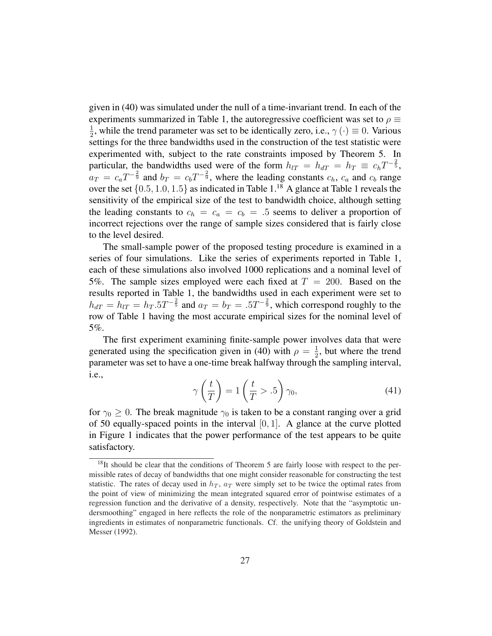given in (40) was simulated under the null of a time-invariant trend. In each of the experiments summarized in Table 1, the autoregressive coefficient was set to  $\rho \equiv$ 1  $\frac{1}{2}$ , while the trend parameter was set to be identically zero, i.e.,  $\gamma(\cdot) \equiv 0$ . Various settings for the three bandwidths used in the construction of the test statistic were experimented with, subject to the rate constraints imposed by Theorem 5. In particular, the bandwidths used were of the form  $h_{UT} = h_{dT} = h_T \equiv c_h T^{-\frac{2}{5}}$ ,  $a_T = c_a T^{-\frac{2}{9}}$  and  $b_T = c_b T^{-\frac{2}{9}}$ , where the leading constants  $c_h$ ,  $c_a$  and  $c_b$  range over the set  $\{0.5, 1.0, 1.5\}$  as indicated in Table 1.<sup>18</sup> A glance at Table 1 reveals the sensitivity of the empirical size of the test to bandwidth choice, although setting the leading constants to  $c_h = c_a = c_b = .5$  seems to deliver a proportion of incorrect rejections over the range of sample sizes considered that is fairly close to the level desired.

The small-sample power of the proposed testing procedure is examined in a series of four simulations. Like the series of experiments reported in Table 1, each of these simulations also involved 1000 replications and a nominal level of 5%. The sample sizes employed were each fixed at  $T = 200$ . Based on the results reported in Table 1, the bandwidths used in each experiment were set to  $h_{dT} = h_{TT} = h_T .5T^{-\frac{2}{5}}$  and  $a_T = b_T = .5T^{-\frac{2}{9}}$ , which correspond roughly to the row of Table 1 having the most accurate empirical sizes for the nominal level of 5%.

The first experiment examining finite-sample power involves data that were generated using the specification given in (40) with  $\rho = \frac{1}{2}$  $\frac{1}{2}$ , but where the trend parameter was set to have a one-time break halfway through the sampling interval, i.e.,  $\overline{a}$  $\mathbf{r}$  $\mathbf{r}$ 

$$
\gamma\left(\frac{t}{T}\right) = 1\left(\frac{t}{T} > .5\right)\gamma_0,\tag{41}
$$

for  $\gamma_0 \geq 0$ . The break magnitude  $\gamma_0$  is taken to be a constant ranging over a grid of 50 equally-spaced points in the interval  $[0, 1]$ . A glance at the curve plotted in Figure 1 indicates that the power performance of the test appears to be quite satisfactory.

<sup>&</sup>lt;sup>18</sup>It should be clear that the conditions of Theorem 5 are fairly loose with respect to the permissible rates of decay of bandwidths that one might consider reasonable for constructing the test statistic. The rates of decay used in  $h_T$ ,  $a_T$  were simply set to be twice the optimal rates from the point of view of minimizing the mean integrated squared error of pointwise estimates of a regression function and the derivative of a density, respectively. Note that the "asymptotic undersmoothing" engaged in here reflects the role of the nonparametric estimators as preliminary ingredients in estimates of nonparametric functionals. Cf. the unifying theory of Goldstein and Messer (1992).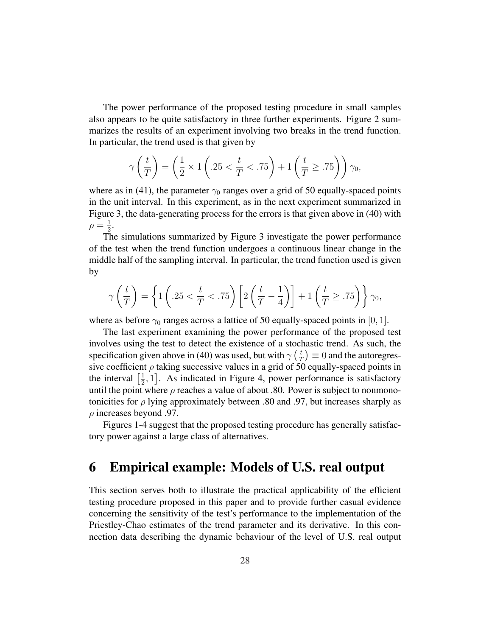The power performance of the proposed testing procedure in small samples also appears to be quite satisfactory in three further experiments. Figure 2 summarizes the results of an experiment involving two breaks in the trend function. In particular, the trend used is that given by

$$
\gamma\left(\frac{t}{T}\right) = \left(\frac{1}{2} \times 1\left(.25 < \frac{t}{T} < .75\right) + 1\left(\frac{t}{T} \geq .75\right)\right)\gamma_0,
$$

where as in (41), the parameter  $\gamma_0$  ranges over a grid of 50 equally-spaced points in the unit interval. In this experiment, as in the next experiment summarized in Figure 3, the data-generating process for the errors is that given above in (40) with  $\rho = \frac{1}{2}$  $\frac{1}{2}$ .

The simulations summarized by Figure 3 investigate the power performance of the test when the trend function undergoes a continuous linear change in the middle half of the sampling interval. In particular, the trend function used is given by

$$
\gamma\left(\frac{t}{T}\right) = \left\{1\left(.25 < \frac{t}{T} < .75\right)\left[2\left(\frac{t}{T} - \frac{1}{4}\right)\right] + 1\left(\frac{t}{T} \geq .75\right)\right\}\gamma_0,
$$

where as before  $\gamma_0$  ranges across a lattice of 50 equally-spaced points in [0, 1].

The last experiment examining the power performance of the proposed test involves using the test to detect the existence of a stochastic trend. As such, the specification given above in (40) was used, but with  $\gamma\left(\frac{t}{7}\right)$  $(\frac{t}{T}) \equiv 0$  and the autoregressive coefficient  $\rho$  taking successive values in a grid of 50 equally-spaced points in sive coefficient<br>the interval  $\left[\frac{1}{2}\right]$  $\frac{1}{2}$ , 1]. As indicated in Figure 4, power performance is satisfactory until the point where  $\rho$  reaches a value of about .80. Power is subject to nonmonotonicities for  $\rho$  lying approximately between .80 and .97, but increases sharply as  $\rho$  increases beyond .97.

Figures 1-4 suggest that the proposed testing procedure has generally satisfactory power against a large class of alternatives.

# 6 Empirical example: Models of U.S. real output

This section serves both to illustrate the practical applicability of the efficient testing procedure proposed in this paper and to provide further casual evidence concerning the sensitivity of the test's performance to the implementation of the Priestley-Chao estimates of the trend parameter and its derivative. In this connection data describing the dynamic behaviour of the level of U.S. real output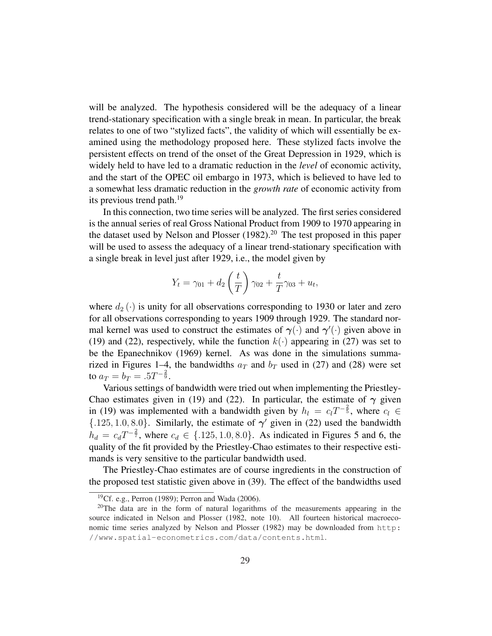will be analyzed. The hypothesis considered will be the adequacy of a linear trend-stationary specification with a single break in mean. In particular, the break relates to one of two "stylized facts", the validity of which will essentially be examined using the methodology proposed here. These stylized facts involve the persistent effects on trend of the onset of the Great Depression in 1929, which is widely held to have led to a dramatic reduction in the *level* of economic activity, and the start of the OPEC oil embargo in 1973, which is believed to have led to a somewhat less dramatic reduction in the *growth rate* of economic activity from its previous trend path.<sup>19</sup>

In this connection, two time series will be analyzed. The first series considered is the annual series of real Gross National Product from 1909 to 1970 appearing in the dataset used by Nelson and Plosser  $(1982)$ .<sup>20</sup> The test proposed in this paper will be used to assess the adequacy of a linear trend-stationary specification with a single break in level just after 1929, i.e., the model given by

$$
Y_t = \gamma_{01} + d_2 \left(\frac{t}{T}\right) \gamma_{02} + \frac{t}{T} \gamma_{03} + u_t,
$$

where  $d_2(\cdot)$  is unity for all observations corresponding to 1930 or later and zero for all observations corresponding to years 1909 through 1929. The standard normal kernel was used to construct the estimates of  $\gamma(\cdot)$  and  $\gamma'(\cdot)$  given above in (19) and (22), respectively, while the function  $k(\cdot)$  appearing in (27) was set to be the Epanechnikov (1969) kernel. As was done in the simulations summarized in Figures 1–4, the bandwidths  $a_T$  and  $b_T$  used in (27) and (28) were set to  $a_T = b_T = .5T^{-\frac{2}{9}}$ .

Various settings of bandwidth were tried out when implementing the Priestley-Chao estimates given in (19) and (22). In particular, the estimate of  $\gamma$  given in (19) was implemented with a bandwidth given by  $h_l = c_l T^{-\frac{2}{5}}$ , where  $c_l \in$  $\{.125, 1.0, 8.0\}$ . Similarly, the estimate of  $\gamma'$  given in (22) used the bandwidth  $h_d = c_d T^{-\frac{2}{7}}$ , where  $c_d \in \{.125, 1.0, 8.0\}$ . As indicated in Figures 5 and 6, the quality of the fit provided by the Priestley-Chao estimates to their respective estimands is very sensitive to the particular bandwidth used.

The Priestley-Chao estimates are of course ingredients in the construction of the proposed test statistic given above in (39). The effect of the bandwidths used

<sup>&</sup>lt;sup>19</sup>Cf. e.g., Perron (1989); Perron and Wada (2006).

 $20$ The data are in the form of natural logarithms of the measurements appearing in the source indicated in Nelson and Plosser (1982, note 10). All fourteen historical macroeconomic time series analyzed by Nelson and Plosser (1982) may be downloaded from http: //www.spatial-econometrics.com/data/contents.html.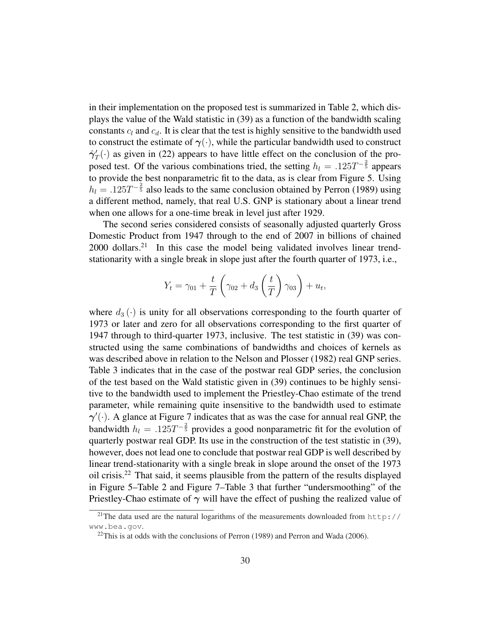in their implementation on the proposed test is summarized in Table 2, which displays the value of the Wald statistic in (39) as a function of the bandwidth scaling constants  $c_l$  and  $c_d$ . It is clear that the test is highly sensitive to the bandwidth used to construct the estimate of  $\gamma(\cdot)$ , while the particular bandwidth used to construct  $\hat{\gamma}'_T(\cdot)$  as given in (22) appears to have little effect on the conclusion of the proposed test. Of the various combinations tried, the setting  $h_l = .125T^{-\frac{2}{5}}$  appears to provide the best nonparametric fit to the data, as is clear from Figure 5. Using  $h_l = .125T^{-\frac{2}{5}}$  also leads to the same conclusion obtained by Perron (1989) using a different method, namely, that real U.S. GNP is stationary about a linear trend when one allows for a one-time break in level just after 1929.

The second series considered consists of seasonally adjusted quarterly Gross Domestic Product from 1947 through to the end of 2007 in billions of chained 2000 dollars.<sup>21</sup> In this case the model being validated involves linear trendstationarity with a single break in slope just after the fourth quarter of 1973, i.e.,

$$
Y_t = \gamma_{01} + \frac{t}{T} \left( \gamma_{02} + d_3 \left( \frac{t}{T} \right) \gamma_{03} \right) + u_t,
$$

where  $d_3(\cdot)$  is unity for all observations corresponding to the fourth quarter of 1973 or later and zero for all observations corresponding to the first quarter of 1947 through to third-quarter 1973, inclusive. The test statistic in (39) was constructed using the same combinations of bandwidths and choices of kernels as was described above in relation to the Nelson and Plosser (1982) real GNP series. Table 3 indicates that in the case of the postwar real GDP series, the conclusion of the test based on the Wald statistic given in (39) continues to be highly sensitive to the bandwidth used to implement the Priestley-Chao estimate of the trend parameter, while remaining quite insensitive to the bandwidth used to estimate  $\gamma'(\cdot)$ . A glance at Figure 7 indicates that as was the case for annual real GNP, the bandwidth  $h_l = .125T^{-\frac{2}{5}}$  provides a good nonparametric fit for the evolution of quarterly postwar real GDP. Its use in the construction of the test statistic in (39), however, does not lead one to conclude that postwar real GDP is well described by linear trend-stationarity with a single break in slope around the onset of the 1973 oil crisis.<sup>22</sup> That said, it seems plausible from the pattern of the results displayed in Figure 5–Table 2 and Figure 7–Table 3 that further "undersmoothing" of the Priestley-Chao estimate of  $\gamma$  will have the effect of pushing the realized value of

<sup>&</sup>lt;sup>21</sup>The data used are the natural logarithms of the measurements downloaded from http:// www.bea.gov.

 $22$ This is at odds with the conclusions of Perron (1989) and Perron and Wada (2006).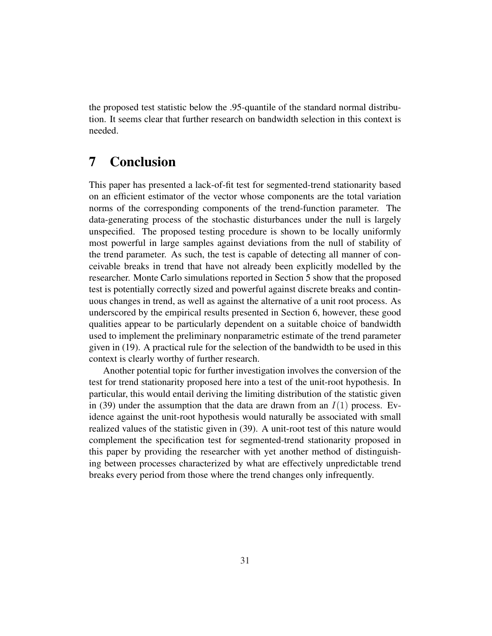the proposed test statistic below the .95-quantile of the standard normal distribution. It seems clear that further research on bandwidth selection in this context is needed.

# 7 Conclusion

This paper has presented a lack-of-fit test for segmented-trend stationarity based on an efficient estimator of the vector whose components are the total variation norms of the corresponding components of the trend-function parameter. The data-generating process of the stochastic disturbances under the null is largely unspecified. The proposed testing procedure is shown to be locally uniformly most powerful in large samples against deviations from the null of stability of the trend parameter. As such, the test is capable of detecting all manner of conceivable breaks in trend that have not already been explicitly modelled by the researcher. Monte Carlo simulations reported in Section 5 show that the proposed test is potentially correctly sized and powerful against discrete breaks and continuous changes in trend, as well as against the alternative of a unit root process. As underscored by the empirical results presented in Section 6, however, these good qualities appear to be particularly dependent on a suitable choice of bandwidth used to implement the preliminary nonparametric estimate of the trend parameter given in (19). A practical rule for the selection of the bandwidth to be used in this context is clearly worthy of further research.

Another potential topic for further investigation involves the conversion of the test for trend stationarity proposed here into a test of the unit-root hypothesis. In particular, this would entail deriving the limiting distribution of the statistic given in (39) under the assumption that the data are drawn from an  $I(1)$  process. Evidence against the unit-root hypothesis would naturally be associated with small realized values of the statistic given in (39). A unit-root test of this nature would complement the specification test for segmented-trend stationarity proposed in this paper by providing the researcher with yet another method of distinguishing between processes characterized by what are effectively unpredictable trend breaks every period from those where the trend changes only infrequently.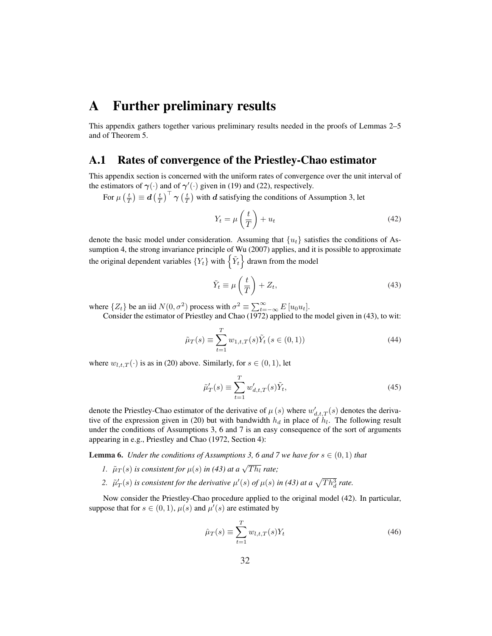# A Further preliminary results

This appendix gathers together various preliminary results needed in the proofs of Lemmas 2–5 and of Theorem 5.

#### A.1 Rates of convergence of the Priestley-Chao estimator

This appendix section is concerned with the uniform rates of convergence over the unit interval of the estimators of  $\gamma(\cdot)$  and of  $\gamma'(\cdot)$  given in (19) and (22), respectively.  $\ddot{\phantom{a}}$  $\frac{1}{\sqrt{2}}$ 

For  $\mu$  $\frac{t}{T}$  $\equiv d$  $\frac{t}{T}$  $\frac{1}{2}$  $\frac{1}{2}$  $\frac{t}{T}$ with  $d$  satisfying the conditions of Assumption 3, let

$$
Y_t = \mu\left(\frac{t}{T}\right) + u_t \tag{42}
$$

denote the basic model under consideration. Assuming that  ${u_t}$  satisfies the conditions of Assumption 4, the strong invariance principle of Wu (2007) applies, and it is possible to approximate sumption 4, the strong invariance principle of Wu (2007) applies, and it the original dependent variables  ${Y_t}$  with  $\{\tilde{Y}_t\}$  drawn from the model

$$
\tilde{Y}_t \equiv \mu \left(\frac{t}{T}\right) + Z_t,\tag{43}
$$

where  $\{Z_t\}$  be an iid  $N(0, \sigma^2)$  process with  $\sigma^2 \equiv \sum_{t=-\infty}^{\infty} E[u_0 u_t]$ .

Consider the estimator of Priestley and Chao (1972) applied to the model given in (43), to wit:

$$
\tilde{\mu}_T(s) \equiv \sum_{t=1}^T w_{1,t,T}(s) \tilde{Y}_t \ (s \in (0,1)) \tag{44}
$$

where  $w_{l,t,T}(\cdot)$  is as in (20) above. Similarly, for  $s \in (0,1)$ , let

$$
\tilde{\mu}'_T(s) \equiv \sum_{t=1}^T w'_{d,t,T}(s)\tilde{Y}_t,
$$
\n(45)

denote the Priestley-Chao estimator of the derivative of  $\mu(s)$  where  $w'_{d,t,T}(s)$  denotes the derivative of the expression given in (20) but with bandwidth  $h_d$  in place of  $h_l$ . The following result under the conditions of Assumptions 3, 6 and 7 is an easy consequence of the sort of arguments appearing in e.g., Priestley and Chao (1972, Section 4):

**Lemma 6.** *Under the conditions of Assumptions 3, 6 and 7 we have for*  $s \in (0,1)$  *that* 

- *1.*  $\tilde{\mu}_T(s)$  is consistent for  $\mu(s)$  in (43) at a  $\sqrt{Th_l}$  rate;
- 2.  $\tilde{\mu}'_T(s)$  is consistent for the derivative  $\mu'(s)$  of  $\mu(s)$  in (43) at a  $\sqrt{Th_d^3}$  rate.

Now consider the Priestley-Chao procedure applied to the original model (42). In particular, suppose that for  $s \in (0,1)$ ,  $\mu(s)$  and  $\mu'(s)$  are estimated by

$$
\hat{\mu}_T(s) \equiv \sum_{t=1}^T w_{l,t,T}(s) Y_t \tag{46}
$$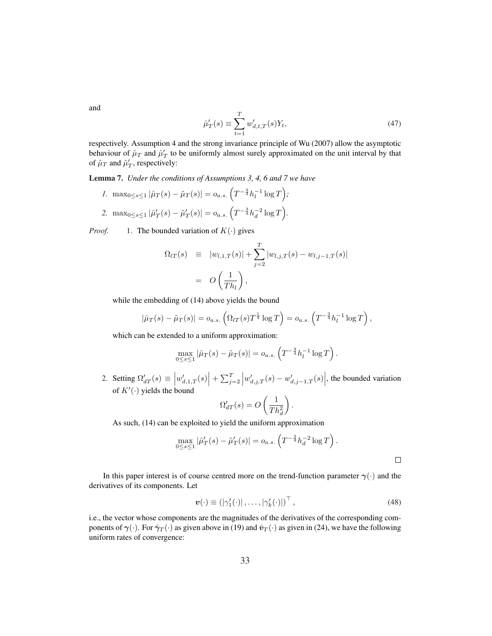and

$$
\hat{\mu}'_T(s) \equiv \sum_{t=1}^T w'_{d,t,T}(s) Y_t,
$$
\n(47)

respectively. Assumption 4 and the strong invariance principle of Wu (2007) allow the asymptotic behaviour of  $\hat{\mu}_T$  and  $\hat{\mu}'_T$  to be uniformly almost surely approximated on the unit interval by that of  $\tilde{\mu}_T$  and  $\tilde{\mu}'_T$ , respectively:

Lemma 7. *Under the conditions of Assumptions 3, 4, 6 and 7 we have* ´

*1.* max<sub>0≤s≤1</sub>  $|\hat{\mu}_T(s) - \tilde{\mu}_T(s)| = o_{a.s.} \left( T^{-\frac{3}{4}} h_l^{-1} \log T \right)$ *;* 2.  $\max_{0 \le s \le 1} |\hat{\mu}'_T(s) - \tilde{\mu}'_T(s)| = o_{a.s.} \left( T^{-\frac{3}{4}} h_d^{-2} \log T \right)$  $\tilde{\mathcal{L}}$ *.*

*Proof.* 1. The bounded variation of  $K(\cdot)$  gives

$$
\Omega_{l}(\mathbf{S}) = |w_{l,1,T}(\mathbf{S})| + \sum_{j=2}^{T} |w_{l,j,T}(\mathbf{S}) - w_{l,j-1,T}(\mathbf{S})|
$$
  
=  $O\left(\frac{1}{Th_l}\right),$ 

while the embedding of (14) above yields the bound

$$
|\hat{\mu}_T(s) - \tilde{\mu}_T(s)| = o_{a.s.} \left( \Omega_{lT}(s) T^{\frac{1}{4}} \log T \right) = o_{a.s.} \left( T^{-\frac{3}{4}} h_l^{-1} \log T \right),
$$

which can be extended to a uniform approximation:

$$
\max_{0 \le s \le 1} |\hat{\mu}_T(s) - \tilde{\mu}_T(s)| = o_{a.s.} \left( T^{-\frac{3}{4}} h_l^{-1} \log T \right).
$$

2. Setting  $\Omega'_{dT}(s) \equiv$  $w'_{d,1,T}(s)$  $\Big| + \sum_{i=1}^T$  $j=2$  $w'_{d,j,T}(s) - w'_{d,j-1,T}(s)$  $\vert$ , the bounded variation of  $K'(\cdot)$  yields the bound  $\overline{a}$  $\mathbf{r}$ 

$$
\Omega'_{dT}(s) = O\left(\frac{1}{Th_d^2}\right).
$$

As such, (14) can be exploited to yield the uniform approximation

$$
\max_{0 \le s \le 1} |\hat{\mu}'_T(s) - \tilde{\mu}'_T(s)| = o_{a.s.} \left( T^{-\frac{3}{4}} h_d^{-2} \log T \right).
$$

In this paper interest is of course centred more on the trend-function parameter  $\gamma(\cdot)$  and the derivatives of its components. Let

$$
\boldsymbol{v}(\cdot) \equiv \left( |\gamma_1'(\cdot)| \dots, |\gamma_k'(\cdot)| \right)^\top,\tag{48}
$$

i.e., the vector whose components are the magnitudes of the derivatives of the corresponding components of  $\gamma(\cdot)$ . For  $\hat{\gamma}_T(\cdot)$  as given above in (19) and  $\hat{v}_T(\cdot)$  as given in (24), we have the following uniform rates of convergence: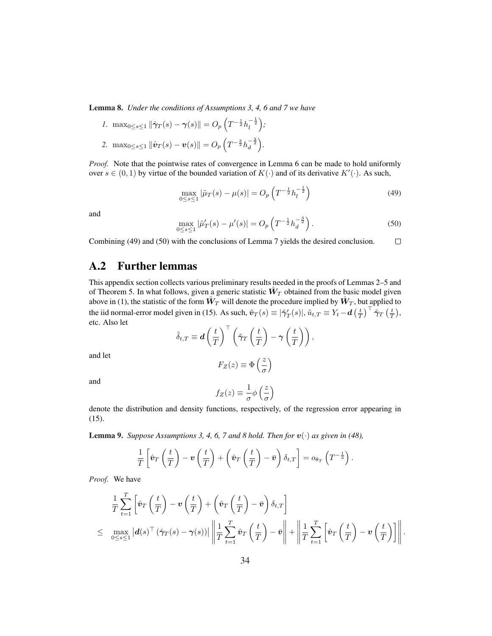Lemma 8. *Under the conditions of Assumptions 3, 4, 6 and 7 we have*

*1.* max<sub>0≤s≤1</sub>  $\|\hat{\gamma}_T(s) - \gamma(s)\| = O_p$  $\ddot{\phantom{0}}$  $T^{-\frac{1}{2}} h_l^{-\frac{1}{2}}$ ´ *;* 2. max<sub>0≤s≤1</sub>  $\|\hat{\bm{v}}_T(s) - \bm{v}(s)\| = O_p$ ³  $T^{-\frac{3}{2}}h_d^{-\frac{3}{2}}$ ´ *.*

*Proof.* Note that the pointwise rates of convergence in Lemma 6 can be made to hold uniformly over  $s \in (0, 1)$  by virtue of the bounded variation of  $K(\cdot)$  and of its derivative  $K'(\cdot)$ . As such,

$$
\max_{0 \le s \le 1} |\tilde{\mu}_T(s) - \mu(s)| = O_p\left(T^{-\frac{1}{2}} h_l^{-\frac{1}{2}}\right)
$$
\n(49)

and

$$
\max_{0 \le s \le 1} |\tilde{\mu}'_T(s) - \mu'(s)| = O_p\left(T^{-\frac{1}{2}} h_d^{-\frac{3}{2}}\right).
$$
\n(50)

Combining (49) and (50) with the conclusions of Lemma 7 yields the desired conclusion.  $\Box$ 

### A.2 Further lemmas

This appendix section collects various preliminary results needed in the proofs of Lemmas 2–5 and of Theorem 5. In what follows, given a generic statistic  $\hat{W}_T$  obtained from the basic model given above in (1), the statistic of the form  $\tilde{W}_T$  will denote the procedure implied by  $\hat{W}_T$ , but applied to the iid normal-error model given in (15). As such,  $\tilde{v}_T(s) \equiv |\tilde{\gamma}'_T(s)|$ ,  $\tilde{u}_{t,T} \equiv Y_t - d\left(\frac{t}{T}\right)$  $\int_{0}^{\overline{T}} \tilde{\gamma}_T\left(\frac{t}{T}\right),$ etc. Also let  $\overline{a}$  $\sqrt{ }$   $\sqrt{ }$  $\overline{a}$  $\mathbf{r}$  $\overline{a}$  $\mathbb{R}$ 

$$
\tilde{\delta}_{t,T} \equiv d\left(\frac{t}{T}\right)^{\top} \left(\tilde{\gamma}_T\left(\frac{t}{T}\right) - \gamma\left(\frac{t}{T}\right)\right),
$$

$$
F_Z(z) \equiv \Phi\left(\frac{z}{T}\right)
$$

and let

σ

and

$$
f_Z(z) \equiv \frac{1}{\sigma} \phi\left(\frac{z}{\sigma}\right)
$$

denote the distribution and density functions, respectively, of the regression error appearing in (15).

**Lemma 9.** *Suppose Assumptions 3, 4, 6, 7 and 8 hold. Then for*  $v(\cdot)$  *as given in (48),* 

$$
\frac{1}{T}\left[\hat{\boldsymbol{v}}_T\left(\frac{t}{T}\right)-\boldsymbol{v}\left(\frac{t}{T}\right)+\left(\hat{\boldsymbol{v}}_T\left(\frac{t}{T}\right)-\bar{\boldsymbol{v}}\right)\delta_{t,T}\right]=o_{\theta_T}\left(T^{-\frac{1}{2}}\right).
$$

*Proof.* We have

$$
\frac{1}{T} \sum_{t=1}^{T} \left[ \hat{\boldsymbol{v}}_T \left( \frac{t}{T} \right) - \boldsymbol{v} \left( \frac{t}{T} \right) + \left( \hat{\boldsymbol{v}}_T \left( \frac{t}{T} \right) - \bar{\boldsymbol{v}} \right) \delta_{t,T} \right] \newline \leq \max_{0 \leq s \leq 1} \left| \boldsymbol{d}(s)^{\top} \left( \hat{\boldsymbol{\gamma}}_T(s) - \boldsymbol{\gamma}(s) \right) \right| \left\| \frac{1}{T} \sum_{t=1}^{T} \hat{\boldsymbol{v}}_T \left( \frac{t}{T} \right) - \bar{\boldsymbol{v}} \right\| + \left\| \frac{1}{T} \sum_{t=1}^{T} \left[ \hat{\boldsymbol{v}}_T \left( \frac{t}{T} \right) - \boldsymbol{v} \left( \frac{t}{T} \right) \right] \right\|.
$$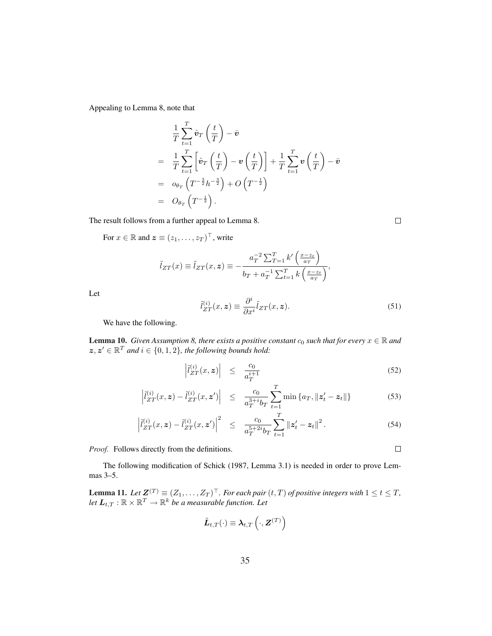Appealing to Lemma 8, note that

$$
\frac{1}{T} \sum_{t=1}^{T} \hat{\boldsymbol{v}}_T \left(\frac{t}{T}\right) - \bar{\boldsymbol{v}}
$$
\n
$$
= \frac{1}{T} \sum_{t=1}^{T} \left[ \hat{\boldsymbol{v}}_T \left(\frac{t}{T}\right) - \boldsymbol{v} \left(\frac{t}{T}\right) \right] + \frac{1}{T} \sum_{t=1}^{T} \boldsymbol{v} \left(\frac{t}{T}\right) - \bar{\boldsymbol{v}}
$$
\n
$$
= o_{\theta_T} \left( T^{-\frac{3}{2}} h^{-\frac{3}{2}} \right) + O\left( T^{-\frac{1}{2}} \right)
$$
\n
$$
= O_{\theta_T} \left( T^{-\frac{1}{2}} \right).
$$

The result follows from a further appeal to Lemma 8.

For  $x \in \mathbb{R}$  and  $\boldsymbol{z} \equiv (z_1, \dots, z_T)^\top$ , write

$$
\tilde{l}_{ZT}(x) \equiv \tilde{l}_{ZT}(x, z) \equiv -\frac{a_T^{-2} \sum_{T=1}^T k' \left(\frac{x - z_t}{a_T}\right)}{b_T + a_T^{-1} \sum_{t=1}^T k \left(\frac{x - z_t}{a_T}\right)},
$$

Let

$$
\tilde{l}_{ZT}^{(i)}(x,z) \equiv \frac{\partial^i}{\partial x^i} \tilde{l}_{ZT}(x,z). \tag{51}
$$

We have the following.

**Lemma 10.** *Given Assumption 8, there exists a positive constant*  $c_0$  *such that for every*  $x \in \mathbb{R}$  *and*  $z, z' \in \mathbb{R}^T$  and  $i \in \{0, 1, 2\}$ , the following bounds hold:

$$
\left| \tilde{l}_{ZT}^{(i)}(x,z) \right| \leq \frac{c_0}{a_T^{i+1}} \tag{52}
$$

$$
\left| \tilde{l}_{ZT}^{(i)}(x, \boldsymbol{z}) - \tilde{l}_{ZT}^{(i)}(x, \boldsymbol{z}') \right| \leq \frac{c_0}{a_T^{3+i} b_T} \sum_{t=1}^T \min \left\{ a_T, \| \boldsymbol{z}_t' - \boldsymbol{z}_t \| \right\} \tag{53}
$$

$$
\left|\tilde{l}_{ZT}^{(i)}(x,z)-\tilde{l}_{ZT}^{(i)}(x,z')\right|^2 \leq \frac{c_0}{a_T^{5+2i}b_T} \sum_{t=1}^T \left\|z_t'-z_t\right\|^2.
$$
 (54)

*Proof.* Follows directly from the definitions.

The following modification of Schick (1987, Lemma 3.1) is needed in order to prove Lemmas 3–5.

**Lemma 11.** Let  $\mathbf{Z}^{(T)} \equiv (Z_1, \ldots, Z_T)^{\top}$ . For each pair  $(t, T)$  of positive integers with  $1 \le t \le T$ , let  $\boldsymbol{L}_{t,T}:\mathbb{R}\times\mathbb{R}^T\rightarrow\mathbb{R}^k$  be a measurable function. Let

$$
\tilde{\boldsymbol{L}}_{t,T}(\cdot) \equiv \boldsymbol{\lambda}_{t,T}\left(\cdot, \boldsymbol{Z}^{(T)}\right)
$$

 $\Box$ 

 $\Box$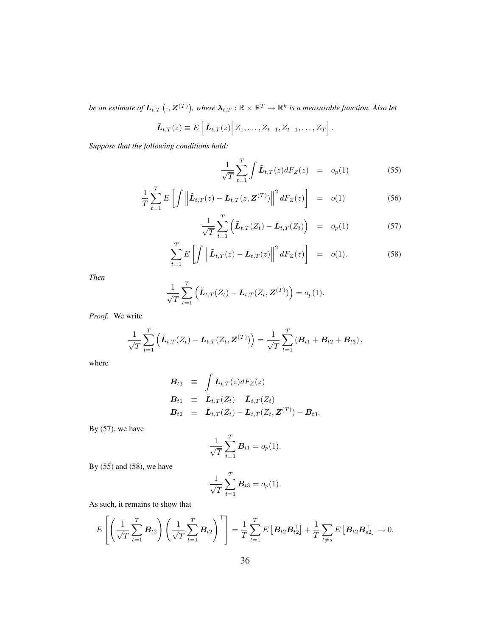be an estimate of  $\boldsymbol{L}_{t,T}\left(\cdot,\boldsymbol{Z}^{(T)}\right)$ , where  $\boldsymbol{\lambda}_{t,T}:\mathbb{R}\times\mathbb{R}^T\rightarrow\mathbb{R}^k$  is a measurable function. Also let

$$
\bar{\bm{L}}_{t,T}(z) \equiv E\left[\tilde{\bm{L}}_{t,T}(z)\middle| Z_1,\ldots,Z_{t-1},Z_{t+1},\ldots,Z_T\right].
$$

*Suppose that the following conditions hold:*

$$
\frac{1}{\sqrt{T}}\sum_{t=1}^{T}\int \tilde{\boldsymbol{L}}_{t,T}(z)dF_Z(z) = o_p(1) \tag{55}
$$

$$
\frac{1}{T} \sum_{t=1}^{T} E\left[\int \left\| \tilde{\boldsymbol{L}}_{t,T}(z) - \boldsymbol{L}_{t,T}(z, \boldsymbol{Z}^{(T)}) \right\|^2 dF_Z(z) \right] = o(1) \tag{56}
$$

$$
\frac{1}{\sqrt{T}}\sum_{t=1}^{T}\left(\tilde{\boldsymbol{L}}_{t,T}(Z_t)-\bar{\boldsymbol{L}}_{t,T}(Z_t)\right) = o_p(1) \tag{57}
$$

$$
\sum_{t=1}^{T} E\left[\int \left\|\tilde{\boldsymbol{L}}_{t,T}(z) - \bar{\boldsymbol{L}}_{t,T}(z)\right\|^2 dF_Z(z)\right] = o(1).
$$
 (58)

*Then*

$$
\frac{1}{\sqrt{T}}\sum_{t=1}^T\left(\tilde{\boldsymbol{L}}_{t,T}(Z_t)-\boldsymbol{L}_{t,T}(Z_t,\boldsymbol{Z}^{(T)})\right)=o_p(1).
$$

*Proof.* We write

$$
\frac{1}{\sqrt{T}}\sum_{t=1}^T \left( \tilde{\bm{L}}_{t,T}(Z_t) - \bm{L}_{t,T}(Z_t, \bm{Z}^{(T)}) \right) = \frac{1}{\sqrt{T}}\sum_{t=1}^T \left( \bm{B}_{t1} + \bm{B}_{t2} + \bm{B}_{t3} \right),
$$

where

$$
\begin{array}{rcl}\n\mathbf{B}_{t3} & \equiv & \int \bar{\mathbf{L}}_{t,T}(z) dF_Z(z) \\
\mathbf{B}_{t1} & \equiv & \tilde{\mathbf{L}}_{t,T}(Z_t) - \bar{\mathbf{L}}_{t,T}(Z_t) \\
\mathbf{B}_{t2} & \equiv & \bar{\mathbf{L}}_{t,T}(Z_t) - \mathbf{L}_{t,T}(Z_t, \mathbf{Z}^{(T)}) - \mathbf{B}_{t3}.\n\end{array}
$$

By  $(57)$ , we have

$$
\frac{1}{\sqrt{T}}\sum_{t=1}^T B_{t1} = o_p(1).
$$

By  $(55)$  and  $(58)$ , we have

$$
\frac{1}{\sqrt{T}}\sum_{t=1}^{T} \bm{B}_{t3} = o_p(1).
$$

As such, it remains to show that

$$
E\left[\left(\frac{1}{\sqrt{T}}\sum_{t=1}^T \boldsymbol{B}_{t2}\right)\left(\frac{1}{\sqrt{T}}\sum_{t=1}^T \boldsymbol{B}_{t2}\right)^{\top}\right] = \frac{1}{T}\sum_{t=1}^T E\left[\boldsymbol{B}_{t2}\boldsymbol{B}_{t2}^{\top}\right] + \frac{1}{T}\sum_{t \neq s} E\left[\boldsymbol{B}_{t2}\boldsymbol{B}_{s2}^{\top}\right] \rightarrow 0.
$$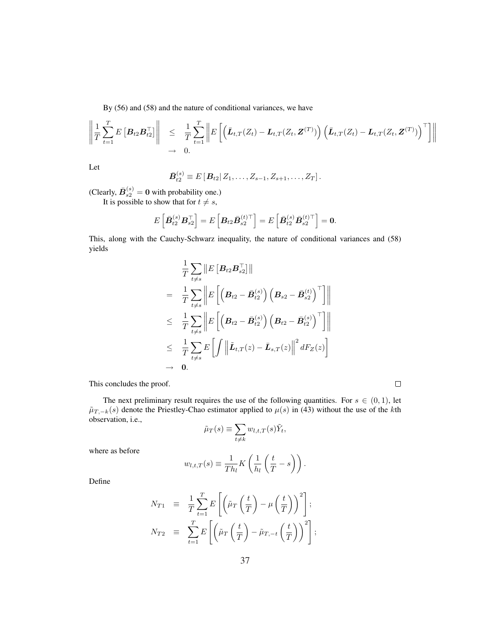By (56) and (58) and the nature of conditional variances, we have

$$
\left\| \frac{1}{T} \sum_{t=1}^T E\left[\mathbf{B}_{t2} \mathbf{B}_{t2}^\top \right] \right\| \leq \frac{1}{T} \sum_{t=1}^T \left\| E\left[ \left( \bar{\mathbf{L}}_{t,T}(Z_t) - \mathbf{L}_{t,T}(Z_t, \mathbf{Z}^{(T)}) \right) \left( \bar{\mathbf{L}}_{t,T}(Z_t) - \mathbf{L}_{t,T}(Z_t, \mathbf{Z}^{(T)}) \right)^\top \right] \right\|
$$
  

$$
\to 0.
$$

Let

$$
\bar{\bm{B}}_{t2}^{(s)} \equiv E[\bm{B}_{t2} | Z_1, \ldots, Z_{s-1}, Z_{s+1}, \ldots, Z_T].
$$

(Clearly,  $\bar{B}_{s2}^{(s)} = 0$  with probability one.)

It is possible to show that for  $t \neq s$ ,

$$
E\left[\bar{\boldsymbol{B}}_{t2}^{(s)} \boldsymbol{B}_{s2}^\top \right] = E\left[\boldsymbol{B}_{t2}\bar{\boldsymbol{B}}_{s2}^{(t)\top}\right] = E\left[\bar{\boldsymbol{B}}_{t2}^{(s)} \bar{\boldsymbol{B}}_{s2}^{(t)\top}\right] = \boldsymbol{0}.
$$

This, along with the Cauchy-Schwarz inequality, the nature of conditional variances and (58) yields

$$
\frac{1}{T} \sum_{t \neq s} \left\| E\left[\boldsymbol{B}_{t2} \boldsymbol{B}_{s2}^\top \right] \right\|
$$
\n
$$
= \frac{1}{T} \sum_{t \neq s} \left\| E\left[\left(\boldsymbol{B}_{t2} - \bar{\boldsymbol{B}}_{t2}^{(s)}\right) \left(\boldsymbol{B}_{s2} - \bar{\boldsymbol{B}}_{s2}^{(t)}\right)^\top \right] \right\|
$$
\n
$$
\leq \frac{1}{T} \sum_{t \neq s} \left\| E\left[\left(\boldsymbol{B}_{t2} - \bar{\boldsymbol{B}}_{t2}^{(s)}\right) \left(\boldsymbol{B}_{t2} - \bar{\boldsymbol{B}}_{t2}^{(s)}\right)^\top \right] \right\|
$$
\n
$$
\leq \frac{1}{T} \sum_{t \neq s} E\left[\int \left\| \tilde{\boldsymbol{L}}_{t,T}(z) - \bar{\boldsymbol{L}}_{s,T}(z) \right\|^2 dF_Z(z) \right]
$$
\n
$$
\to 0.
$$

This concludes the proof.

The next preliminary result requires the use of the following quantities. For  $s \in (0,1)$ , let  $\tilde{\mu}_{T, -k}(s)$  denote the Priestley-Chao estimator applied to  $\mu(s)$  in (43) without the use of the kth observation, i.e.,  $\overline{\phantom{a}}$ 

 $\Box$ 

$$
\tilde{\mu}_T(s) \equiv \sum_{t \neq k} w_{l,t,T}(s) \tilde{Y}_t,
$$

where as before

$$
w_{l,t,T}(s) \equiv \frac{1}{Th_l} K\left(\frac{1}{h_l}\left(\frac{t}{T} - s\right)\right).
$$

Define

$$
N_{T1} \equiv \frac{1}{T} \sum_{t=1}^{T} E\left[ \left( \tilde{\mu}_T \left( \frac{t}{T} \right) - \mu \left( \frac{t}{T} \right) \right)^2 \right];
$$
  
\n
$$
N_{T2} \equiv \sum_{t=1}^{T} E\left[ \left( \tilde{\mu}_T \left( \frac{t}{T} \right) - \tilde{\mu}_{T,-t} \left( \frac{t}{T} \right) \right)^2 \right];
$$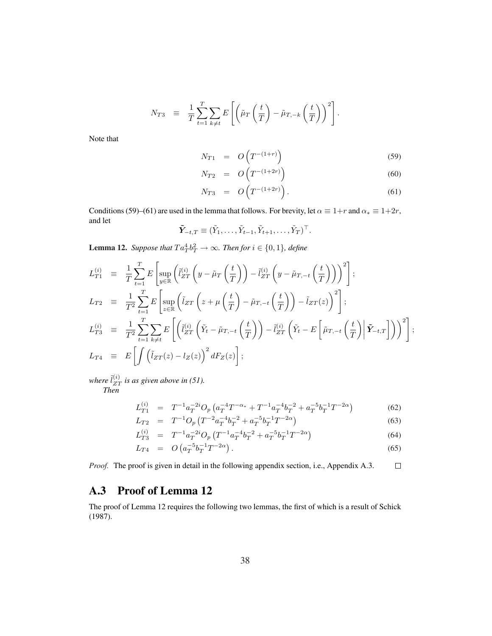$$
N_{T3} \equiv \frac{1}{T} \sum_{t=1}^{T} \sum_{k \neq t} E\left[ \left( \tilde{\mu}_T \left( \frac{t}{T} \right) - \tilde{\mu}_{T, -k} \left( \frac{t}{T} \right) \right)^2 \right].
$$

Note that

$$
N_{T1} = O\left(T^{-(1+r)}\right) \tag{59}
$$

$$
N_{T2} = O\left(T^{-(1+2r)}\right) \tag{60}
$$

$$
N_{T3} = O\left(T^{-(1+2r)}\right). \tag{61}
$$

Conditions (59)–(61) are used in the lemma that follows. For brevity, let  $\alpha \equiv 1+r$  and  $\alpha_* \equiv 1+2r$ , and let

$$
\tilde{\boldsymbol{Y}}_{-t,T} \equiv (\tilde{Y}_1, \ldots, \tilde{Y}_{t-1}, \tilde{Y}_{t+1}, \ldots, \tilde{Y}_T)^{\top}.
$$

**Lemma 12.** Suppose that  $Ta_T^4b_T^2 \rightarrow \infty$ . Then for  $i \in \{0,1\}$ , define

$$
L_{T1}^{(i)} \equiv \frac{1}{T} \sum_{t=1}^{T} E \left[ \sup_{y \in \mathbb{R}} \left( \tilde{l}_{ZT}^{(i)} \left( y - \tilde{\mu}_T \left( \frac{t}{T} \right) \right) - \tilde{l}_{ZT}^{(i)} \left( y - \tilde{\mu}_{T,-t} \left( \frac{t}{T} \right) \right) \right)^2 \right];
$$
  
\n
$$
L_{T2} \equiv \frac{1}{T^2} \sum_{t=1}^{T} E \left[ \sup_{z \in \mathbb{R}} \left( \tilde{l}_{ZT} \left( z + \mu \left( \frac{t}{T} \right) - \tilde{\mu}_{T,-t} \left( \frac{t}{T} \right) \right) - \tilde{l}_{ZT}(z) \right)^2 \right];
$$
  
\n
$$
L_{T3}^{(i)} \equiv \frac{1}{T^2} \sum_{t=1}^{T} \sum_{k \neq t} E \left[ \left( \tilde{l}_{ZT}^{(i)} \left( \tilde{Y}_t - \tilde{\mu}_{T,-t} \left( \frac{t}{T} \right) \right) - \tilde{l}_{ZT}^{(i)} \left( \tilde{Y}_t - E \left[ \tilde{\mu}_{T,-t} \left( \frac{t}{T} \right) \right| \tilde{Y}_{-t,T} \right] \right) \right)^2 \right];
$$
  
\n
$$
L_{T4} \equiv E \left[ \int \left( \tilde{l}_{ZT}(z) - l_Z(z) \right)^2 dF_Z(z) \right];
$$

where  $\tilde{l}_{ZT}^{(i)}$  is as given above in (51). *Then*

$$
L_{T1}^{(i)} = T^{-1} a_T^{-2i} O_p \left( a_T^{-4} T^{-\alpha_*} + T^{-1} a_T^{-4} b_T^{-2} + a_T^{-5} b_T^{-1} T^{-2\alpha} \right)
$$
(62)

$$
L_{T2} = T^{-1}O_p(T^{-2}a_T^{-4}b_T^{-2} + a_T^{-5}b_T^{-1}T^{-2\alpha})
$$
\n(63)

$$
L_{T3}^{(i)} = T^{-1} a_T^{-2i} O_p \left( T^{-1} a_T^{-4} b_T^{-2} + a_T^{-5} b_T^{-1} T^{-2\alpha} \right)
$$
\n
$$
(64)
$$

$$
L_{T4} = O\left(a_T^{-5}b_T^{-1}T^{-2\alpha}\right). \tag{65}
$$

 $\Box$ *Proof.* The proof is given in detail in the following appendix section, i.e., Appendix A.3.

### A.3 Proof of Lemma 12

The proof of Lemma 12 requires the following two lemmas, the first of which is a result of Schick (1987).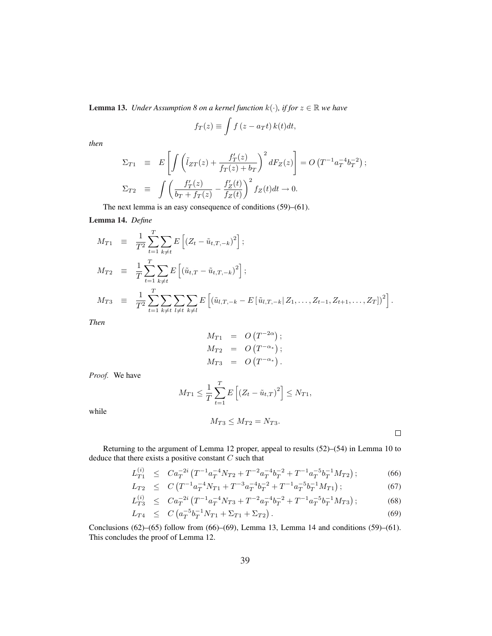**Lemma 13.** *Under Assumption 8 on a kernel function*  $k(\cdot)$ *, if for*  $z \in \mathbb{R}$  *we have* 

$$
f_T(z) \equiv \int f(z - a_T t) k(t) dt,
$$

*then*

$$
\Sigma_{T1} \equiv E \left[ \int \left( \tilde{l}_{ZT}(z) + \frac{f'_T(z)}{f_T(z) + b_T} \right)^2 dF_Z(z) \right] = O\left(T^{-1} a_T^{-4} b_T^{-2}\right);
$$
\n
$$
\Sigma_{T2} \equiv \int \left( \frac{f'_T(z)}{b_T + f_T(z)} - \frac{f'_Z(t)}{f_Z(t)} \right)^2 f_Z(t) dt \to 0.
$$

The next lemma is an easy consequence of conditions (59)–(61).

Lemma 14. *Define*

$$
M_{T1} = \frac{1}{T^2} \sum_{t=1}^{T} \sum_{k \neq t} E\left[ (Z_t - \tilde{u}_{t,T,-k})^2 \right];
$$
  
\n
$$
M_{T2} = \frac{1}{T} \sum_{t=1}^{T} \sum_{k \neq t} E\left[ (\tilde{u}_{t,T} - \tilde{u}_{t,T,-k})^2 \right];
$$
  
\n
$$
M_{T3} = \frac{1}{T^2} \sum_{t=1}^{T} \sum_{k \neq t} \sum_{l \neq t} \sum_{k \neq l} E\left[ (\tilde{u}_{l,T,-k} - E[\tilde{u}_{l,T,-k} | Z_1, \dots, Z_{t-1}, Z_{t+1}, \dots, Z_T])^2 \right].
$$

*Then*

$$
M_{T1} = O(T^{-2\alpha});
$$
  
\n
$$
M_{T2} = O(T^{-\alpha_*});
$$
  
\n
$$
M_{T3} = O(T^{-\alpha_*}).
$$

*Proof.* We have

$$
M_{T1} \le \frac{1}{T} \sum_{t=1}^{T} E\left[ \left( Z_t - \tilde{u}_{t,T} \right)^2 \right] \le N_{T1},
$$

while

$$
M_{T3} \le M_{T2} = N_{T3}.
$$

 $\Box$ 

Returning to the argument of Lemma 12 proper, appeal to results (52)–(54) in Lemma 10 to deduce that there exists a positive constant  $C$  such that

$$
L_{T1}^{(i)} \leq Ca_T^{-2i} \left( T^{-1} a_T^{-4} N_{T2} + T^{-2} a_T^{-4} b_T^{-2} + T^{-1} a_T^{-5} b_T^{-1} M_{T2} \right); \tag{66}
$$

$$
L_{T2} \leq C \left( T^{-1} a_T^{-4} N_{T1} + T^{-3} a_T^{-4} b_T^{-2} + T^{-1} a_T^{-5} b_T^{-1} M_{T1} \right); \tag{67}
$$

$$
L_{T3}^{(i)} \leq Ca_T^{-2i} \left( T^{-1} a_T^{-4} N_{T3} + T^{-2} a_T^{-4} b_T^{-2} + T^{-1} a_T^{-5} b_T^{-1} M_{T3} \right); \tag{68}
$$

$$
L_{T4} \leq C \left( a_T^{-5} b_T^{-1} N_{T1} + \Sigma_{T1} + \Sigma_{T2} \right). \tag{69}
$$

Conclusions  $(62)$ – $(65)$  follow from  $(66)$ – $(69)$ , Lemma 13, Lemma 14 and conditions  $(59)$ – $(61)$ . This concludes the proof of Lemma 12.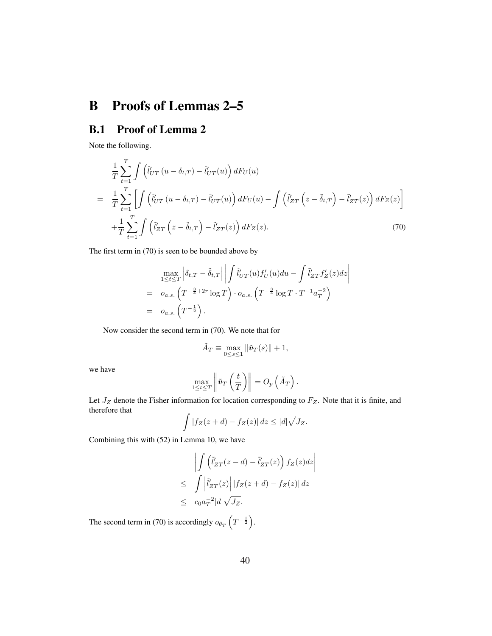# B Proofs of Lemmas 2–5

# B.1 Proof of Lemma 2

Note the following.

$$
\frac{1}{T} \sum_{t=1}^{T} \int \left( \hat{l}'_{UT}(u - \delta_{t,T}) - \hat{l}'_{UT}(u) \right) dF_U(u)
$$
\n
$$
= \frac{1}{T} \sum_{t=1}^{T} \left[ \int \left( \hat{l}'_{UT}(u - \delta_{t,T}) - \hat{l}'_{UT}(u) \right) dF_U(u) - \int \left( \tilde{l}'_{ZT}\left(z - \tilde{\delta}_{t,T}\right) - \tilde{l}'_{ZT}(z) \right) dF_Z(z) \right]
$$
\n
$$
+ \frac{1}{T} \sum_{t=1}^{T} \int \left( \tilde{l}'_{ZT}\left(z - \tilde{\delta}_{t,T}\right) - \tilde{l}'_{ZT}(z) \right) dF_Z(z).
$$
\n(70)

The first term in (70) is seen to be bounded above by

$$
\max_{1 \leq t \leq T} \left| \delta_{t,T} - \tilde{\delta}_{t,T} \right| \left| \int \hat{l}'_{UT}(u) f'_U(u) du - \int \tilde{l}'_{ZT} f'_Z(z) dz \right|
$$
  
=  $o_{a.s.} \left( T^{-\frac{3}{4} + 2r} \log T \right) \cdot o_{a.s.} \left( T^{-\frac{3}{4}} \log T \cdot T^{-1} a_T^{-2} \right)$   
=  $o_{a.s.} \left( T^{-\frac{1}{2}} \right).$ 

Now consider the second term in (70). We note that for

$$
\tilde{A}_T \equiv \max_{0 \le s \le 1} \|\tilde{\boldsymbol{v}}_T(s)\| + 1,
$$

we have

$$
\max_{1 \leq t \leq T} \left\| \tilde{\boldsymbol{v}}_T \left( \frac{t}{T} \right) \right\| = O_p\left(\tilde{A}_T\right).
$$

Let  $J_Z$  denote the Fisher information for location corresponding to  $F_Z$ . Note that it is finite, and therefore that

$$
\int |f_Z(z+d) - f_Z(z)| dz \le |d|\sqrt{J_Z}.
$$

Combining this with (52) in Lemma 10, we have

$$
\left| \int \left( \tilde{l}'_{ZT}(z-d) - \tilde{l}'_{ZT}(z) \right) f_Z(z) dz \right|
$$
  
\n
$$
\leq \int \left| \tilde{l}'_{ZT}(z) \right| |f_Z(z+d) - f_Z(z)| dz
$$
  
\n
$$
\leq c_0 a_T^{-2} |d| \sqrt{J_Z}.
$$

The second term in (70) is accordingly  $o_{\theta_T}$  $\overline{a}$  $T^{-\frac{1}{2}}$ ´ .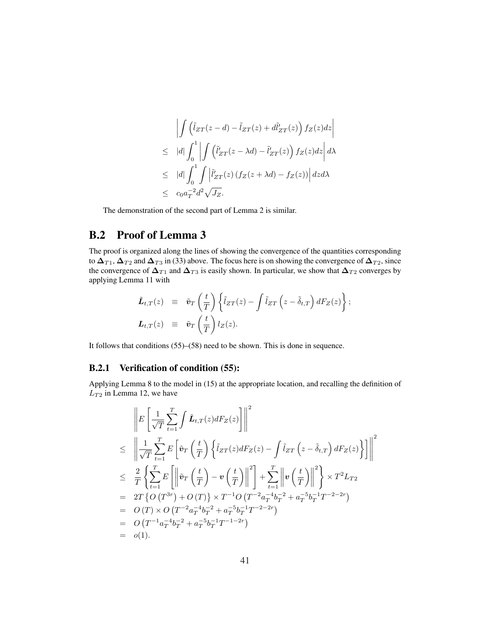$$
\left| \int \left( \tilde{l}_{ZT}(z-d) - \tilde{l}_{ZT}(z) + d\tilde{l}'_{ZT}(z) \right) f_Z(z) dz \right|
$$
  
\n
$$
\leq |d| \int_0^1 \left| \int \left( \tilde{l}'_{ZT}(z-\lambda d) - \tilde{l}'_{ZT}(z) \right) f_Z(z) dz \right| d\lambda
$$
  
\n
$$
\leq |d| \int_0^1 \int \left| \tilde{l}'_{ZT}(z) \left( f_Z(z+\lambda d) - f_Z(z) \right) \right| dz d\lambda
$$
  
\n
$$
\leq c_0 a_T^{-2} d^2 \sqrt{J_Z}.
$$

The demonstration of the second part of Lemma 2 is similar.

# B.2 Proof of Lemma 3

The proof is organized along the lines of showing the convergence of the quantities corresponding to  $\Delta_{T1}$ ,  $\Delta_{T2}$  and  $\Delta_{T3}$  in (33) above. The focus here is on showing the convergence of  $\Delta_{T2}$ , since the convergence of  $\Delta_{T1}$  and  $\Delta_{T3}$  is easily shown. In particular, we show that  $\Delta_{T2}$  converges by applying Lemma 11 with

$$
\tilde{\mathbf{L}}_{t,T}(z) \equiv \tilde{\mathbf{v}}_T \left( \frac{t}{T} \right) \left\{ \tilde{l}_{ZT}(z) - \int \tilde{l}_{ZT} \left( z - \tilde{\delta}_{t,T} \right) dF_Z(z) \right\};
$$
\n
$$
\mathbf{L}_{t,T}(z) \equiv \tilde{\mathbf{v}}_T \left( \frac{t}{T} \right) l_Z(z).
$$

It follows that conditions (55)–(58) need to be shown. This is done in sequence.

#### B.2.1 Verification of condition (55):

Applying Lemma 8 to the model in (15) at the appropriate location, and recalling the definition of  $L_{T2}$  in Lemma 12, we have

$$
\|E\left[\frac{1}{\sqrt{T}}\sum_{t=1}^{T}\int \tilde{L}_{t,T}(z)dF_{Z}(z)\right]\|^{2}
$$
\n
$$
\leq \left\|\frac{1}{\sqrt{T}}\sum_{t=1}^{T}E\left[\tilde{v}_{T}\left(\frac{t}{T}\right)\left\{\tilde{l}_{ZT}(z)dF_{Z}(z)-\int \tilde{l}_{ZT}\left(z-\tilde{\delta}_{t,T}\right)dF_{Z}(z)\right\}\right]\right\|^{2}
$$
\n
$$
\leq \frac{2}{T}\left\{\sum_{t=1}^{T}E\left[\left\|\tilde{v}_{T}\left(\frac{t}{T}\right)-\mathbf{v}\left(\frac{t}{T}\right)\right\|^{2}\right]+\sum_{t=1}^{T}\left\|\mathbf{v}\left(\frac{t}{T}\right)\right\|^{2}\right\}\times T^{2}L_{T2}
$$
\n
$$
= 2T\left\{O\left(T^{3r}\right)+O\left(T\right)\right\}\times T^{-1}O\left(T^{-2}a_{T}^{-4}b_{T}^{-2}+a_{T}^{-5}b_{T}^{-1}T^{-2-2r}\right)
$$
\n
$$
= O\left(T\right)\times O\left(T^{-2}a_{T}^{-4}b_{T}^{-2}+a_{T}^{-5}b_{T}^{-1}T^{-2-2r}\right)
$$
\n
$$
= O\left(T^{-1}a_{T}^{-4}b_{T}^{-2}+a_{T}^{-5}b_{T}^{-1}T^{-1-2r}\right)
$$
\n
$$
= o(1).
$$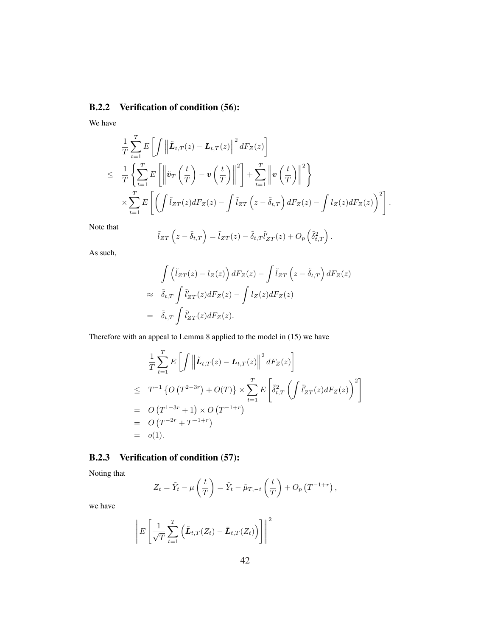### B.2.2 Verification of condition (56):

We have

$$
\frac{1}{T} \sum_{t=1}^{T} E\left[\int \left\|\tilde{\boldsymbol{L}}_{t,T}(z) - \boldsymbol{L}_{t,T}(z)\right\|^2 dF_Z(z)\right] \n\leq \frac{1}{T} \left\{\sum_{t=1}^{T} E\left[\left\|\tilde{\boldsymbol{v}}_T\left(\frac{t}{T}\right) - \boldsymbol{v}\left(\frac{t}{T}\right)\right\|^2\right] + \sum_{t=1}^{T} \left\|\boldsymbol{v}\left(\frac{t}{T}\right)\right\|^2\right\} \n\times \sum_{t=1}^{T} E\left[\left(\int \tilde{l}_{ZT}(z) dF_Z(z) - \int \tilde{l}_{ZT}\left(z - \tilde{\delta}_{t,T}\right) dF_Z(z) - \int l_Z(z) dF_Z(z)\right)^2\right].
$$

Note that

$$
\tilde{l}_{ZT}\left(z-\tilde{\delta}_{t,T}\right)=\tilde{l}_{ZT}(z)-\tilde{\delta}_{t,T}\tilde{l}'_{ZT}(z)+O_p\left(\tilde{\delta}_{t,T}^2\right).
$$

As such,

$$
\int \left(\tilde{l}_{ZT}(z) - l_Z(z)\right) dF_Z(z) - \int \tilde{l}_{ZT}\left(z - \tilde{\delta}_{t,T}\right) dF_Z(z)
$$
\n
$$
\approx \quad \tilde{\delta}_{t,T} \int \tilde{l}'_{ZT}(z) dF_Z(z) - \int l_Z(z) dF_Z(z)
$$
\n
$$
= \quad \tilde{\delta}_{t,T} \int \tilde{l}'_{ZT}(z) dF_Z(z).
$$

Therefore with an appeal to Lemma 8 applied to the model in (15) we have

$$
\frac{1}{T} \sum_{t=1}^{T} E\left[\int \left\|\tilde{\boldsymbol{L}}_{t,T}(z) - \boldsymbol{L}_{t,T}(z)\right\|^2 dF_Z(z)\right]
$$
\n
$$
\leq T^{-1} \left\{O\left(T^{2-3r}\right) + O(T)\right\} \times \sum_{t=1}^{T} E\left[\tilde{\delta}_{t,T}^2 \left(\int \tilde{l}'_{ZT}(z) dF_Z(z)\right)^2\right]
$$
\n
$$
= O\left(T^{1-3r} + 1\right) \times O\left(T^{-1+r}\right)
$$
\n
$$
= O\left(T^{-2r} + T^{-1+r}\right)
$$
\n
$$
= o(1).
$$

### B.2.3 Verification of condition (57):

Noting that

$$
Z_t = \tilde{Y}_t - \mu\left(\frac{t}{T}\right) = \tilde{Y}_t - \tilde{\mu}_{T, -t}\left(\frac{t}{T}\right) + O_p\left(T^{-1+r}\right),
$$

we have

$$
\left\| E \left[ \frac{1}{\sqrt{T}} \sum_{t=1}^{T} \left( \tilde{\boldsymbol{L}}_{t,T}(Z_t) - \bar{\boldsymbol{L}}_{t,T}(Z_t) \right) \right] \right\|^2
$$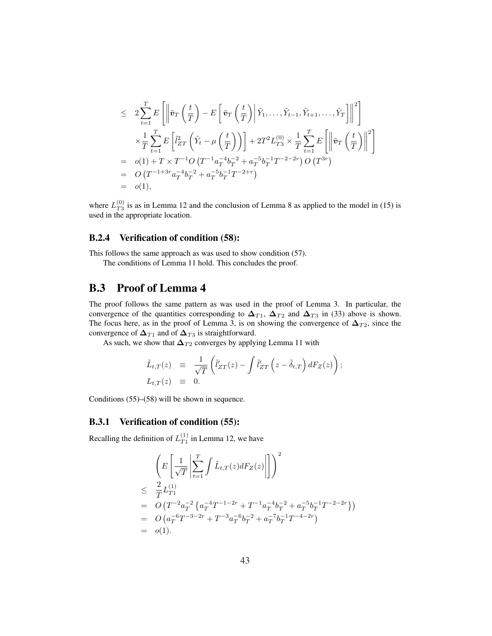$$
\leq 2 \sum_{t=1}^{T} E\left[\left\| \tilde{v}_{T}\left(\frac{t}{T}\right) - E\left[\tilde{v}_{T}\left(\frac{t}{T}\right) \middle| \tilde{Y}_{1}, \ldots, \tilde{Y}_{t-1}, \tilde{Y}_{t+1}, \ldots, \tilde{Y}_{T}\right] \right\|^{2}\right] \times \frac{1}{T} \sum_{t=1}^{T} E\left[\tilde{l}_{ZT}^{2}\left(\tilde{Y}_{t} - \mu\left(\frac{t}{T}\right)\right) + 2T^{2}L_{T3}^{(0)} \times \frac{1}{T} \sum_{t=1}^{T} E\left[\left\|\tilde{v}_{T}\left(\frac{t}{T}\right)\right\|^{2}\right] \n= o(1) + T \times T^{-1}O(T^{-1}a_{T}^{-4}b_{T}^{-2} + a_{T}^{-5}b_{T}^{-1}T^{-2-2r}) O(T^{3r}) \n= O(T^{-1+3r}a_{T}^{-4}b_{T}^{-2} + a_{T}^{-5}b_{T}^{-1}T^{-2+r}) \n= o(1),
$$

where  $L_{T3}^{(0)}$  $T_3^{(0)}$  is as in Lemma 12 and the conclusion of Lemma 8 as applied to the model in (15) is used in the appropriate location.

#### B.2.4 Verification of condition (58):

This follows the same approach as was used to show condition (57).

The conditions of Lemma 11 hold. This concludes the proof.

### B.3 Proof of Lemma 4

The proof follows the same pattern as was used in the proof of Lemma 3. In particular, the convergence of the quantities corresponding to  $\Delta_{T1}$ ,  $\Delta_{T2}$  and  $\Delta_{T3}$  in (33) above is shown. The focus here, as in the proof of Lemma 3, is on showing the convergence of  $\Delta_{T2}$ , since the convergence of  $\Delta_{T1}$  and of  $\Delta_{T3}$  is straightforward.

As such, we show that  $\Delta_{T2}$  converges by applying Lemma 11 with

$$
\tilde{L}_{t,T}(z) \equiv \frac{1}{\sqrt{T}} \left( \tilde{l}'_{ZT}(z) - \int \tilde{l}'_{ZT} \left( z - \tilde{\delta}_{t,T} \right) dF_Z(z) \right);
$$
\n
$$
L_{t,T}(z) \equiv 0.
$$

Conditions (55)–(58) will be shown in sequence.

#### B.3.1 Verification of condition (55):

Recalling the definition of  $L_{T_1}^{(1)}$  $_{T_1}^{(1)}$  in Lemma 12, we have

$$
\left(E\left[\frac{1}{\sqrt{T}}\left|\sum_{t=1}^{T}\int \tilde{L}_{t,T}(z)dF_Z(z)\right|\right]\right)^2
$$
\n
$$
\leq \frac{2}{T}L_{T1}^{(1)}
$$
\n= O\left(T^{-2}a\_T^{-2}\left\{a\_T^{-4}T^{-1-2r}+T^{-1}a\_T^{-4}b\_T^{-2}+a\_T^{-5}b\_T^{-1}T^{-2-2r}\right\}\right)\n= O\left(a\_T^{-6}T^{-3-2r}+T^{-3}a\_T^{-6}b\_T^{-2}+a\_T^{-7}b\_T^{-1}T^{-4-2r}\right)\n= o(1).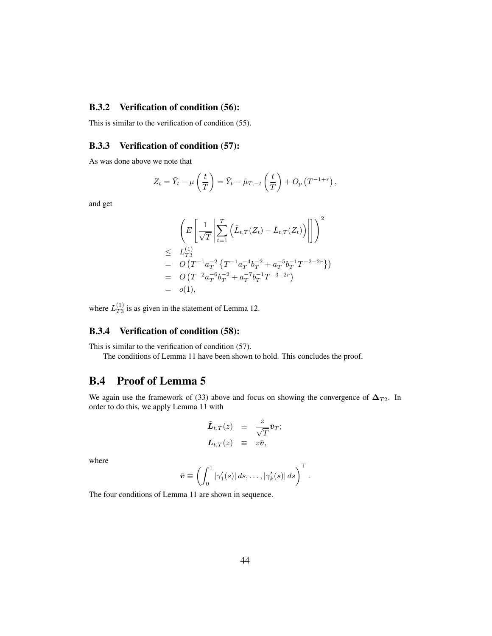#### B.3.2 Verification of condition (56):

This is similar to the verification of condition (55).

#### B.3.3 Verification of condition (57):

As was done above we note that

$$
Z_t = \tilde{Y}_t - \mu\left(\frac{t}{T}\right) = \tilde{Y}_t - \tilde{\mu}_{T, -t}\left(\frac{t}{T}\right) + O_p\left(T^{-1+r}\right),
$$

and get

$$
\left( E\left[ \frac{1}{\sqrt{T}} \left| \sum_{t=1}^{T} \left( \tilde{L}_{t,T}(Z_t) - \bar{L}_{t,T}(Z_t) \right) \right| \right] \right)^2
$$
\n
$$
\leq L_{T3}^{(1)}
$$
\n
$$
= O\left( T^{-1} a_T^{-2} \left\{ T^{-1} a_T^{-4} b_T^{-2} + a_T^{-5} b_T^{-1} T^{-2-2r} \right\} \right)
$$
\n
$$
= O\left( T^{-2} a_T^{-6} b_T^{-2} + a_T^{-7} b_T^{-1} T^{-3-2r} \right)
$$
\n
$$
= o(1),
$$

where  $L_{T3}^{(1)}$  $T_3^{(1)}$  is as given in the statement of Lemma 12.

#### B.3.4 Verification of condition (58):

This is similar to the verification of condition (57).

The conditions of Lemma 11 have been shown to hold. This concludes the proof.

### B.4 Proof of Lemma 5

We again use the framework of (33) above and focus on showing the convergence of  $\Delta_{T2}$ . In order to do this, we apply Lemma 11 with

$$
\tilde{\bm{L}}_{t,T}(z) \equiv \frac{z}{\sqrt{T}} \bar{\bm{v}}_T; \n\bm{L}_{t,T}(z) \equiv z \bar{\bm{v}},
$$

where

$$
\bar{\boldsymbol{v}} \equiv \left( \int_0^1 |\gamma_1'(s)| \, ds, \ldots, |\gamma_k'(s)| \, ds \right)^\top.
$$

The four conditions of Lemma 11 are shown in sequence.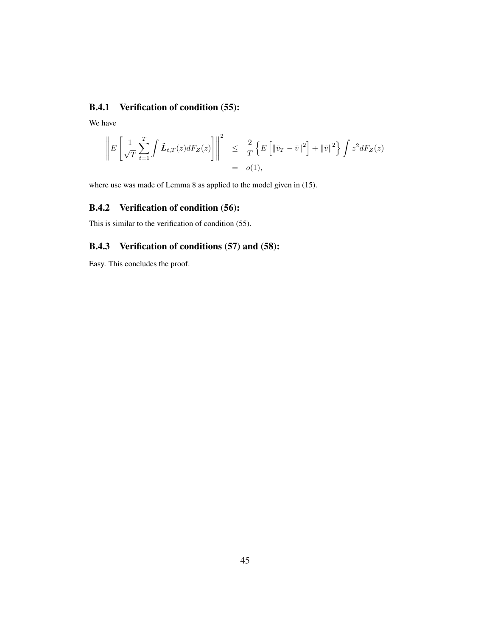### B.4.1 Verification of condition (55):

We have

$$
\left\| E \left[ \frac{1}{\sqrt{T}} \sum_{t=1}^{T} \int \tilde{L}_{t,T}(z) dF_Z(z) \right] \right\|^2 \leq \frac{2}{T} \left\{ E \left[ \left\| \bar{v}_T - \bar{v} \right\|^2 \right] + \left\| \bar{v} \right\|^2 \right\} \int z^2 dF_Z(z) = o(1),
$$

where use was made of Lemma 8 as applied to the model given in (15).

### B.4.2 Verification of condition (56):

This is similar to the verification of condition (55).

#### B.4.3 Verification of conditions (57) and (58):

Easy. This concludes the proof.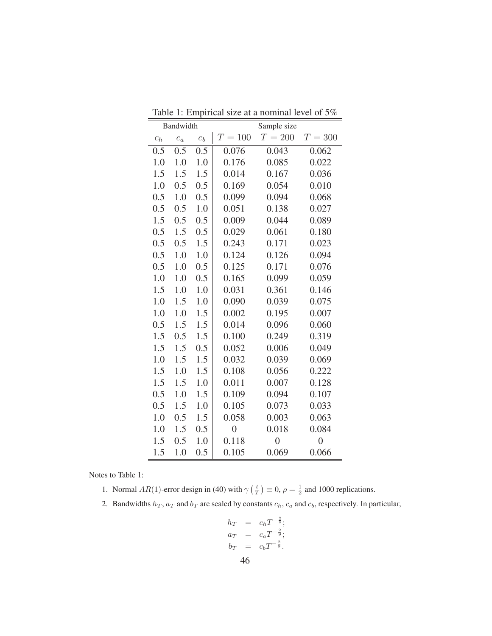| Bandwidth        |       |       | Sample size    |                    |                |
|------------------|-------|-------|----------------|--------------------|----------------|
| $\mathfrak{C}_h$ | $c_a$ | $c_b$ | $T = 100$      | $\overline{T=200}$ | $T = 300$      |
| 0.5              | 0.5   | 0.5   | 0.076          | 0.043              | 0.062          |
| 1.0              | 1.0   | 1.0   | 0.176          | 0.085              | 0.022          |
| 1.5              | 1.5   | 1.5   | 0.014          | 0.167              | 0.036          |
| 1.0              | 0.5   | 0.5   | 0.169          | 0.054              | 0.010          |
| 0.5              | 1.0   | 0.5   | 0.099          | 0.094              | 0.068          |
| 0.5              | 0.5   | 1.0   | 0.051          | 0.138              | 0.027          |
| 1.5              | 0.5   | 0.5   | 0.009          | 0.044              | 0.089          |
| 0.5              | 1.5   | 0.5   | 0.029          | 0.061              | 0.180          |
| 0.5              | 0.5   | 1.5   | 0.243          | 0.171              | 0.023          |
| 0.5              | 1.0   | 1.0   | 0.124          | 0.126              | 0.094          |
| 0.5              | 1.0   | 0.5   | 0.125          | 0.171              | 0.076          |
| 1.0              | 1.0   | 0.5   | 0.165          | 0.099              | 0.059          |
| 1.5              | 1.0   | 1.0   | 0.031          | 0.361              | 0.146          |
| 1.0              | 1.5   | 1.0   | 0.090          | 0.039              | 0.075          |
| 1.0              | 1.0   | 1.5   | 0.002          | 0.195              | 0.007          |
| 0.5              | 1.5   | 1.5   | 0.014          | 0.096              | 0.060          |
| 1.5              | 0.5   | 1.5   | 0.100          | 0.249              | 0.319          |
| 1.5              | 1.5   | 0.5   | 0.052          | 0.006              | 0.049          |
| 1.0              | 1.5   | 1.5   | 0.032          | 0.039              | 0.069          |
| 1.5              | 1.0   | 1.5   | 0.108          | 0.056              | 0.222          |
| 1.5              | 1.5   | 1.0   | 0.011          | 0.007              | 0.128          |
| 0.5              | 1.0   | 1.5   | 0.109          | 0.094              | 0.107          |
| 0.5              | 1.5   | 1.0   | 0.105          | 0.073              | 0.033          |
| 1.0              | 0.5   | 1.5   | 0.058          | 0.003              | 0.063          |
| 1.0              | 1.5   | 0.5   | $\overline{0}$ | 0.018              | 0.084          |
| 1.5              | 0.5   | 1.0   | 0.118          | $\overline{0}$     | $\overline{0}$ |
| 1.5<br>Ξ         | 1.0   | 0.5   | 0.105          | 0.069              | 0.066          |

Table 1: Empirical size at a nominal level of 5%

Notes to Table 1:

1. Normal  $AR(1)$ -error design in (40) with  $\gamma$  $\left(\frac{t}{T}\right)$ ¢  $\equiv 0, \rho = \frac{1}{2}$  and 1000 replications.

2. Bandwidths  $h_T$ ,  $a_T$  and  $b_T$  are scaled by constants  $c_h$ ,  $c_a$  and  $c_b$ , respectively. In particular,

$$
h_T = c_h T^{-\frac{2}{5}};
$$
  
\n
$$
a_T = c_a T^{-\frac{2}{9}};
$$
  
\n
$$
b_T = c_b T^{-\frac{2}{9}}.
$$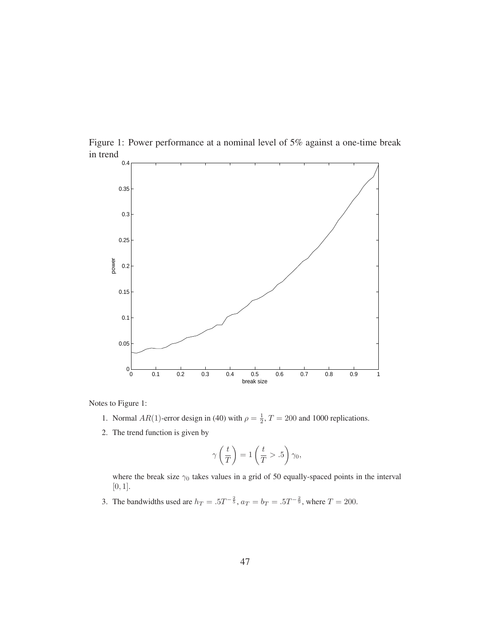

Figure 1: Power performance at a nominal level of 5% against a one-time break in trend

Notes to Figure 1:

- 1. Normal  $AR(1)$ -error design in (40) with  $\rho = \frac{1}{2}$ ,  $T = 200$  and 1000 replications.
- 2. The trend function is given by

$$
\gamma\left(\frac{t}{T}\right) = 1\left(\frac{t}{T} > .5\right)\gamma_0,
$$

where the break size  $\gamma_0$  takes values in a grid of 50 equally-spaced points in the interval [0, 1].

3. The bandwidths used are  $h_T = .5T^{-\frac{2}{5}}$ ,  $a_T = b_T = .5T^{-\frac{2}{9}}$ , where  $T = 200$ .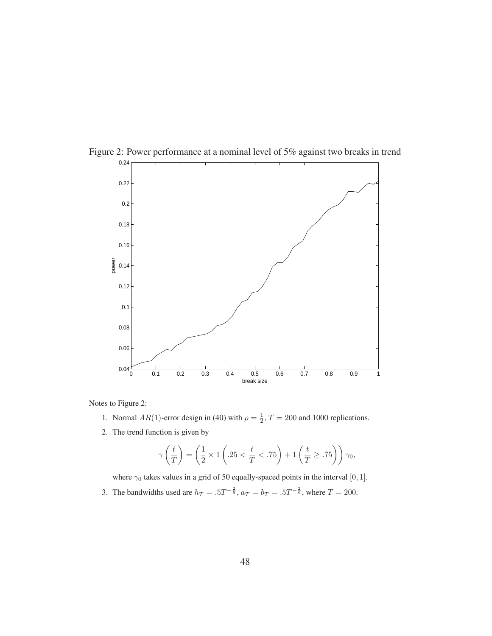

Figure 2: Power performance at a nominal level of 5% against two breaks in trend

Notes to Figure 2:

- 1. Normal  $AR(1)$ -error design in (40) with  $\rho = \frac{1}{2}$ ,  $T = 200$  and 1000 replications.
- 2. The trend function is given by

$$
\gamma\left(\frac{t}{T}\right) = \left(\frac{1}{2} \times 1\left(.25 < \frac{t}{T} < .75\right) + 1\left(\frac{t}{T} \geq .75\right)\right)\gamma_0,
$$

where  $\gamma_0$  takes values in a grid of 50 equally-spaced points in the interval [0, 1].

3. The bandwidths used are  $h_T = .5T^{-\frac{2}{5}}$ ,  $a_T = b_T = .5T^{-\frac{2}{9}}$ , where  $T = 200$ .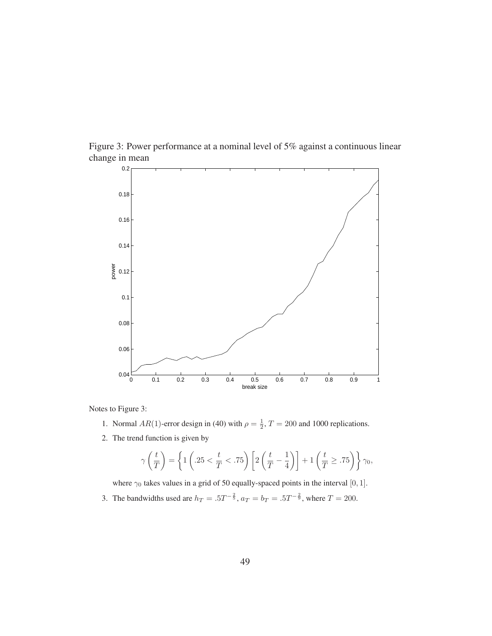

Figure 3: Power performance at a nominal level of 5% against a continuous linear change in mean

Notes to Figure 3:

- 1. Normal  $AR(1)$ -error design in (40) with  $\rho = \frac{1}{2}$ ,  $T = 200$  and 1000 replications.
- 2. The trend function is given by

$$
\gamma\left(\frac{t}{T}\right) = \left\{1\left(.25 < \frac{t}{T} < .75\right)\left[2\left(\frac{t}{T} - \frac{1}{4}\right)\right] + 1\left(\frac{t}{T} \geq .75\right)\right\}\gamma_0,
$$

where  $\gamma_0$  takes values in a grid of 50 equally-spaced points in the interval [0, 1].

3. The bandwidths used are  $h_T = .5T^{-\frac{2}{5}}$ ,  $a_T = b_T = .5T^{-\frac{2}{9}}$ , where  $T = 200$ .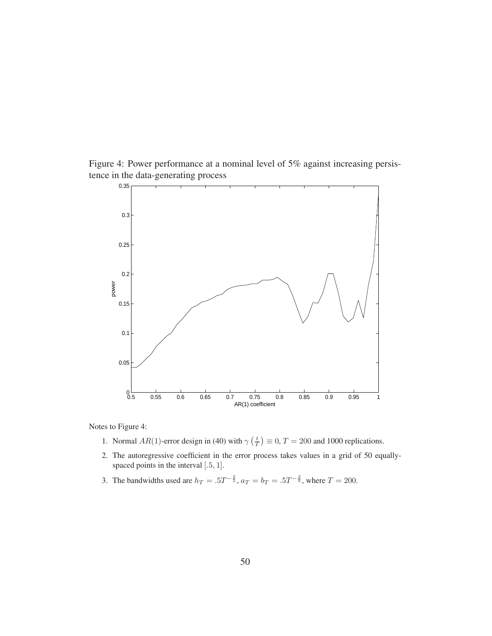Figure 4: Power performance at a nominal level of 5% against increasing persistence in the data-generating process



Notes to Figure 4:

- 1. Normal  $AR(1)$ -error design in (40) with  $\gamma$  $\left(\frac{t}{T}\right)$ ¢  $\equiv 0, T = 200$  and 1000 replications.
- 2. The autoregressive coefficient in the error process takes values in a grid of 50 equallyspaced points in the interval [.5, 1].
- 3. The bandwidths used are  $h_T = .5T^{-\frac{2}{5}}$ ,  $a_T = b_T = .5T^{-\frac{2}{9}}$ , where  $T = 200$ .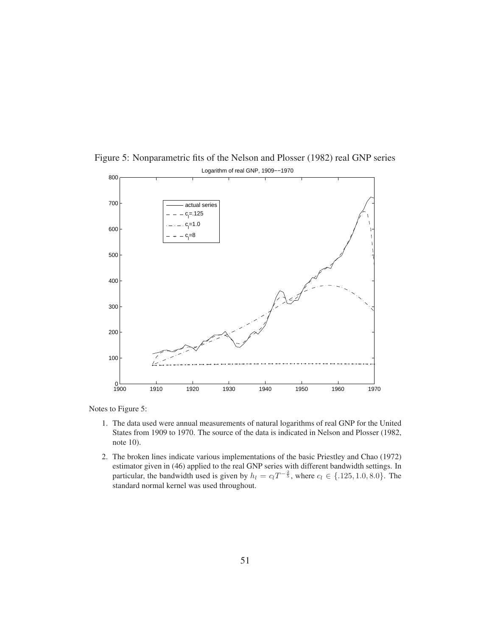

Figure 5: Nonparametric fits of the Nelson and Plosser (1982) real GNP series

Notes to Figure 5:

- 1. The data used were annual measurements of natural logarithms of real GNP for the United States from 1909 to 1970. The source of the data is indicated in Nelson and Plosser (1982, note 10).
- 2. The broken lines indicate various implementations of the basic Priestley and Chao (1972) estimator given in (46) applied to the real GNP series with different bandwidth settings. In particular, the bandwidth used is given by  $h_l = c_l T^{-\frac{2}{5}}$ , where  $c_l \in \{.125, 1.0, 8.0\}$ . The standard normal kernel was used throughout.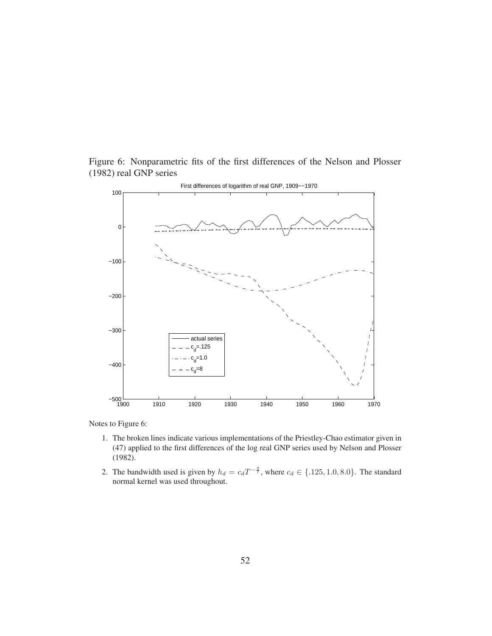



Notes to Figure 6:

- 1. The broken lines indicate various implementations of the Priestley-Chao estimator given in (47) applied to the first differences of the log real GNP series used by Nelson and Plosser (1982).
- 2. The bandwidth used is given by  $h_d = c_d T^{-\frac{2}{7}}$ , where  $c_d \in \{.125, 1.0, 8.0\}$ . The standard normal kernel was used throughout.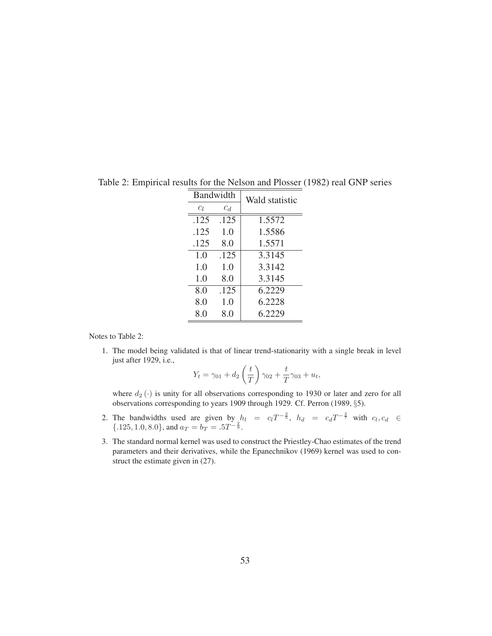| Bandwidth |       | Wald statistic |
|-----------|-------|----------------|
| Сı        | $c_d$ |                |
| .125      | .125  | 1.5572         |
| .125      | 1.0   | 1.5586         |
| .125      | 8.0   | 1.5571         |
| 1.0       | .125  | 3.3145         |
| 1.0       | 1.0   | 3.3142         |
| 1.0       | 8.0   | 3.3145         |
| 8.0       | .125  | 6.2229         |
| 8.0       | 1.0   | 6.2228         |
| 8.0       | 8.0   | 6.2229         |

Table 2: Empirical results for the Nelson and Plosser (1982) real GNP series

Notes to Table 2:

1. The model being validated is that of linear trend-stationarity with a single break in level just after 1929, i.e.,  $\overline{a}$  $\mathbf{r}$ 

$$
Y_t = \gamma_{01} + d_2 \left(\frac{t}{T}\right) \gamma_{02} + \frac{t}{T} \gamma_{03} + u_t,
$$

where  $d_2(\cdot)$  is unity for all observations corresponding to 1930 or later and zero for all observations corresponding to years 1909 through 1929. Cf. Perron (1989, §5).

- 2. The bandwidths used are given by  $h_l = c_l T^{-\frac{2}{5}}$ ,  $h_d = c_d T^{-\frac{2}{7}}$  with  $c_l, c_d \in$  $\{.125, 1.0, 8.0\}$ , and  $a_T = b_T = .5T^{-\frac{2}{9}}$ .
- 3. The standard normal kernel was used to construct the Priestley-Chao estimates of the trend parameters and their derivatives, while the Epanechnikov (1969) kernel was used to construct the estimate given in (27).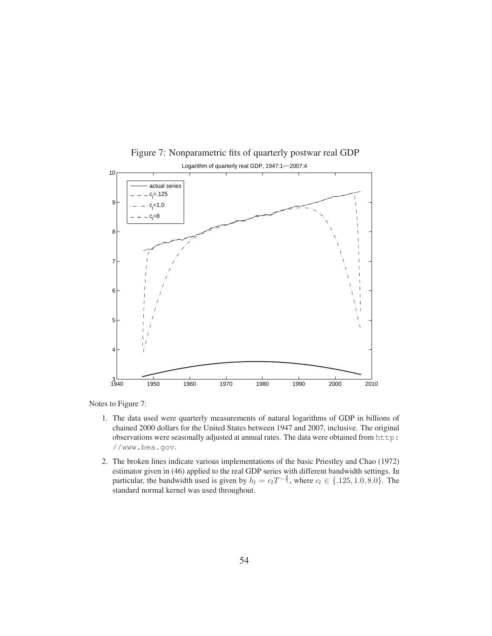

Figure 7: Nonparametric fits of quarterly postwar real GDP Logarithm of quarterly real GDP, 1947:1−−2007:4

Notes to Figure 7:

- 1. The data used were quarterly measurements of natural logarithms of GDP in billions of chained 2000 dollars for the United States between 1947 and 2007, inclusive. The original observations were seasonally adjusted at annual rates. The data were obtained from http: //www.bea.gov.
- 2. The broken lines indicate various implementations of the basic Priestley and Chao (1972) estimator given in (46) applied to the real GDP series with different bandwidth settings. In particular, the bandwidth used is given by  $h_l = c_l T^{-\frac{2}{5}}$ , where  $c_l \in \{.125, 1.0, 8.0\}$ . The standard normal kernel was used throughout.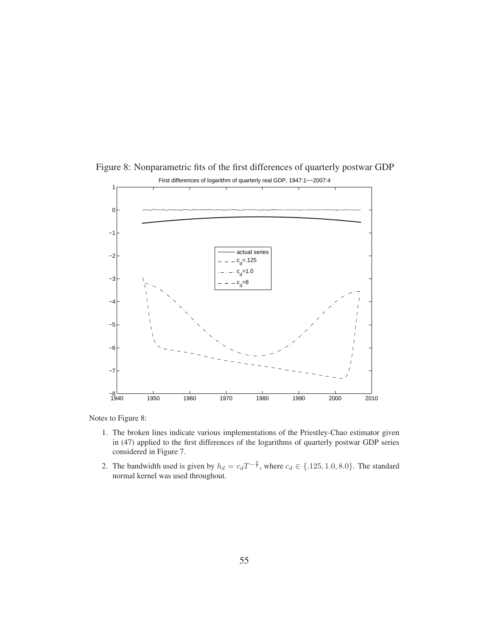

Figure 8: Nonparametric fits of the first differences of quarterly postwar GDP

Notes to Figure 8:

- 1. The broken lines indicate various implementations of the Priestley-Chao estimator given in (47) applied to the first differences of the logarithms of quarterly postwar GDP series considered in Figure 7.
- 2. The bandwidth used is given by  $h_d = c_d T^{-\frac{2}{7}}$ , where  $c_d \in \{.125, 1.0, 8.0\}$ . The standard normal kernel was used throughout.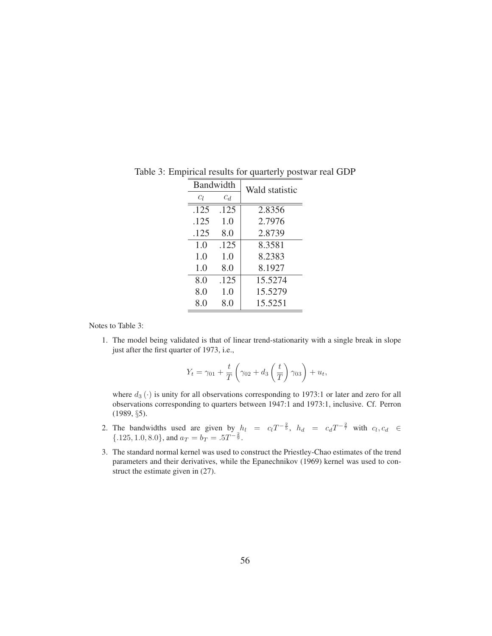| Bandwidth |       | Wald statistic |
|-----------|-------|----------------|
| Cį        | $c_d$ |                |
| .125      | .125  | 2.8356         |
| .125      | 1.0   | 2.7976         |
| .125      | 8.0   | 2.8739         |
| 1.0       | .125  | 8.3581         |
| 1.0       | 1.0   | 8.2383         |
| 1.0       | 8.0   | 8.1927         |
| 8.0       | .125  | 15.5274        |
| 8.0       | 1.0   | 15.5279        |
| 8.0       | 8.0   | 15.5251        |

Table 3: Empirical results for quarterly postwar real GDP

Notes to Table 3:

1. The model being validated is that of linear trend-stationarity with a single break in slope just after the first quarter of 1973, i.e.,

$$
Y_t = \gamma_{01} + \frac{t}{T} \left( \gamma_{02} + d_3 \left( \frac{t}{T} \right) \gamma_{03} \right) + u_t,
$$

where  $d_3(\cdot)$  is unity for all observations corresponding to 1973:1 or later and zero for all observations corresponding to quarters between 1947:1 and 1973:1, inclusive. Cf. Perron (1989, §5).

- 2. The bandwidths used are given by  $h_l = c_l T^{-\frac{2}{5}}$ ,  $h_d = c_d T^{-\frac{2}{7}}$  with  $c_l, c_d \in$  $\{.125, 1.0, 8.0\}$ , and  $a_T = b_T = .5T^{-\frac{2}{9}}$ .
- 3. The standard normal kernel was used to construct the Priestley-Chao estimates of the trend parameters and their derivatives, while the Epanechnikov (1969) kernel was used to construct the estimate given in (27).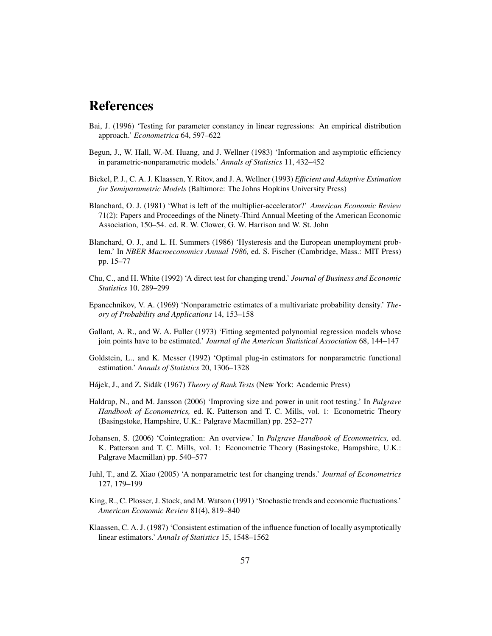# References

- Bai, J. (1996) 'Testing for parameter constancy in linear regressions: An empirical distribution approach.' *Econometrica* 64, 597–622
- Begun, J., W. Hall, W.-M. Huang, and J. Wellner (1983) 'Information and asymptotic efficiency in parametric-nonparametric models.' *Annals of Statistics* 11, 432–452
- Bickel, P. J., C. A. J. Klaassen, Y. Ritov, and J. A. Wellner (1993) *Efficient and Adaptive Estimation for Semiparametric Models* (Baltimore: The Johns Hopkins University Press)
- Blanchard, O. J. (1981) 'What is left of the multiplier-accelerator?' *American Economic Review* 71(2): Papers and Proceedings of the Ninety-Third Annual Meeting of the American Economic Association, 150–54. ed. R. W. Clower, G. W. Harrison and W. St. John
- Blanchard, O. J., and L. H. Summers (1986) 'Hysteresis and the European unemployment problem.' In *NBER Macroeconomics Annual 1986,* ed. S. Fischer (Cambridge, Mass.: MIT Press) pp. 15–77
- Chu, C., and H. White (1992) 'A direct test for changing trend.' *Journal of Business and Economic Statistics* 10, 289–299
- Epanechnikov, V. A. (1969) 'Nonparametric estimates of a multivariate probability density.' *Theory of Probability and Applications* 14, 153–158
- Gallant, A. R., and W. A. Fuller (1973) 'Fitting segmented polynomial regression models whose join points have to be estimated.' *Journal of the American Statistical Association* 68, 144–147
- Goldstein, L., and K. Messer (1992) 'Optimal plug-in estimators for nonparametric functional estimation.' *Annals of Statistics* 20, 1306–1328
- Hájek, J., and Z. Sidák (1967) *Theory of Rank Tests* (New York: Academic Press)
- Haldrup, N., and M. Jansson (2006) 'Improving size and power in unit root testing.' In *Palgrave Handbook of Econometrics,* ed. K. Patterson and T. C. Mills, vol. 1: Econometric Theory (Basingstoke, Hampshire, U.K.: Palgrave Macmillan) pp. 252–277
- Johansen, S. (2006) 'Cointegration: An overview.' In *Palgrave Handbook of Econometrics,* ed. K. Patterson and T. C. Mills, vol. 1: Econometric Theory (Basingstoke, Hampshire, U.K.: Palgrave Macmillan) pp. 540–577
- Juhl, T., and Z. Xiao (2005) 'A nonparametric test for changing trends.' *Journal of Econometrics* 127, 179–199
- King, R., C. Plosser, J. Stock, and M. Watson (1991) 'Stochastic trends and economic fluctuations.' *American Economic Review* 81(4), 819–840
- Klaassen, C. A. J. (1987) 'Consistent estimation of the influence function of locally asymptotically linear estimators.' *Annals of Statistics* 15, 1548–1562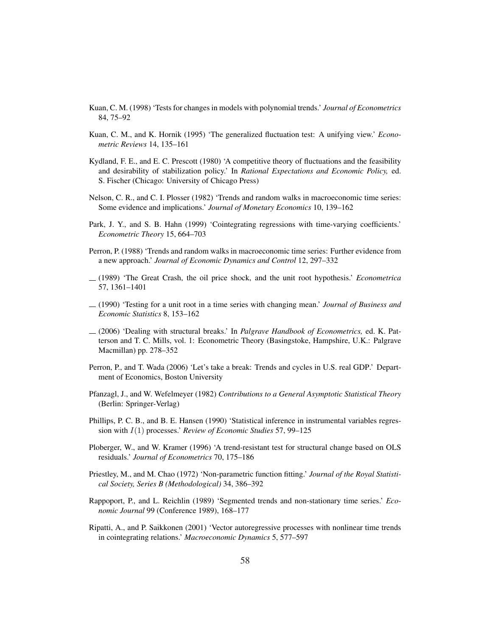- Kuan, C. M. (1998) 'Tests for changes in models with polynomial trends.' *Journal of Econometrics* 84, 75–92
- Kuan, C. M., and K. Hornik (1995) 'The generalized fluctuation test: A unifying view.' *Econometric Reviews* 14, 135–161
- Kydland, F. E., and E. C. Prescott (1980) 'A competitive theory of fluctuations and the feasibility and desirability of stabilization policy.' In *Rational Expectations and Economic Policy,* ed. S. Fischer (Chicago: University of Chicago Press)
- Nelson, C. R., and C. I. Plosser (1982) 'Trends and random walks in macroeconomic time series: Some evidence and implications.' *Journal of Monetary Economics* 10, 139–162
- Park, J. Y., and S. B. Hahn (1999) 'Cointegrating regressions with time-varying coefficients.' *Econometric Theory* 15, 664–703
- Perron, P. (1988) 'Trends and random walks in macroeconomic time series: Further evidence from a new approach.' *Journal of Economic Dynamics and Control* 12, 297–332
- (1989) 'The Great Crash, the oil price shock, and the unit root hypothesis.' *Econometrica* 57, 1361–1401
- (1990) 'Testing for a unit root in a time series with changing mean.' *Journal of Business and Economic Statistics* 8, 153–162
- (2006) 'Dealing with structural breaks.' In *Palgrave Handbook of Econometrics,* ed. K. Patterson and T. C. Mills, vol. 1: Econometric Theory (Basingstoke, Hampshire, U.K.: Palgrave Macmillan) pp. 278–352
- Perron, P., and T. Wada (2006) 'Let's take a break: Trends and cycles in U.S. real GDP.' Department of Economics, Boston University
- Pfanzagl, J., and W. Wefelmeyer (1982) *Contributions to a General Asymptotic Statistical Theory* (Berlin: Springer-Verlag)
- Phillips, P. C. B., and B. E. Hansen (1990) 'Statistical inference in instrumental variables regression with I(1) processes.' *Review of Economic Studies* 57, 99–125
- Ploberger, W., and W. Kramer (1996) 'A trend-resistant test for structural change based on OLS residuals.' *Journal of Econometrics* 70, 175–186
- Priestley, M., and M. Chao (1972) 'Non-parametric function fitting.' *Journal of the Royal Statistical Society, Series B (Methodological)* 34, 386–392
- Rappoport, P., and L. Reichlin (1989) 'Segmented trends and non-stationary time series.' *Economic Journal* 99 (Conference 1989), 168–177
- Ripatti, A., and P. Saikkonen (2001) 'Vector autoregressive processes with nonlinear time trends in cointegrating relations.' *Macroeconomic Dynamics* 5, 577–597